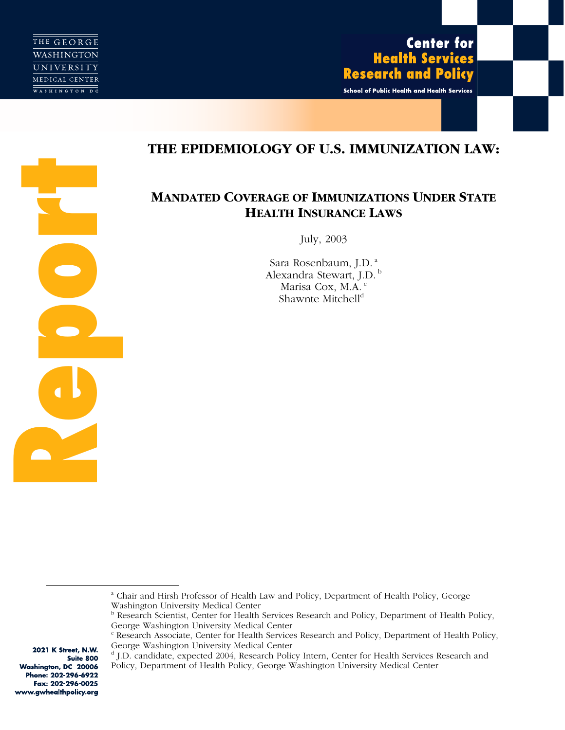

**Report** 

# **Center for Health Services Research and Policy**

School of Public Health and Health Services

# **THE EPIDEMIOLOGY OF U.S. IMMUNIZATION LAW:**

# **MANDATED COVERAGE OF IMMUNIZATIONS UNDER STATE HEALTH INSURANCE LAWS**

July, 2003

Sara Rosenbaum, J.D. a Alexandra Stewart, J.D.<sup>b</sup> Marisa Cox, M.A.<sup>c</sup> Shawnte Mitchell<sup>d</sup>

d J.D. candidate, expected 2004, Research Policy Intern, Center for Health Services Research and Policy, Department of Health Policy, George Washington University Medical Center

2021 K Street, N.W. Suite 800 Washington, DC 20006 Phone: 202-296-6922 Fax: 202-296-0025 www.gwhealthpolicy.org

a Chair and Hirsh Professor of Health Law and Policy, Department of Health Policy, George Washington University Medical Center

<sup>&</sup>lt;sup>b</sup> Research Scientist, Center for Health Services Research and Policy, Department of Health Policy, George Washington University Medical Center

<sup>&</sup>lt;sup>c</sup> Research Associate, Center for Health Services Research and Policy, Department of Health Policy, George Washington University Medical Center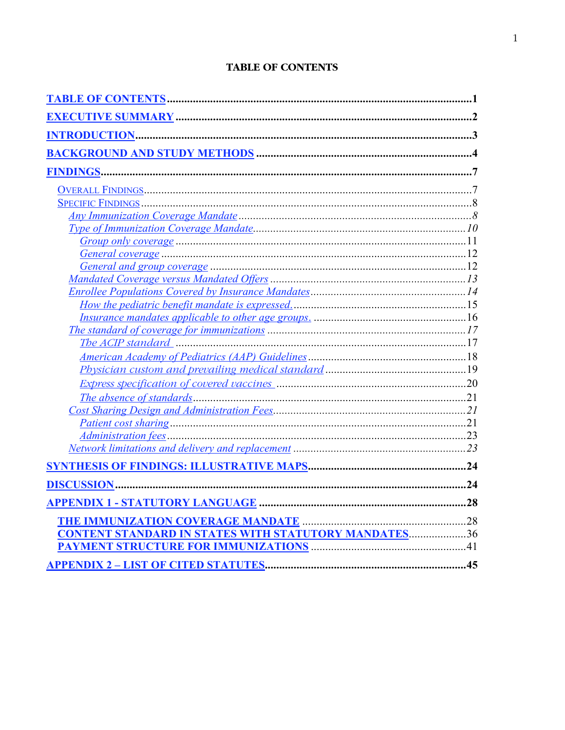# **TABLE OF CONTENTS**

| The ACIP standard manufactured and the ACIP standard manufactured manufactured and the ACIP standard |  |
|------------------------------------------------------------------------------------------------------|--|
|                                                                                                      |  |
|                                                                                                      |  |
|                                                                                                      |  |
|                                                                                                      |  |
|                                                                                                      |  |
|                                                                                                      |  |
|                                                                                                      |  |
|                                                                                                      |  |
|                                                                                                      |  |
|                                                                                                      |  |
|                                                                                                      |  |
|                                                                                                      |  |
| <b>CONTENT STANDARD IN STATES WITH STATUTORY MANDATES36</b>                                          |  |
|                                                                                                      |  |
|                                                                                                      |  |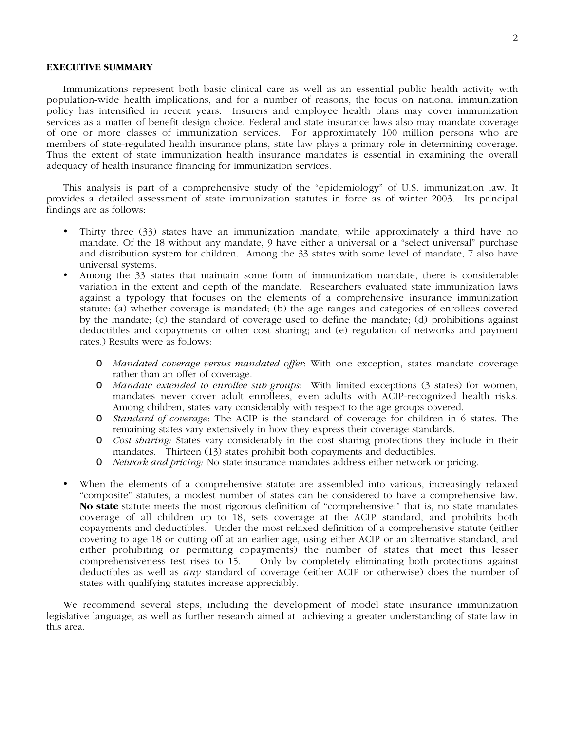# **EXECUTIVE SUMMARY**

Immunizations represent both basic clinical care as well as an essential public health activity with population-wide health implications, and for a number of reasons, the focus on national immunization policy has intensified in recent years. Insurers and employee health plans may cover immunization services as a matter of benefit design choice. Federal and state insurance laws also may mandate coverage of one or more classes of immunization services. For approximately 100 million persons who are members of state-regulated health insurance plans, state law plays a primary role in determining coverage. Thus the extent of state immunization health insurance mandates is essential in examining the overall adequacy of health insurance financing for immunization services.

This analysis is part of a comprehensive study of the "epidemiology" of U.S. immunization law. It provides a detailed assessment of state immunization statutes in force as of winter 2003. Its principal findings are as follows:

- Thirty three (33) states have an immunization mandate, while approximately a third have no mandate. Of the 18 without any mandate, 9 have either a universal or a "select universal" purchase and distribution system for children. Among the 33 states with some level of mandate, 7 also have universal systems.
- Among the 33 states that maintain some form of immunization mandate, there is considerable variation in the extent and depth of the mandate. Researchers evaluated state immunization laws against a typology that focuses on the elements of a comprehensive insurance immunization statute: (a) whether coverage is mandated; (b) the age ranges and categories of enrollees covered by the mandate; (c) the standard of coverage used to define the mandate; (d) prohibitions against deductibles and copayments or other cost sharing; and (e) regulation of networks and payment rates.) Results were as follows:
	- O *Mandated coverage versus mandated offer*: With one exception, states mandate coverage rather than an offer of coverage.
	- O *Mandate extended to enrollee sub-groups*: With limited exceptions (3 states) for women, mandates never cover adult enrollees, even adults with ACIP-recognized health risks. Among children, states vary considerably with respect to the age groups covered.
	- O *Standard of coverage*: The ACIP is the standard of coverage for children in 6 states. The remaining states vary extensively in how they express their coverage standards.
	- O *Cost-sharing:* States vary considerably in the cost sharing protections they include in their mandates. Thirteen (13) states prohibit both copayments and deductibles.
	- O *Network and pricing:* No state insurance mandates address either network or pricing.
- When the elements of a comprehensive statute are assembled into various, increasingly relaxed "composite" statutes, a modest number of states can be considered to have a comprehensive law. **No state** statute meets the most rigorous definition of "comprehensive;" that is, no state mandates coverage of all children up to 18, sets coverage at the ACIP standard, and prohibits both copayments and deductibles. Under the most relaxed definition of a comprehensive statute (either covering to age 18 or cutting off at an earlier age, using either ACIP or an alternative standard, and either prohibiting or permitting copayments) the number of states that meet this lesser comprehensiveness test rises to 15. Only by completely eliminating both protections against deductibles as well as *any* standard of coverage (either ACIP or otherwise) does the number of states with qualifying statutes increase appreciably.

We recommend several steps, including the development of model state insurance immunization legislative language, as well as further research aimed at achieving a greater understanding of state law in this area.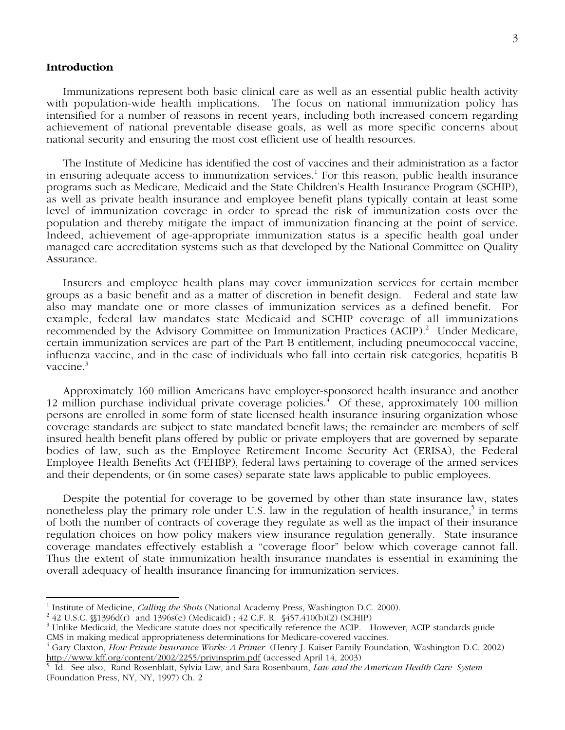# **Introduction**

Immunizations represent both basic clinical care as well as an essential public health activity with population-wide health implications. The focus on national immunization policy has intensified for a number of reasons in recent years, including both increased concern regarding achievement of national preventable disease goals, as well as more specific concerns about national security and ensuring the most cost efficient use of health resources.

The Institute of Medicine has identified the cost of vaccines and their administration as a factor in ensuring adequate access to immunization services.<sup>1</sup> For this reason, public health insurance programs such as Medicare, Medicaid and the State Children's Health Insurance Program (SCHIP), as well as private health insurance and employee benefit plans typically contain at least some level of immunization coverage in order to spread the risk of immunization costs over the population and thereby mitigate the impact of immunization financing at the point of service. Indeed, achievement of age-appropriate immunization status is a specific health goal under managed care accreditation systems such as that developed by the National Committee on Quality Assurance.

Insurers and employee health plans may cover immunization services for certain member groups as a basic benefit and as a matter of discretion in benefit design. Federal and state law also may mandate one or more classes of immunization services as a defined benefit. For example, federal law mandates state Medicaid and SCHIP coverage of all immunizations recommended by the Advisory Committee on Immunization Practices (ACIP).<sup>2</sup> Under Medicare, certain immunization services are part of the Part B entitlement, including pneumococcal vaccine, influenza vaccine, and in the case of individuals who fall into certain risk categories, hepatitis B vaccine.<sup>3</sup>

Approximately 160 million Americans have employer-sponsored health insurance and another 12 million purchase individual private coverage policies.<sup>4</sup> Of these, approximately 100 million persons are enrolled in some form of state licensed health insurance insuring organization whose coverage standards are subject to state mandated benefit laws; the remainder are members of self insured health benefit plans offered by public or private employers that are governed by separate bodies of law, such as the Employee Retirement Income Security Act (ERISA), the Federal Employee Health Benefits Act (FEHBP), federal laws pertaining to coverage of the armed services and their dependents, or (in some cases) separate state laws applicable to public employees.

Despite the potential for coverage to be governed by other than state insurance law, states nonetheless play the primary role under U.S. law in the regulation of health insurance,<sup>5</sup> in terms of both the number of contracts of coverage they regulate as well as the impact of their insurance regulation choices on how policy makers view insurance regulation generally. State insurance coverage mandates effectively establish a "coverage floor" below which coverage cannot fall. Thus the extent of state immunization health insurance mandates is essential in examining the overall adequacy of health insurance financing for immunization services.

 $\frac{1}{1}$ <sup>1</sup> Institute of Medicine, *Calling the Shots* (National Academy Press, Washington D.C. 2000).<br><sup>2</sup> 42 U.S.C. 861306d(r), and 1306s(a) (Medicaid) + 42 C.E. R. 8457 410(b)(2) (SCHID).

<sup>&</sup>lt;sup>2</sup> 42 U.S.C.  $$1396d(r)$  and  $1396s(e)$  (Medicaid); 42 C.F. R.  $$457.410(b)(2)$  (SCHIP)

<sup>&</sup>lt;sup>3</sup> Unlike Medicaid, the Medicare statute does not specifically reference the ACIP. However, ACIP standards guide CMS in making medical appropriateness determinations for Medicare-covered vaccines.

<sup>4</sup> Gary Claxton, *How Private Insurance Works: A Primer* (Henry J. Kaiser Family Foundation, Washington D.C. 2002) http://www.kff.org/content/2002/2255/privinsprim.pdf (accessed April 14, 2003)

Id. See also, Rand Rosenblatt, Sylvia Law, and Sara Rosenbaum, *Law and the American Health Care System* (Foundation Press, NY, NY, 1997) Ch. 2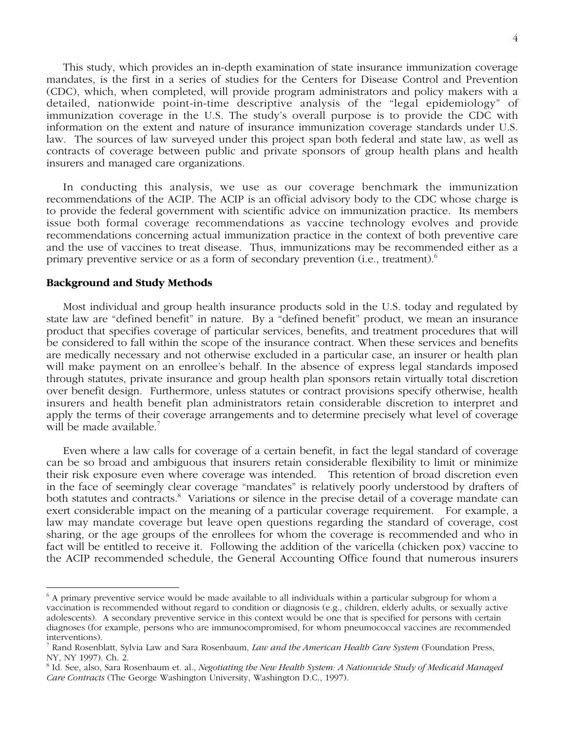This study, which provides an in-depth examination of state insurance immunization coverage mandates, is the first in a series of studies for the Centers for Disease Control and Prevention (CDC), which, when completed, will provide program administrators and policy makers with a detailed, nationwide point-in-time descriptive analysis of the "legal epidemiology" of immunization coverage in the U.S. The study's overall purpose is to provide the CDC with information on the extent and nature of insurance immunization coverage standards under U.S. law. The sources of law surveyed under this project span both federal and state law, as well as contracts of coverage between public and private sponsors of group health plans and health insurers and managed care organizations.

In conducting this analysis, we use as our coverage benchmark the immunization recommendations of the ACIP. The ACIP is an official advisory body to the CDC whose charge is to provide the federal government with scientific advice on immunization practice. Its members issue both formal coverage recommendations as vaccine technology evolves and provide recommendations concerning actual immunization practice in the context of both preventive care and the use of vaccines to treat disease. Thus, immunizations may be recommended either as a primary preventive service or as a form of secondary prevention (i.e., treatment).<sup>6</sup>

# **Background and Study Methods**

Most individual and group health insurance products sold in the U.S. today and regulated by state law are "defined benefit" in nature. By a "defined benefit" product, we mean an insurance product that specifies coverage of particular services, benefits, and treatment procedures that will be considered to fall within the scope of the insurance contract. When these services and benefits are medically necessary and not otherwise excluded in a particular case, an insurer or health plan will make payment on an enrollee's behalf. In the absence of express legal standards imposed through statutes, private insurance and group health plan sponsors retain virtually total discretion over benefit design. Furthermore, unless statutes or contract provisions specify otherwise, health insurers and health benefit plan administrators retain considerable discretion to interpret and apply the terms of their coverage arrangements and to determine precisely what level of coverage will be made available.<sup>7</sup>

Even where a law calls for coverage of a certain benefit, in fact the legal standard of coverage can be so broad and ambiguous that insurers retain considerable flexibility to limit or minimize their risk exposure even where coverage was intended. This retention of broad discretion even in the face of seemingly clear coverage "mandates" is relatively poorly understood by drafters of both statutes and contracts.<sup>8</sup> Variations or silence in the precise detail of a coverage mandate can exert considerable impact on the meaning of a particular coverage requirement. For example, a law may mandate coverage but leave open questions regarding the standard of coverage, cost sharing, or the age groups of the enrollees for whom the coverage is recommended and who in fact will be entitled to receive it. Following the addition of the varicella (chicken pox) vaccine to the ACIP recommended schedule, the General Accounting Office found that numerous insurers

 <sup>6</sup> A primary preventive service would be made available to all individuals within a particular subgroup for whom a vaccination is recommended without regard to condition or diagnosis (e.g., children, elderly adults, or sexually active adolescents). A secondary preventive service in this context would be one that is specified for persons with certain diagnoses (for example, persons who are immunocompromised, for whom pneumococcal vaccines are recommended interventions).

<sup>7</sup> Rand Rosenblatt, Sylvia Law and Sara Rosenbaum, *Law and the American Health Care System* (Foundation Press, NY, NY 1997). Ch. 2.

<sup>8</sup> Id. See, also, Sara Rosenbaum et. al., *Negotiating the New Health System: A Nationwide Study of Medicaid Managed Care Contracts* (The George Washington University, Washington D.C., 1997).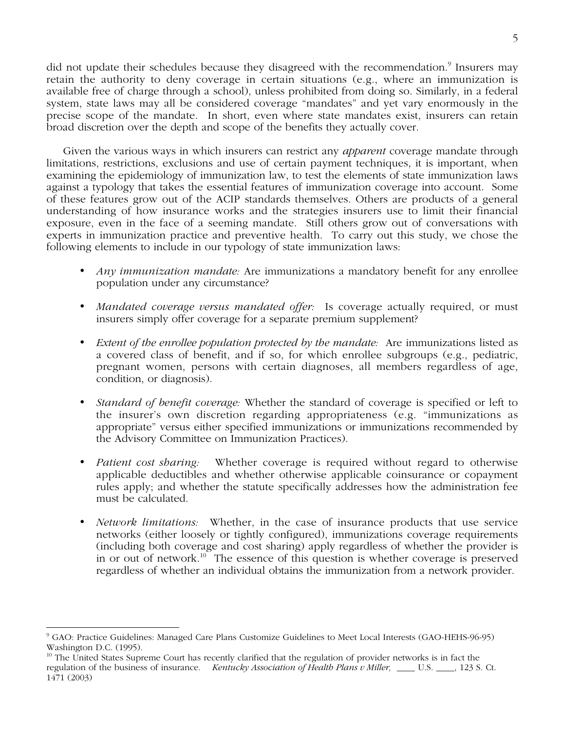did not update their schedules because they disagreed with the recommendation.<sup>9</sup> Insurers may retain the authority to deny coverage in certain situations (e.g., where an immunization is available free of charge through a school), unless prohibited from doing so. Similarly, in a federal system, state laws may all be considered coverage "mandates" and yet vary enormously in the precise scope of the mandate. In short, even where state mandates exist, insurers can retain broad discretion over the depth and scope of the benefits they actually cover.

Given the various ways in which insurers can restrict any *apparent* coverage mandate through limitations, restrictions, exclusions and use of certain payment techniques, it is important, when examining the epidemiology of immunization law, to test the elements of state immunization laws against a typology that takes the essential features of immunization coverage into account. Some of these features grow out of the ACIP standards themselves. Others are products of a general understanding of how insurance works and the strategies insurers use to limit their financial exposure, even in the face of a seeming mandate. Still others grow out of conversations with experts in immunization practice and preventive health. To carry out this study, we chose the following elements to include in our typology of state immunization laws:

- *Any immunization mandate:* Are immunizations a mandatory benefit for any enrollee population under any circumstance?
- *Mandated coverage versus mandated offer:* Is coverage actually required, or must insurers simply offer coverage for a separate premium supplement?
- *Extent of the enrollee population protected by the mandate:* Are immunizations listed as a covered class of benefit, and if so, for which enrollee subgroups (e.g., pediatric, pregnant women, persons with certain diagnoses, all members regardless of age, condition, or diagnosis).
- *Standard of benefit coverage:* Whether the standard of coverage is specified or left to the insurer's own discretion regarding appropriateness (e.g. "immunizations as appropriate" versus either specified immunizations or immunizations recommended by the Advisory Committee on Immunization Practices).
- *Patient cost sharing:* Whether coverage is required without regard to otherwise applicable deductibles and whether otherwise applicable coinsurance or copayment rules apply; and whether the statute specifically addresses how the administration fee must be calculated.
- *Network limitations:* Whether, in the case of insurance products that use service networks (either loosely or tightly configured), immunizations coverage requirements (including both coverage and cost sharing) apply regardless of whether the provider is in or out of network.10 The essence of this question is whether coverage is preserved regardless of whether an individual obtains the immunization from a network provider.

 <sup>9</sup> GAO: Practice Guidelines: Managed Care Plans Customize Guidelines to Meet Local Interests (GAO-HEHS-96-95) Washington D.C. (1995).

<sup>&</sup>lt;sup>10</sup> The United States Supreme Court has recently clarified that the regulation of provider networks is in fact the regulation of the business of insurance. *Kentucky Association of Health Plans v Miller,* \_\_\_\_ U.S. \_\_\_\_, 123 S. Ct. 1471 (2003)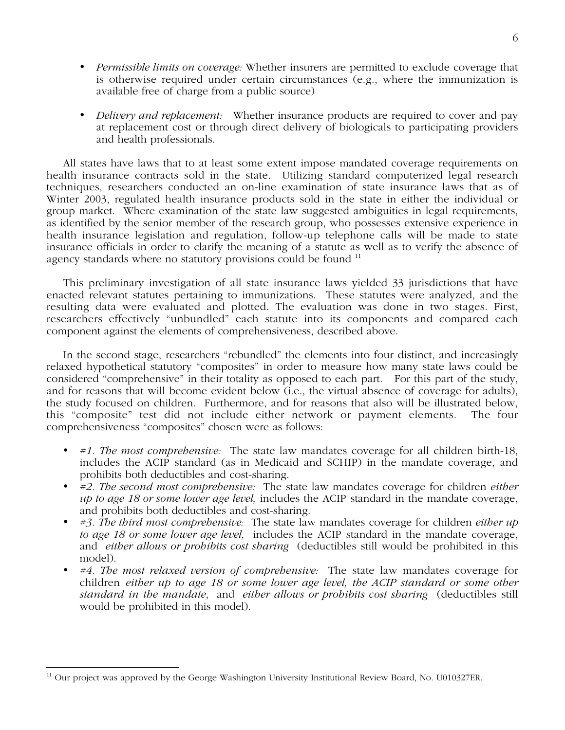- *Permissible limits on coverage:* Whether insurers are permitted to exclude coverage that is otherwise required under certain circumstances (e.g., where the immunization is available free of charge from a public source)
- *Delivery and replacement:* Whether insurance products are required to cover and pay at replacement cost or through direct delivery of biologicals to participating providers and health professionals.

All states have laws that to at least some extent impose mandated coverage requirements on health insurance contracts sold in the state. Utilizing standard computerized legal research techniques, researchers conducted an on-line examination of state insurance laws that as of Winter 2003, regulated health insurance products sold in the state in either the individual or group market. Where examination of the state law suggested ambiguities in legal requirements, as identified by the senior member of the research group, who possesses extensive experience in health insurance legislation and regulation, follow-up telephone calls will be made to state insurance officials in order to clarify the meaning of a statute as well as to verify the absence of agency standards where no statutory provisions could be found <sup>11</sup>

This preliminary investigation of all state insurance laws yielded 33 jurisdictions that have enacted relevant statutes pertaining to immunizations. These statutes were analyzed, and the resulting data were evaluated and plotted. The evaluation was done in two stages. First, researchers effectively "unbundled" each statute into its components and compared each component against the elements of comprehensiveness, described above.

In the second stage, researchers "rebundled" the elements into four distinct, and increasingly relaxed hypothetical statutory "composites" in order to measure how many state laws could be considered "comprehensive" in their totality as opposed to each part. For this part of the study, and for reasons that will become evident below (i.e., the virtual absence of coverage for adults), the study focused on children. Furthermore, and for reasons that also will be illustrated below, this "composite" test did not include either network or payment elements. The four comprehensiveness "composites" chosen were as follows:

- *#1. The most comprehensive:* The state law mandates coverage for all children birth-18, includes the ACIP standard (as in Medicaid and SCHIP) in the mandate coverage, and prohibits both deductibles and cost-sharing.
- *#2. The second most comprehensive:* The state law mandates coverage for children *either up to age 18 or some lower age level,* includes the ACIP standard in the mandate coverage, and prohibits both deductibles and cost-sharing.
- *#3. The third most comprehensive:* The state law mandates coverage for children *either up to age 18 or some lower age level,* includes the ACIP standard in the mandate coverage, and *either allows or prohibits cost sharing* (deductibles still would be prohibited in this model).
- *#4. The most relaxed version of comprehensive:* The state law mandates coverage for children *either up to age 18 or some lower age level, the ACIP standard or some other standard in the mandate*, and *either allows or prohibits cost sharing* (deductibles still would be prohibited in this model).

<sup>&</sup>lt;sup>11</sup> Our project was approved by the George Washington University Institutional Review Board, No. U010327ER.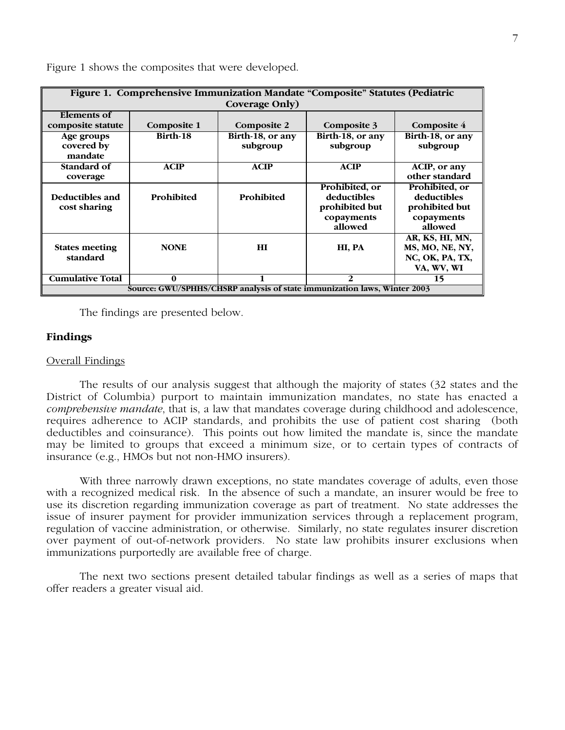| Figure 1. Comprehensive Immunization Mandate "Composite" Statutes (Pediatric |             |                  |                  |                            |  |  |
|------------------------------------------------------------------------------|-------------|------------------|------------------|----------------------------|--|--|
| Coverage Only)                                                               |             |                  |                  |                            |  |  |
| Elements of                                                                  |             |                  |                  |                            |  |  |
| composite statute                                                            | Composite 1 | Composite 2      | Composite 3      | <b>Composite 4</b>         |  |  |
| Age groups                                                                   | Birth-18    | Birth-18, or any | Birth-18, or any | Birth-18, or any           |  |  |
| covered by                                                                   |             | subgroup         | subgroup         | subgroup                   |  |  |
| mandate                                                                      |             |                  |                  |                            |  |  |
| Standard of                                                                  | <b>ACIP</b> | <b>ACIP</b>      | <b>ACIP</b>      | $\overline{ACIP}$ , or any |  |  |
| coverage                                                                     |             |                  |                  | other standard             |  |  |
|                                                                              |             |                  | Prohibited, or   | Prohibited, or             |  |  |
| Deductibles and                                                              | Prohibited  | Prohibited       | deductibles      | deductibles                |  |  |
| cost sharing                                                                 |             |                  | prohibited but   | prohibited but             |  |  |
|                                                                              |             |                  | copayments       | copayments                 |  |  |
|                                                                              |             |                  | allowed          | allowed                    |  |  |
|                                                                              |             |                  |                  | AR, KS, HI, MN,            |  |  |
| <b>States meeting</b>                                                        | <b>NONE</b> | H I              | HI, PA           | MS, MO, NE, NY,            |  |  |
| standard                                                                     |             |                  |                  | NC, OK, PA, TX,            |  |  |
|                                                                              |             |                  |                  | VA, WV, WI                 |  |  |
| <b>Cumulative Total</b>                                                      | 0           |                  | $\overline{2}$   | 15                         |  |  |
| Source: GWU/SPHHS/CHSRP analysis of state immunization laws, Winter 2003     |             |                  |                  |                            |  |  |

Figure 1 shows the composites that were developed.

The findings are presented below.

# **Findings**

# Overall Findings

The results of our analysis suggest that although the majority of states (32 states and the District of Columbia) purport to maintain immunization mandates, no state has enacted a *comprehensive mandate*, that is, a law that mandates coverage during childhood and adolescence, requires adherence to ACIP standards, and prohibits the use of patient cost sharing (both deductibles and coinsurance). This points out how limited the mandate is, since the mandate may be limited to groups that exceed a minimum size, or to certain types of contracts of insurance (e.g., HMOs but not non-HMO insurers).

With three narrowly drawn exceptions, no state mandates coverage of adults, even those with a recognized medical risk. In the absence of such a mandate, an insurer would be free to use its discretion regarding immunization coverage as part of treatment. No state addresses the issue of insurer payment for provider immunization services through a replacement program, regulation of vaccine administration, or otherwise. Similarly, no state regulates insurer discretion over payment of out-of-network providers. No state law prohibits insurer exclusions when immunizations purportedly are available free of charge.

The next two sections present detailed tabular findings as well as a series of maps that offer readers a greater visual aid.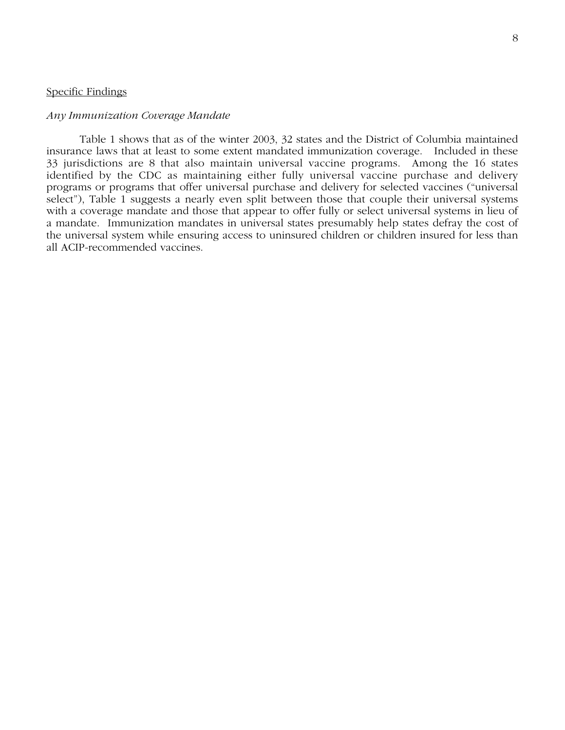# Specific Findings

# *Any Immunization Coverage Mandate*

Table 1 shows that as of the winter 2003, 32 states and the District of Columbia maintained insurance laws that at least to some extent mandated immunization coverage. Included in these 33 jurisdictions are 8 that also maintain universal vaccine programs. Among the 16 states identified by the CDC as maintaining either fully universal vaccine purchase and delivery programs or programs that offer universal purchase and delivery for selected vaccines ("universal select"), Table 1 suggests a nearly even split between those that couple their universal systems with a coverage mandate and those that appear to offer fully or select universal systems in lieu of a mandate. Immunization mandates in universal states presumably help states defray the cost of the universal system while ensuring access to uninsured children or children insured for less than all ACIP-recommended vaccines.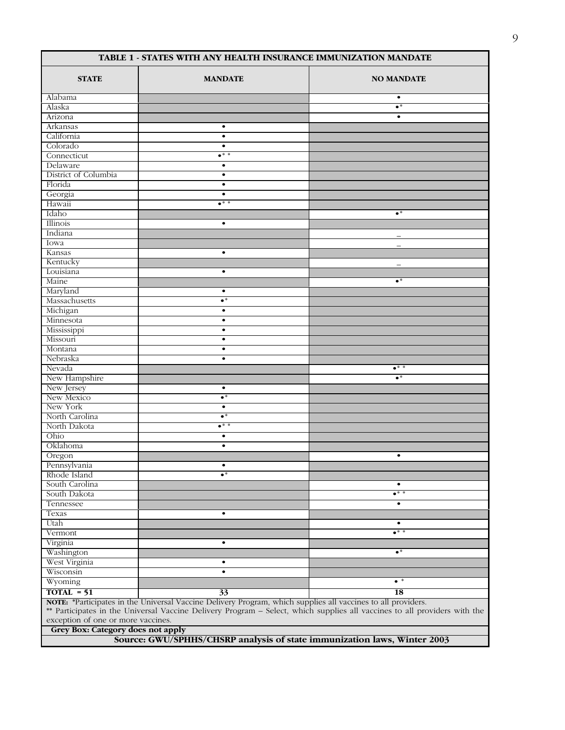| TABLE 1 - STATES WITH ANY HEALTH INSURANCE IMMUNIZATION MANDATE |                                                                                                              |                                                                                                                           |  |  |  |  |
|-----------------------------------------------------------------|--------------------------------------------------------------------------------------------------------------|---------------------------------------------------------------------------------------------------------------------------|--|--|--|--|
| <b>STATE</b>                                                    | <b>MANDATE</b>                                                                                               | <b>NO MANDATE</b>                                                                                                         |  |  |  |  |
| Alabama                                                         |                                                                                                              | $\bullet$                                                                                                                 |  |  |  |  |
| Alaska                                                          |                                                                                                              | $\bullet^*$                                                                                                               |  |  |  |  |
| Arizona                                                         |                                                                                                              | $\bullet$                                                                                                                 |  |  |  |  |
| Arkansas                                                        | $\bullet$                                                                                                    |                                                                                                                           |  |  |  |  |
| California                                                      | $\bullet$                                                                                                    |                                                                                                                           |  |  |  |  |
| Colorado                                                        | $\bullet$                                                                                                    |                                                                                                                           |  |  |  |  |
| Connecticut                                                     | $\bullet^*$ *                                                                                                |                                                                                                                           |  |  |  |  |
| Delaware                                                        | $\bullet$                                                                                                    |                                                                                                                           |  |  |  |  |
| District of Columbia                                            | $\bullet$                                                                                                    |                                                                                                                           |  |  |  |  |
| Florida                                                         | $\bullet$                                                                                                    |                                                                                                                           |  |  |  |  |
| Georgia                                                         | $\bullet$                                                                                                    |                                                                                                                           |  |  |  |  |
| Hawaii                                                          | $\bullet^*$                                                                                                  |                                                                                                                           |  |  |  |  |
| Idaho                                                           |                                                                                                              | $\bullet^*$                                                                                                               |  |  |  |  |
| Illinois                                                        | $\bullet$                                                                                                    |                                                                                                                           |  |  |  |  |
| Indiana                                                         |                                                                                                              |                                                                                                                           |  |  |  |  |
| Iowa                                                            |                                                                                                              | $\overline{\phantom{0}}$                                                                                                  |  |  |  |  |
| Kansas                                                          | $\bullet$                                                                                                    |                                                                                                                           |  |  |  |  |
| Kentucky                                                        |                                                                                                              | $\overline{\phantom{m}}$                                                                                                  |  |  |  |  |
| Louisiana                                                       | $\bullet$                                                                                                    |                                                                                                                           |  |  |  |  |
| Maine                                                           |                                                                                                              | $\bullet^*$                                                                                                               |  |  |  |  |
| Maryland                                                        | $\bullet$                                                                                                    |                                                                                                                           |  |  |  |  |
| Massachusetts                                                   | $\bullet^*$                                                                                                  |                                                                                                                           |  |  |  |  |
| Michigan                                                        | $\bullet$                                                                                                    |                                                                                                                           |  |  |  |  |
| Minnesota                                                       | $\bullet$                                                                                                    |                                                                                                                           |  |  |  |  |
| Mississippi                                                     | $\bullet$                                                                                                    |                                                                                                                           |  |  |  |  |
| Missouri                                                        | $\bullet$                                                                                                    |                                                                                                                           |  |  |  |  |
| Montana                                                         | $\bullet$                                                                                                    |                                                                                                                           |  |  |  |  |
| Nebraska                                                        | $\bullet$                                                                                                    |                                                                                                                           |  |  |  |  |
| Nevada                                                          |                                                                                                              | $\bullet$ * *                                                                                                             |  |  |  |  |
| New Hampshire                                                   |                                                                                                              | $\bullet^*$                                                                                                               |  |  |  |  |
| New Jersey                                                      | $\bullet$                                                                                                    |                                                                                                                           |  |  |  |  |
| New Mexico                                                      | $\bullet^*$                                                                                                  |                                                                                                                           |  |  |  |  |
| New York                                                        | $\bullet$                                                                                                    |                                                                                                                           |  |  |  |  |
| North Carolina                                                  | $\bullet^*$                                                                                                  |                                                                                                                           |  |  |  |  |
| North Dakota                                                    | $\bullet^*$ *                                                                                                |                                                                                                                           |  |  |  |  |
| Ohio                                                            |                                                                                                              |                                                                                                                           |  |  |  |  |
| Oklahoma                                                        | $\bullet$<br>$\bullet$                                                                                       |                                                                                                                           |  |  |  |  |
|                                                                 |                                                                                                              |                                                                                                                           |  |  |  |  |
| Oregon                                                          |                                                                                                              | $\bullet$                                                                                                                 |  |  |  |  |
| Pennsylvania                                                    | $\bullet$<br>$\bullet^*$                                                                                     |                                                                                                                           |  |  |  |  |
| Rhode Island                                                    |                                                                                                              |                                                                                                                           |  |  |  |  |
| South Carolina                                                  |                                                                                                              | $\bullet$                                                                                                                 |  |  |  |  |
| South Dakota                                                    |                                                                                                              | •* *                                                                                                                      |  |  |  |  |
| Tennessee                                                       |                                                                                                              | $\bullet$                                                                                                                 |  |  |  |  |
| Texas                                                           | $\bullet$                                                                                                    |                                                                                                                           |  |  |  |  |
| Utah                                                            |                                                                                                              | $\bullet$                                                                                                                 |  |  |  |  |
| Vermont                                                         |                                                                                                              | $\bullet^{\ast\,*}$                                                                                                       |  |  |  |  |
| Virginia                                                        | $\bullet$                                                                                                    |                                                                                                                           |  |  |  |  |
| Washington                                                      |                                                                                                              | $\bullet^*$                                                                                                               |  |  |  |  |
| West Virginia                                                   | $\bullet$                                                                                                    |                                                                                                                           |  |  |  |  |
| Wisconsin                                                       | $\bullet$                                                                                                    |                                                                                                                           |  |  |  |  |
| Wyoming                                                         |                                                                                                              | $\bullet$ *                                                                                                               |  |  |  |  |
| $TOTAL = 51$                                                    | 33                                                                                                           | 18                                                                                                                        |  |  |  |  |
|                                                                 | NOTE: *Participates in the Universal Vaccine Delivery Program, which supplies all vaccines to all providers. |                                                                                                                           |  |  |  |  |
|                                                                 |                                                                                                              | ** Participates in the Universal Vaccine Delivery Program - Select, which supplies all vaccines to all providers with the |  |  |  |  |
| exception of one or more vaccines.                              |                                                                                                              |                                                                                                                           |  |  |  |  |
|                                                                 | Grey Box: Category does not apply                                                                            |                                                                                                                           |  |  |  |  |

**Source: GWU/SPHHS/CHSRP analysis of state immunization laws, Winter 2003**

٦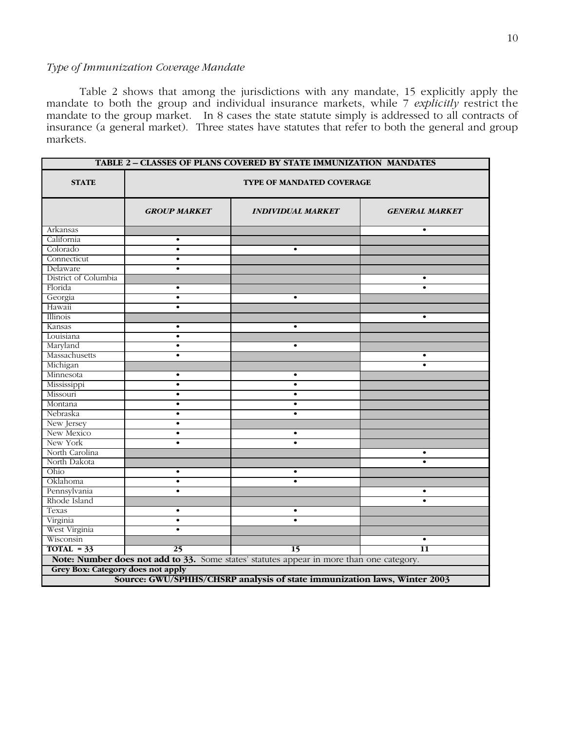# *Type of Immunization Coverage Mandate*

Table 2 shows that among the jurisdictions with any mandate, 15 explicitly apply the mandate to both the group and individual insurance markets, while 7 *explicitly* restrict the mandate to the group market. In 8 cases the state statute simply is addressed to all contracts of insurance (a general market). Three states have statutes that refer to both the general and group markets.

| <b>TABLE 2 - CLASSES OF PLANS COVERED BY STATE IMMUNIZATION MANDATES</b> |                                                                          |                                                                                          |                 |  |  |  |  |
|--------------------------------------------------------------------------|--------------------------------------------------------------------------|------------------------------------------------------------------------------------------|-----------------|--|--|--|--|
| <b>STATE</b>                                                             | <b>TYPE OF MANDATED COVERAGE</b>                                         |                                                                                          |                 |  |  |  |  |
|                                                                          | <b>GROUP MARKET</b><br><b>INDIVIDUAL MARKET</b><br><b>GENERAL MARKET</b> |                                                                                          |                 |  |  |  |  |
| Arkansas                                                                 |                                                                          |                                                                                          | $\bullet$       |  |  |  |  |
| California                                                               | $\bullet$                                                                |                                                                                          |                 |  |  |  |  |
| Colorado                                                                 | $\bullet$                                                                | $\bullet$                                                                                |                 |  |  |  |  |
| Connecticut                                                              | $\bullet$                                                                |                                                                                          |                 |  |  |  |  |
| Delaware                                                                 | $\bullet$                                                                |                                                                                          |                 |  |  |  |  |
| District of Columbia                                                     |                                                                          |                                                                                          | $\bullet$       |  |  |  |  |
| Florida                                                                  | $\bullet$                                                                |                                                                                          | $\bullet$       |  |  |  |  |
| Georgia                                                                  | $\bullet$                                                                | $\bullet$                                                                                |                 |  |  |  |  |
| Hawaii                                                                   | $\bullet$                                                                |                                                                                          |                 |  |  |  |  |
| Illinois                                                                 |                                                                          |                                                                                          | $\bullet$       |  |  |  |  |
| Kansas                                                                   | $\bullet$                                                                | $\bullet$                                                                                |                 |  |  |  |  |
| Louisiana                                                                | $\bullet$                                                                |                                                                                          |                 |  |  |  |  |
| Maryland                                                                 | $\bullet$                                                                | $\bullet$                                                                                |                 |  |  |  |  |
| Massachusetts                                                            | $\bullet$                                                                |                                                                                          | $\bullet$       |  |  |  |  |
| Michigan                                                                 |                                                                          |                                                                                          | $\bullet$       |  |  |  |  |
| Minnesota                                                                | $\bullet$                                                                | $\bullet$                                                                                |                 |  |  |  |  |
| Mississippi                                                              | $\bullet$                                                                | $\bullet$                                                                                |                 |  |  |  |  |
| Missouri                                                                 | $\bullet$                                                                | $\bullet$                                                                                |                 |  |  |  |  |
| Montana                                                                  | $\bullet$                                                                | $\bullet$                                                                                |                 |  |  |  |  |
| Nebraska                                                                 | $\bullet$                                                                | $\bullet$                                                                                |                 |  |  |  |  |
| New Jersey                                                               | $\bullet$                                                                |                                                                                          |                 |  |  |  |  |
| New Mexico                                                               | $\bullet$                                                                | $\bullet$                                                                                |                 |  |  |  |  |
| New York                                                                 | $\bullet$                                                                | $\bullet$                                                                                |                 |  |  |  |  |
| North Carolina                                                           |                                                                          |                                                                                          | $\bullet$       |  |  |  |  |
| North Dakota                                                             |                                                                          |                                                                                          |                 |  |  |  |  |
| Ohio                                                                     | $\bullet$                                                                | $\bullet$                                                                                |                 |  |  |  |  |
| Oklahoma                                                                 | $\bullet$                                                                | $\bullet$                                                                                |                 |  |  |  |  |
| Pennsylvania                                                             | $\bullet$                                                                |                                                                                          | $\bullet$       |  |  |  |  |
| Rhode Island                                                             |                                                                          |                                                                                          | $\bullet$       |  |  |  |  |
| Texas                                                                    | $\bullet$                                                                | $\bullet$                                                                                |                 |  |  |  |  |
| Virginia                                                                 | $\bullet$                                                                | $\bullet$                                                                                |                 |  |  |  |  |
| West Virginia                                                            | $\bullet$                                                                |                                                                                          |                 |  |  |  |  |
| Wisconsin                                                                |                                                                          |                                                                                          | $\bullet$       |  |  |  |  |
| $TOTAL = 33$                                                             | 25                                                                       | $\overline{15}$                                                                          | $\overline{11}$ |  |  |  |  |
|                                                                          |                                                                          | Note: Number does not add to 33. Some states' statutes appear in more than one category. |                 |  |  |  |  |
| Grey Box: Category does not apply                                        |                                                                          |                                                                                          |                 |  |  |  |  |
|                                                                          |                                                                          |                                                                                          |                 |  |  |  |  |
| Source: GWU/SPHHS/CHSRP analysis of state immunization laws, Winter 2003 |                                                                          |                                                                                          |                 |  |  |  |  |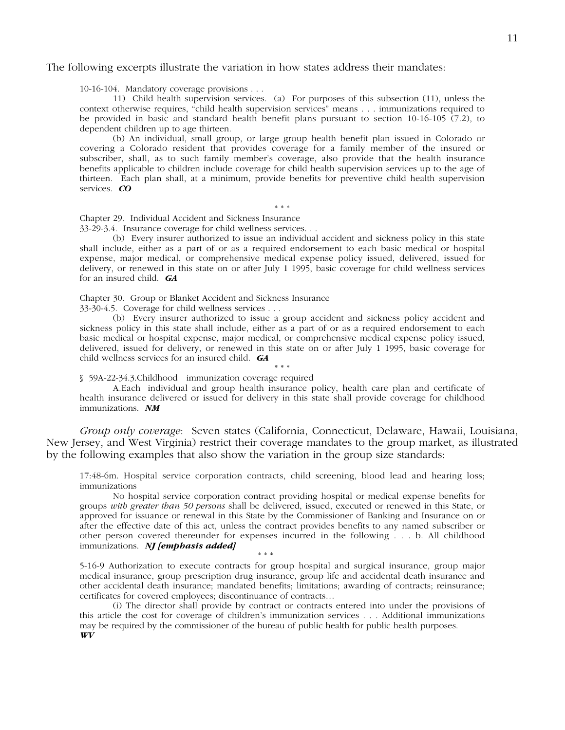# The following excerpts illustrate the variation in how states address their mandates:

10-16-104. Mandatory coverage provisions . . .

11) Child health supervision services. (a) For purposes of this subsection (11), unless the context otherwise requires, "child health supervision services" means . . . immunizations required to be provided in basic and standard health benefit plans pursuant to section 10-16-105 (7.2), to dependent children up to age thirteen.

(b) An individual, small group, or large group health benefit plan issued in Colorado or covering a Colorado resident that provides coverage for a family member of the insured or subscriber, shall, as to such family member's coverage, also provide that the health insurance benefits applicable to children include coverage for child health supervision services up to the age of thirteen. Each plan shall, at a minimum, provide benefits for preventive child health supervision services. *CO*

\* \* \*

Chapter 29. Individual Accident and Sickness Insurance

33-29-3.4. Insurance coverage for child wellness services. . .

(b) Every insurer authorized to issue an individual accident and sickness policy in this state shall include, either as a part of or as a required endorsement to each basic medical or hospital expense, major medical, or comprehensive medical expense policy issued, delivered, issued for delivery, or renewed in this state on or after July 1 1995, basic coverage for child wellness services for an insured child. *GA*

Chapter 30. Group or Blanket Accident and Sickness Insurance

33-30-4.5. Coverage for child wellness services . . .

(b) Every insurer authorized to issue a group accident and sickness policy accident and sickness policy in this state shall include, either as a part of or as a required endorsement to each basic medical or hospital expense, major medical, or comprehensive medical expense policy issued, delivered, issued for delivery, or renewed in this state on or after July 1 1995, basic coverage for child wellness services for an insured child. *GA*

\* \* \* § 59A-22-34.3. Childhood immunization coverage required

A. Each individual and group health insurance policy, health care plan and certificate of health insurance delivered or issued for delivery in this state shall provide coverage for childhood immunizations. *NM*

*Group only coverage*: Seven states (California, Connecticut, Delaware, Hawaii, Louisiana, New Jersey, and West Virginia) restrict their coverage mandates to the group market, as illustrated by the following examples that also show the variation in the group size standards:

17:48-6m. Hospital service corporation contracts, child screening, blood lead and hearing loss; immunizations

No hospital service corporation contract providing hospital or medical expense benefits for groups *with greater than 50 persons* shall be delivered, issued, executed or renewed in this State, or approved for issuance or renewal in this State by the Commissioner of Banking and Insurance on or after the effective date of this act, unless the contract provides benefits to any named subscriber or other person covered thereunder for expenses incurred in the following . . . b. All childhood immunizations. *NJ [emphasis added]*

5-16-9 Authorization to execute contracts for group hospital and surgical insurance, group major medical insurance, group prescription drug insurance, group life and accidental death insurance and other accidental death insurance; mandated benefits; limitations; awarding of contracts; reinsurance; certificates for covered employees; discontinuance of contracts…

\* \* \*

(i) The director shall provide by contract or contracts entered into under the provisions of this article the cost for coverage of children's immunization services . . . Additional immunizations may be required by the commissioner of the bureau of public health for public health purposes. *WV*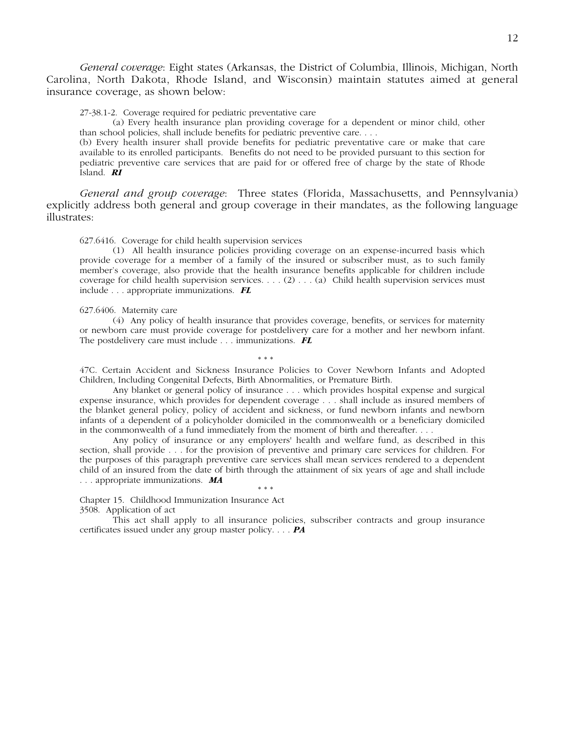*General coverage*: Eight states (Arkansas, the District of Columbia, Illinois, Michigan, North Carolina, North Dakota, Rhode Island, and Wisconsin) maintain statutes aimed at general insurance coverage, as shown below:

27-38.1-2. Coverage required for pediatric preventative care

(a) Every health insurance plan providing coverage for a dependent or minor child, other than school policies, shall include benefits for pediatric preventive care. . . .

(b) Every health insurer shall provide benefits for pediatric preventative care or make that care available to its enrolled participants. Benefits do not need to be provided pursuant to this section for pediatric preventive care services that are paid for or offered free of charge by the state of Rhode Island. *RI*

*General and group coverage*: Three states (Florida, Massachusetts, and Pennsylvania) explicitly address both general and group coverage in their mandates, as the following language illustrates:

627.6416. Coverage for child health supervision services

(1) All health insurance policies providing coverage on an expense-incurred basis which provide coverage for a member of a family of the insured or subscriber must, as to such family member's coverage, also provide that the health insurance benefits applicable for children include coverage for child health supervision services. . . . (2) . . . (a) Child health supervision services must include . . . appropriate immunizations. *FL*

627.6406. Maternity care

(4) Any policy of health insurance that provides coverage, benefits, or services for maternity or newborn care must provide coverage for postdelivery care for a mother and her newborn infant. The postdelivery care must include . . . immunizations. *FL*

\* \* \*

47C. Certain Accident and Sickness Insurance Policies to Cover Newborn Infants and Adopted Children, Including Congenital Defects, Birth Abnormalities, or Premature Birth.

Any blanket or general policy of insurance . . . which provides hospital expense and surgical expense insurance, which provides for dependent coverage . . . shall include as insured members of the blanket general policy, policy of accident and sickness, or fund newborn infants and newborn infants of a dependent of a policyholder domiciled in the commonwealth or a beneficiary domiciled in the commonwealth of a fund immediately from the moment of birth and thereafter. . . .

Any policy of insurance or any employers' health and welfare fund, as described in this section, shall provide . . . for the provision of preventive and primary care services for children. For the purposes of this paragraph preventive care services shall mean services rendered to a dependent child of an insured from the date of birth through the attainment of six years of age and shall include . . . appropriate immunizations. *MA* \* \* \*

Chapter 15. Childhood Immunization Insurance Act

3508. Application of act

This act shall apply to all insurance policies, subscriber contracts and group insurance certificates issued under any group master policy. . . . *PA*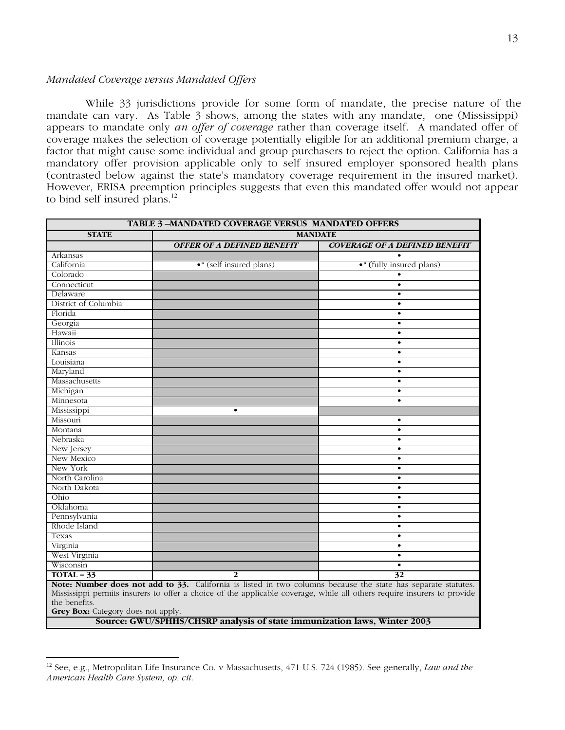# *Mandated Coverage versus Mandated Offers*

 While 33 jurisdictions provide for some form of mandate, the precise nature of the mandate can vary. As Table 3 shows, among the states with any mandate, one (Mississippi) appears to mandate only *an offer of coverage* rather than coverage itself. A mandated offer of coverage makes the selection of coverage potentially eligible for an additional premium charge, a factor that might cause some individual and group purchasers to reject the option. California has a mandatory offer provision applicable only to self insured employer sponsored health plans (contrasted below against the state's mandatory coverage requirement in the insured market). However, ERISA preemption principles suggests that even this mandated offer would not appear to bind self insured plans.<sup>12</sup>

|                                                                                                                                                                                                                                          | <b>TABLE 3-MANDATED COVERAGE VERSUS MANDATED OFFERS</b> |                                      |  |  |  |
|------------------------------------------------------------------------------------------------------------------------------------------------------------------------------------------------------------------------------------------|---------------------------------------------------------|--------------------------------------|--|--|--|
| <b>STATE</b>                                                                                                                                                                                                                             | <b>MANDATE</b>                                          |                                      |  |  |  |
|                                                                                                                                                                                                                                          | <b>OFFER OF A DEFINED BENEFIT</b>                       | <b>COVERAGE OF A DEFINED BENEFIT</b> |  |  |  |
| Arkansas                                                                                                                                                                                                                                 |                                                         |                                      |  |  |  |
| California                                                                                                                                                                                                                               | $\bullet^*$ (self insured plans)                        | • (fully insured plans)              |  |  |  |
| Colorado                                                                                                                                                                                                                                 |                                                         |                                      |  |  |  |
| Connecticut                                                                                                                                                                                                                              |                                                         | $\bullet$                            |  |  |  |
| Delaware                                                                                                                                                                                                                                 |                                                         | $\bullet$                            |  |  |  |
| District of Columbia                                                                                                                                                                                                                     |                                                         | ٠                                    |  |  |  |
| Florida                                                                                                                                                                                                                                  |                                                         | $\bullet$                            |  |  |  |
| Georgia                                                                                                                                                                                                                                  |                                                         | $\bullet$                            |  |  |  |
| Hawaii                                                                                                                                                                                                                                   |                                                         | $\bullet$                            |  |  |  |
| Illinois                                                                                                                                                                                                                                 |                                                         | $\bullet$                            |  |  |  |
| Kansas                                                                                                                                                                                                                                   |                                                         | $\bullet$                            |  |  |  |
| Louisiana                                                                                                                                                                                                                                |                                                         | ٠                                    |  |  |  |
| Maryland                                                                                                                                                                                                                                 |                                                         | $\bullet$                            |  |  |  |
| Massachusetts                                                                                                                                                                                                                            |                                                         | $\bullet$                            |  |  |  |
| Michigan                                                                                                                                                                                                                                 |                                                         | $\bullet$                            |  |  |  |
| Minnesota                                                                                                                                                                                                                                |                                                         | $\bullet$                            |  |  |  |
| Mississippi                                                                                                                                                                                                                              | $\bullet$                                               |                                      |  |  |  |
| Missouri                                                                                                                                                                                                                                 |                                                         | $\bullet$                            |  |  |  |
| Montana                                                                                                                                                                                                                                  |                                                         | $\bullet$                            |  |  |  |
| Nebraska                                                                                                                                                                                                                                 |                                                         | $\bullet$                            |  |  |  |
| New Jersey                                                                                                                                                                                                                               |                                                         | $\bullet$                            |  |  |  |
| New Mexico                                                                                                                                                                                                                               |                                                         | $\bullet$                            |  |  |  |
| New York                                                                                                                                                                                                                                 |                                                         | ٠                                    |  |  |  |
| North Carolina                                                                                                                                                                                                                           |                                                         | $\bullet$                            |  |  |  |
| North Dakota                                                                                                                                                                                                                             |                                                         | $\bullet$                            |  |  |  |
| Ohio                                                                                                                                                                                                                                     |                                                         |                                      |  |  |  |
| Oklahoma                                                                                                                                                                                                                                 |                                                         | $\bullet$                            |  |  |  |
| Pennsylvania                                                                                                                                                                                                                             |                                                         | $\bullet$                            |  |  |  |
| Rhode Island                                                                                                                                                                                                                             |                                                         | $\bullet$                            |  |  |  |
| Texas                                                                                                                                                                                                                                    |                                                         | $\bullet$                            |  |  |  |
| Virginia                                                                                                                                                                                                                                 |                                                         | $\bullet$                            |  |  |  |
| West Virginia                                                                                                                                                                                                                            |                                                         | $\bullet$                            |  |  |  |
| Wisconsin                                                                                                                                                                                                                                |                                                         | $\bullet$                            |  |  |  |
| $TOTAL = 33$                                                                                                                                                                                                                             | 2                                                       | 32                                   |  |  |  |
| Note: Number does not add to 33. California is listed in two columns because the state has separate statutes.<br>Mississippi permits insurers to offer a choice of the applicable coverage, while all others require insurers to provide |                                                         |                                      |  |  |  |

the benefits.

**Grey Box:** Category does not apply.

**Source: GWU/SPHHS/CHSRP analysis of state immunization laws, Winter 2003**

 <sup>12</sup> See, e.g., Metropolitan Life Insurance Co. v Massachusetts, 471 U.S. 724 (1985). See generally, *Law and the American Health Care System, op. cit.*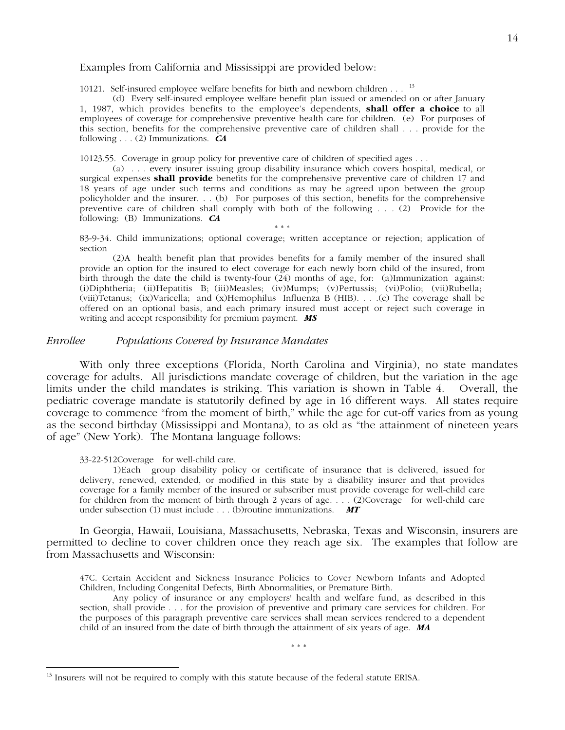# Examples from California and Mississippi are provided below:

10121. Self-insured employee welfare benefits for birth and newborn children . . . <sup>13</sup>

(d) Every self-insured employee welfare benefit plan issued or amended on or after January 1, 1987, which provides benefits to the employee's dependents, **shall offer a choice** to all employees of coverage for comprehensive preventive health care for children. (e) For purposes of this section, benefits for the comprehensive preventive care of children shall . . . provide for the following . . . (2) Immunizations. *CA*

10123.55. Coverage in group policy for preventive care of children of specified ages . . .

(a) . . . every insurer issuing group disability insurance which covers hospital, medical, or surgical expenses **shall provide** benefits for the comprehensive preventive care of children 17 and 18 years of age under such terms and conditions as may be agreed upon between the group policyholder and the insurer. . . (b) For purposes of this section, benefits for the comprehensive preventive care of children shall comply with both of the following . . . (2) Provide for the following: (B) Immunizations. *CA*

\* \* \* 83-9-34. Child immunizations; optional coverage; written acceptance or rejection; application of section

(2) A health benefit plan that provides benefits for a family member of the insured shall provide an option for the insured to elect coverage for each newly born child of the insured, from birth through the date the child is twenty-four  $(24)$  months of age, for: (a) Immunization against: (i) Diphtheria; (ii) Hepatitis B; (iii) Measles; (iv) Mumps; (v) Pertussis; (vi) Polio; (vii) Rubella; (viii) Tetanus; (ix) Varicella; and (x) Hemophilus Influenza B (HIB). . . .(c) The coverage shall be offered on an optional basis, and each primary insured must accept or reject such coverage in writing and accept responsibility for premium payment. *MS*

# *Enrollee Populations Covered by Insurance Mandates*

With only three exceptions (Florida, North Carolina and Virginia), no state mandates coverage for adults. All jurisdictions mandate coverage of children, but the variation in the age limits under the child mandates is striking. This variation is shown in Table 4. Overall, the pediatric coverage mandate is statutorily defined by age in 16 different ways. All states require coverage to commence "from the moment of birth," while the age for cut-off varies from as young as the second birthday (Mississippi and Montana), to as old as "the attainment of nineteen years of age" (New York). The Montana language follows:

33-22-512 Coverage for well-child care.

1) Each group disability policy or certificate of insurance that is delivered, issued for delivery, renewed, extended, or modified in this state by a disability insurer and that provides coverage for a family member of the insured or subscriber must provide coverage for well-child care for children from the moment of birth through 2 years of age. . . . (2) Coverage for well-child care under subsection (1) must include . . . (b) routine immunizations. **MT** 

In Georgia, Hawaii, Louisiana, Massachusetts, Nebraska, Texas and Wisconsin, insurers are permitted to decline to cover children once they reach age six. The examples that follow are from Massachusetts and Wisconsin:

47C. Certain Accident and Sickness Insurance Policies to Cover Newborn Infants and Adopted Children, Including Congenital Defects, Birth Abnormalities, or Premature Birth.

Any policy of insurance or any employers' health and welfare fund, as described in this section, shall provide . . . for the provision of preventive and primary care services for children. For the purposes of this paragraph preventive care services shall mean services rendered to a dependent child of an insured from the date of birth through the attainment of six years of age. *MA*

\* \* \*

<sup>&</sup>lt;sup>13</sup> Insurers will not be required to comply with this statute because of the federal statute ERISA.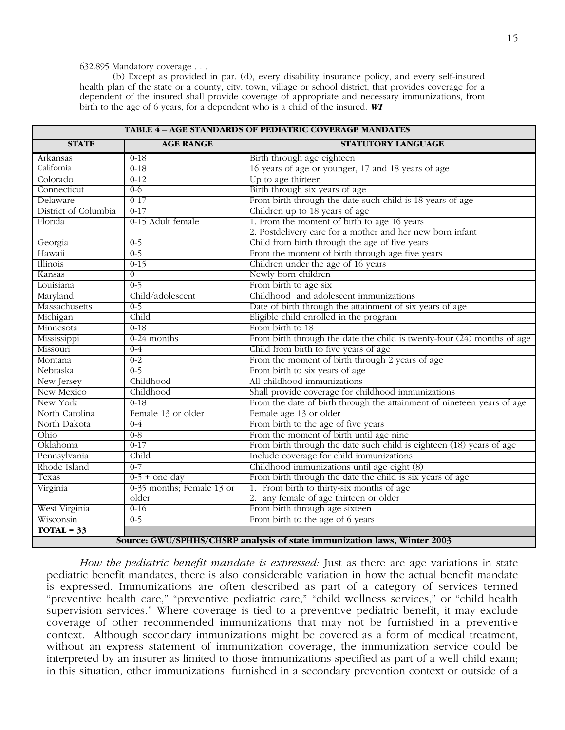# 632.895 Mandatory coverage . . .

(b) Except as provided in par. (d), every disability insurance policy, and every self-insured health plan of the state or a county, city, town, village or school district, that provides coverage for a dependent of the insured shall provide coverage of appropriate and necessary immunizations, from birth to the age of 6 years, for a dependent who is a child of the insured. *WI*

| <b>TABLE 4 - AGE STANDARDS OF PEDIATRIC COVERAGE MANDATES</b> |                           |                                                                          |  |  |
|---------------------------------------------------------------|---------------------------|--------------------------------------------------------------------------|--|--|
| <b>STATE</b>                                                  | <b>AGE RANGE</b>          | <b>STATUTORY LANGUAGE</b>                                                |  |  |
| Arkansas                                                      | $0-18$                    | Birth through age eighteen                                               |  |  |
| California                                                    | $0 - 18$                  | 16 years of age or younger, 17 and 18 years of age                       |  |  |
| Colorado                                                      | $0 - 12$                  | Up to age thirteen                                                       |  |  |
| Connecticut                                                   | $0 - 6$                   | Birth through six years of age                                           |  |  |
| Delaware                                                      | $0 - 17$                  | From birth through the date such child is 18 years of age                |  |  |
| District of Columbia                                          | $0-17$                    | Children up to 18 years of age                                           |  |  |
| Florida                                                       | 0-15 Adult female         | 1. From the moment of birth to age 16 years                              |  |  |
|                                                               |                           | 2. Postdelivery care for a mother and her new born infant                |  |  |
| Georgia                                                       | $0-5$                     | Child from birth through the age of five years                           |  |  |
| Hawaii                                                        | $0 - 5$                   | From the moment of birth through age five years                          |  |  |
| Illinois                                                      | $0-15$                    | Children under the age of 16 years                                       |  |  |
| Kansas                                                        | $\overline{0}$            | Newly born children                                                      |  |  |
| Louisiana                                                     | $0 - 5$                   | From birth to age six                                                    |  |  |
| Maryland                                                      | Child/adolescent          | Childhood and adolescent immunizations                                   |  |  |
| Massachusetts                                                 | $0 - 5$                   | Date of birth through the attainment of six years of age                 |  |  |
| Michigan                                                      | Child                     | Eligible child enrolled in the program                                   |  |  |
| Minnesota                                                     | $0 - 18$                  | From birth to 18                                                         |  |  |
| Mississippi                                                   | $0-24$ months             | From birth through the date the child is twenty-four (24) months of age  |  |  |
| Missouri                                                      | $0 - 4$                   | Child from birth to five years of age                                    |  |  |
| Montana                                                       | $0 - 2$                   | From the moment of birth through 2 years of age                          |  |  |
| Nebraska                                                      | $0 - 5$                   | From birth to six years of age                                           |  |  |
| New Jersey                                                    | Childhood                 | All childhood immunizations                                              |  |  |
| <b>New Mexico</b>                                             | Childhood                 | Shall provide coverage for childhood immunizations                       |  |  |
| New York                                                      | $0 - 18$                  | From the date of birth through the attainment of nineteen years of age   |  |  |
| North Carolina                                                | Female 13 or older        | Female age 13 or older                                                   |  |  |
| North Dakota                                                  | $0 - 4$                   | From birth to the age of five years                                      |  |  |
| Ohio                                                          | $0 - 8$                   | From the moment of birth until age nine                                  |  |  |
| Oklahoma                                                      | $0 - 17$                  | From birth through the date such child is eighteen (18) years of age     |  |  |
| Pennsylvania                                                  | Child                     | Include coverage for child immunizations                                 |  |  |
| Rhode Island                                                  | $0 - 7$                   | Childhood immunizations until age eight (8)                              |  |  |
| Texas                                                         | $0-5 +$ one day           | From birth through the date the child is six years of age                |  |  |
| Virginia                                                      | 0-35 months; Female 13 or | 1. From birth to thirty-six months of age                                |  |  |
|                                                               | older                     | 2. any female of age thirteen or older                                   |  |  |
| West Virginia                                                 | $0-16$                    | From birth through age sixteen                                           |  |  |
| Wisconsin                                                     | $0 - 5$                   | From birth to the age of 6 years                                         |  |  |
| $TOTAL = 33$                                                  |                           |                                                                          |  |  |
|                                                               |                           | Source: GWU/SPHHS/CHSRP analysis of state immunization laws, Winter 2003 |  |  |

*How the pediatric benefit mandate is expressed:* Just as there are age variations in state pediatric benefit mandates, there is also considerable variation in how the actual benefit mandate is expressed. Immunizations are often described as part of a category of services termed "preventive health care," "preventive pediatric care," "child wellness services," or "child health supervision services." Where coverage is tied to a preventive pediatric benefit, it may exclude coverage of other recommended immunizations that may not be furnished in a preventive context. Although secondary immunizations might be covered as a form of medical treatment, without an express statement of immunization coverage, the immunization service could be interpreted by an insurer as limited to those immunizations specified as part of a well child exam; in this situation, other immunizations furnished in a secondary prevention context or outside of a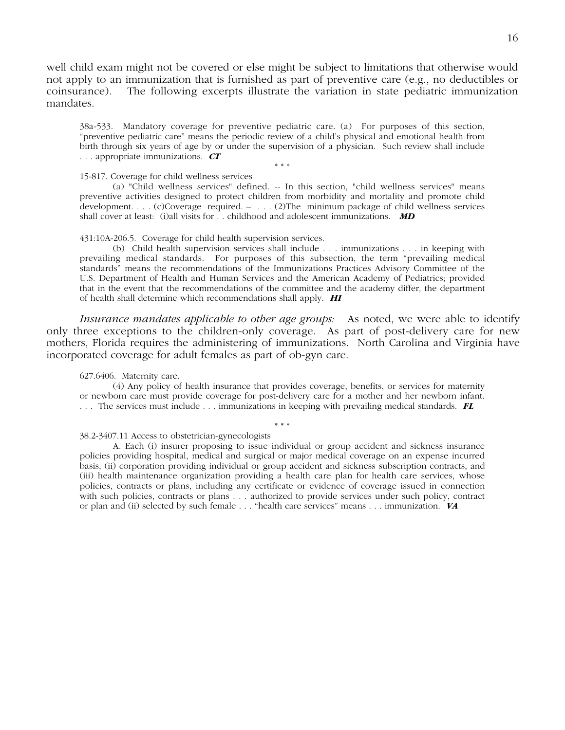well child exam might not be covered or else might be subject to limitations that otherwise would not apply to an immunization that is furnished as part of preventive care (e.g., no deductibles or coinsurance). The following excerpts illustrate the variation in state pediatric immunization mandates.

38a-533. Mandatory coverage for preventive pediatric care. (a) For purposes of this section, "preventive pediatric care" means the periodic review of a child's physical and emotional health from birth through six years of age by or under the supervision of a physician. Such review shall include . . . appropriate immunizations. *CT*

\* \* \*

15-817. Coverage for child wellness services

(a) "Child wellness services" defined. -- In this section, "child wellness services" means preventive activities designed to protect children from morbidity and mortality and promote child development. . . . (c) Coverage required. – . . . (2) The minimum package of child wellness services shall cover at least: (i) all visits for . . childhood and adolescent immunizations. **MD** 

431:10A-206.5. Coverage for child health supervision services.

(b) Child health supervision services shall include . . . immunizations . . . in keeping with prevailing medical standards. For purposes of this subsection, the term "prevailing medical standards" means the recommendations of the Immunizations Practices Advisory Committee of the U.S. Department of Health and Human Services and the American Academy of Pediatrics; provided that in the event that the recommendations of the committee and the academy differ, the department of health shall determine which recommendations shall apply. *HI*

*Insurance mandates applicable to other age groups:* As noted, we were able to identify only three exceptions to the children-only coverage. As part of post-delivery care for new mothers, Florida requires the administering of immunizations. North Carolina and Virginia have incorporated coverage for adult females as part of ob-gyn care.

627.6406. Maternity care.

(4) Any policy of health insurance that provides coverage, benefits, or services for maternity or newborn care must provide coverage for post-delivery care for a mother and her newborn infant. . . . The services must include . . . immunizations in keeping with prevailing medical standards. *FL*

\* \* \*

38.2-3407.11 Access to obstetrician-gynecologists

A. Each (i) insurer proposing to issue individual or group accident and sickness insurance policies providing hospital, medical and surgical or major medical coverage on an expense incurred basis, (ii) corporation providing individual or group accident and sickness subscription contracts, and (iii) health maintenance organization providing a health care plan for health care services, whose policies, contracts or plans, including any certificate or evidence of coverage issued in connection with such policies, contracts or plans . . . authorized to provide services under such policy, contract or plan and (ii) selected by such female . . . "health care services" means . . . immunization. *VA*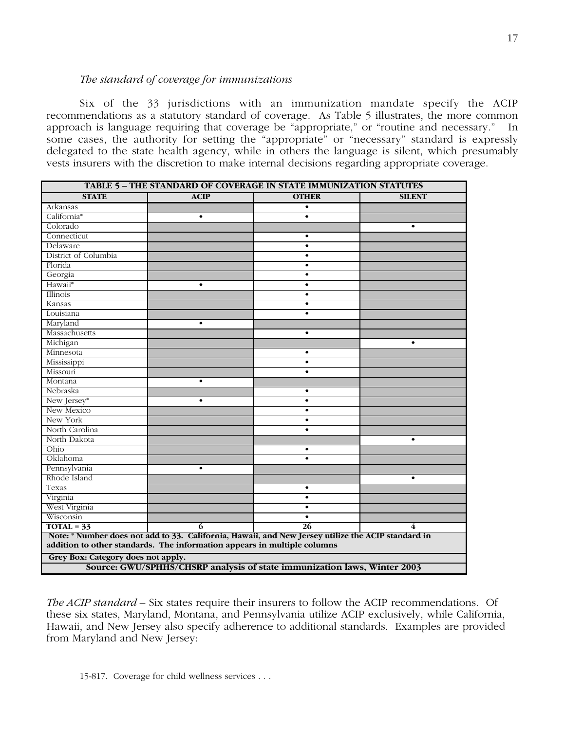# *The standard of coverage for immunizations*

Six of the 33 jurisdictions with an immunization mandate specify the ACIP recommendations as a statutory standard of coverage. As Table 5 illustrates, the more common approach is language requiring that coverage be "appropriate," or "routine and necessary." In some cases, the authority for setting the "appropriate" or "necessary" standard is expressly delegated to the state health agency, while in others the language is silent, which presumably vests insurers with the discretion to make internal decisions regarding appropriate coverage.

| TABLE 5 - THE STANDARD OF COVERAGE IN STATE IMMUNIZATION STATUTES                                                                                                              |             |              |               |  |  |  |
|--------------------------------------------------------------------------------------------------------------------------------------------------------------------------------|-------------|--------------|---------------|--|--|--|
| <b>STATE</b>                                                                                                                                                                   | <b>ACIP</b> | <b>OTHER</b> | <b>SILENT</b> |  |  |  |
| Arkansas                                                                                                                                                                       |             | $\bullet$    |               |  |  |  |
| California*                                                                                                                                                                    | $\bullet$   | $\bullet$    |               |  |  |  |
| Colorado                                                                                                                                                                       |             |              | $\bullet$     |  |  |  |
| Connecticut                                                                                                                                                                    |             | $\bullet$    |               |  |  |  |
| Delaware                                                                                                                                                                       |             | $\bullet$    |               |  |  |  |
| District of Columbia                                                                                                                                                           |             | $\bullet$    |               |  |  |  |
| Florida                                                                                                                                                                        |             | $\bullet$    |               |  |  |  |
| Georgia                                                                                                                                                                        |             | $\bullet$    |               |  |  |  |
| Hawaii*                                                                                                                                                                        | $\bullet$   | $\bullet$    |               |  |  |  |
| Illinois                                                                                                                                                                       |             | $\bullet$    |               |  |  |  |
| Kansas                                                                                                                                                                         |             | $\bullet$    |               |  |  |  |
| Louisiana                                                                                                                                                                      |             | $\bullet$    |               |  |  |  |
| Maryland                                                                                                                                                                       | $\bullet$   |              |               |  |  |  |
| Massachusetts                                                                                                                                                                  |             | $\bullet$    |               |  |  |  |
| Michigan                                                                                                                                                                       |             |              | $\bullet$     |  |  |  |
| Minnesota                                                                                                                                                                      |             | $\bullet$    |               |  |  |  |
| Mississippi                                                                                                                                                                    |             | $\bullet$    |               |  |  |  |
| Missouri                                                                                                                                                                       |             | $\bullet$    |               |  |  |  |
| Montana                                                                                                                                                                        | $\bullet$   |              |               |  |  |  |
| Nebraska                                                                                                                                                                       |             | $\bullet$    |               |  |  |  |
| New Jersey*                                                                                                                                                                    | $\bullet$   | $\bullet$    |               |  |  |  |
| New Mexico                                                                                                                                                                     |             | $\bullet$    |               |  |  |  |
| New York                                                                                                                                                                       |             | $\bullet$    |               |  |  |  |
| North Carolina<br>$\bullet$                                                                                                                                                    |             |              |               |  |  |  |
| North Dakota                                                                                                                                                                   |             |              | $\bullet$     |  |  |  |
| Ohio                                                                                                                                                                           |             | $\bullet$    |               |  |  |  |
| Oklahoma                                                                                                                                                                       |             | $\bullet$    |               |  |  |  |
| Pennsylvania                                                                                                                                                                   | $\bullet$   |              |               |  |  |  |
| Rhode Island                                                                                                                                                                   |             |              | $\bullet$     |  |  |  |
| Texas                                                                                                                                                                          |             | $\bullet$    |               |  |  |  |
| Virginia                                                                                                                                                                       |             | $\bullet$    |               |  |  |  |
| West Virginia                                                                                                                                                                  |             | $\bullet$    |               |  |  |  |
| Wisconsin                                                                                                                                                                      |             | $\bullet$    |               |  |  |  |
| $TOTAL = 33$                                                                                                                                                                   | 6           | 26           | 4             |  |  |  |
| Note: * Number does not add to 33. California, Hawaii, and New Jersey utilize the ACIP standard in<br>addition to other standards. The information appears in multiple columns |             |              |               |  |  |  |
| Grey Box: Category does not apply.                                                                                                                                             |             |              |               |  |  |  |
| Source: GWU/SPHHS/CHSRP analysis of state immunization laws, Winter 2003                                                                                                       |             |              |               |  |  |  |

*The ACIP standard –* Six states require their insurers to follow the ACIP recommendations. Of these six states, Maryland, Montana, and Pennsylvania utilize ACIP exclusively, while California, Hawaii, and New Jersey also specify adherence to additional standards. Examples are provided from Maryland and New Jersey: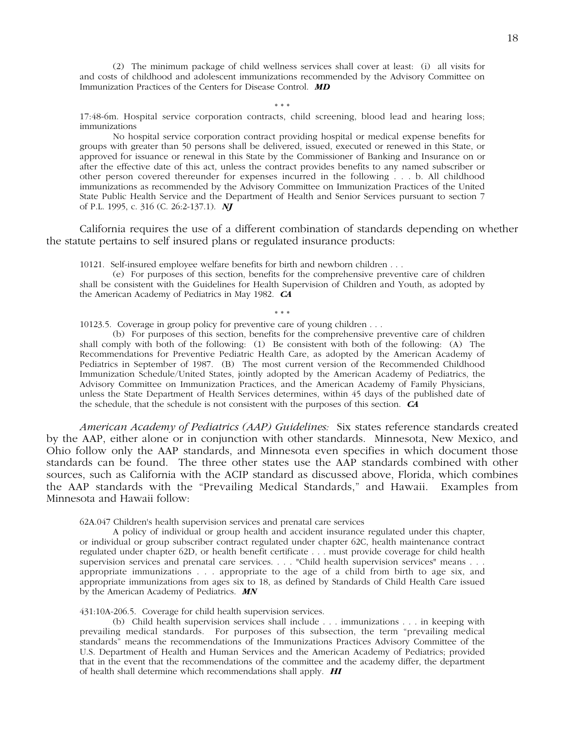(2) The minimum package of child wellness services shall cover at least: (i) all visits for and costs of childhood and adolescent immunizations recommended by the Advisory Committee on Immunization Practices of the Centers for Disease Control. *MD*

\* \* \*

17:48-6m. Hospital service corporation contracts, child screening, blood lead and hearing loss; immunizations

No hospital service corporation contract providing hospital or medical expense benefits for groups with greater than 50 persons shall be delivered, issued, executed or renewed in this State, or approved for issuance or renewal in this State by the Commissioner of Banking and Insurance on or after the effective date of this act, unless the contract provides benefits to any named subscriber or other person covered thereunder for expenses incurred in the following . . . b. All childhood immunizations as recommended by the Advisory Committee on Immunization Practices of the United State Public Health Service and the Department of Health and Senior Services pursuant to section 7 of P.L. 1995, c. 316 (C. 26:2-137.1). *NJ*

California requires the use of a different combination of standards depending on whether the statute pertains to self insured plans or regulated insurance products:

10121. Self-insured employee welfare benefits for birth and newborn children . . .

(e) For purposes of this section, benefits for the comprehensive preventive care of children shall be consistent with the Guidelines for Health Supervision of Children and Youth, as adopted by the American Academy of Pediatrics in May 1982. *CA*

\* \* \* 10123.5. Coverage in group policy for preventive care of young children . . .

(b) For purposes of this section, benefits for the comprehensive preventive care of children shall comply with both of the following: (1) Be consistent with both of the following: (A) The Recommendations for Preventive Pediatric Health Care, as adopted by the American Academy of Pediatrics in September of 1987. (B) The most current version of the Recommended Childhood Immunization Schedule/United States, jointly adopted by the American Academy of Pediatrics, the Advisory Committee on Immunization Practices, and the American Academy of Family Physicians, unless the State Department of Health Services determines, within 45 days of the published date of the schedule, that the schedule is not consistent with the purposes of this section. *CA*

*American Academy of Pediatrics (AAP) Guidelines:* Six states reference standards created by the AAP, either alone or in conjunction with other standards. Minnesota, New Mexico, and Ohio follow only the AAP standards, and Minnesota even specifies in which document those standards can be found. The three other states use the AAP standards combined with other sources, such as California with the ACIP standard as discussed above, Florida, which combines the AAP standards with the "Prevailing Medical Standards," and Hawaii. Examples from Minnesota and Hawaii follow:

62A.047 Children's health supervision services and prenatal care services

A policy of individual or group health and accident insurance regulated under this chapter, or individual or group subscriber contract regulated under chapter 62C, health maintenance contract regulated under chapter 62D, or health benefit certificate . . . must provide coverage for child health supervision services and prenatal care services. . . . "Child health supervision services" means . . . appropriate immunizations . . . appropriate to the age of a child from birth to age six, and appropriate immunizations from ages six to 18, as defined by Standards of Child Health Care issued by the American Academy of Pediatrics. *MN*

431:10A-206.5. Coverage for child health supervision services.

(b) Child health supervision services shall include . . . immunizations . . . in keeping with prevailing medical standards. For purposes of this subsection, the term "prevailing medical standards" means the recommendations of the Immunizations Practices Advisory Committee of the U.S. Department of Health and Human Services and the American Academy of Pediatrics; provided that in the event that the recommendations of the committee and the academy differ, the department of health shall determine which recommendations shall apply. *HI*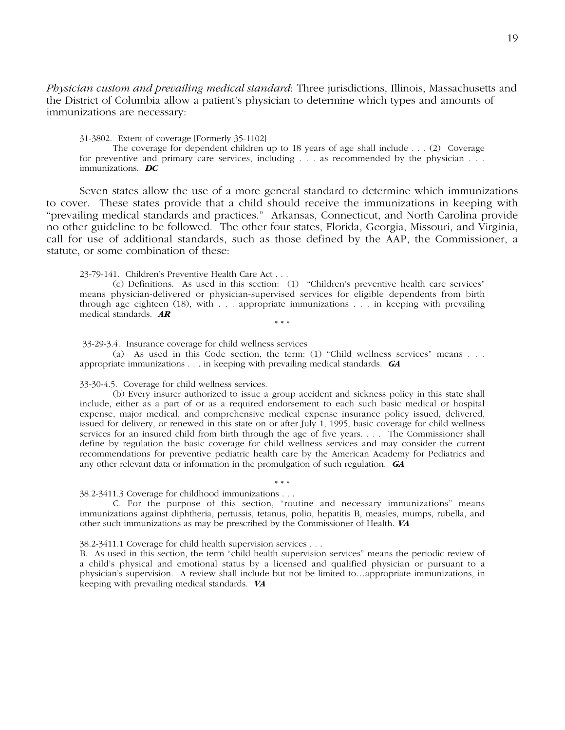*Physician custom and prevailing medical standard*: Three jurisdictions, Illinois, Massachusetts and the District of Columbia allow a patient's physician to determine which types and amounts of immunizations are necessary:

31-3802. Extent of coverage [Formerly 35-1102]

The coverage for dependent children up to 18 years of age shall include . . . (2) Coverage for preventive and primary care services, including . . . as recommended by the physician . . . immunizations. *DC*

Seven states allow the use of a more general standard to determine which immunizations to cover. These states provide that a child should receive the immunizations in keeping with "prevailing medical standards and practices." Arkansas, Connecticut, and North Carolina provide no other guideline to be followed. The other four states, Florida, Georgia, Missouri, and Virginia, call for use of additional standards, such as those defined by the AAP, the Commissioner, a statute, or some combination of these:

23-79-141. Children's Preventive Health Care Act . . .

(c) Definitions. As used in this section: (1) "Children's preventive health care services" means physician-delivered or physician-supervised services for eligible dependents from birth through age eighteen (18), with . . . appropriate immunizations . . . in keeping with prevailing medical standards. *AR*

\* \* \*

33-29-3.4. Insurance coverage for child wellness services

(a) As used in this Code section, the term: (1) "Child wellness services" means . . . appropriate immunizations . . . in keeping with prevailing medical standards. *GA*

33-30-4.5. Coverage for child wellness services.

(b) Every insurer authorized to issue a group accident and sickness policy in this state shall include, either as a part of or as a required endorsement to each such basic medical or hospital expense, major medical, and comprehensive medical expense insurance policy issued, delivered, issued for delivery, or renewed in this state on or after July 1, 1995, basic coverage for child wellness services for an insured child from birth through the age of five years. . . . The Commissioner shall define by regulation the basic coverage for child wellness services and may consider the current recommendations for preventive pediatric health care by the American Academy for Pediatrics and any other relevant data or information in the promulgation of such regulation. *GA*

\* \* \* 38.2-3411.3 Coverage for childhood immunizations . . .

C. For the purpose of this section, "routine and necessary immunizations" means immunizations against diphtheria, pertussis, tetanus, polio, hepatitis B, measles, mumps, rubella, and other such immunizations as may be prescribed by the Commissioner of Health. *VA*

38.2-3411.1 Coverage for child health supervision services . . .

B. As used in this section, the term "child health supervision services" means the periodic review of a child's physical and emotional status by a licensed and qualified physician or pursuant to a physician's supervision. A review shall include but not be limited to…appropriate immunizations, in keeping with prevailing medical standards. *VA*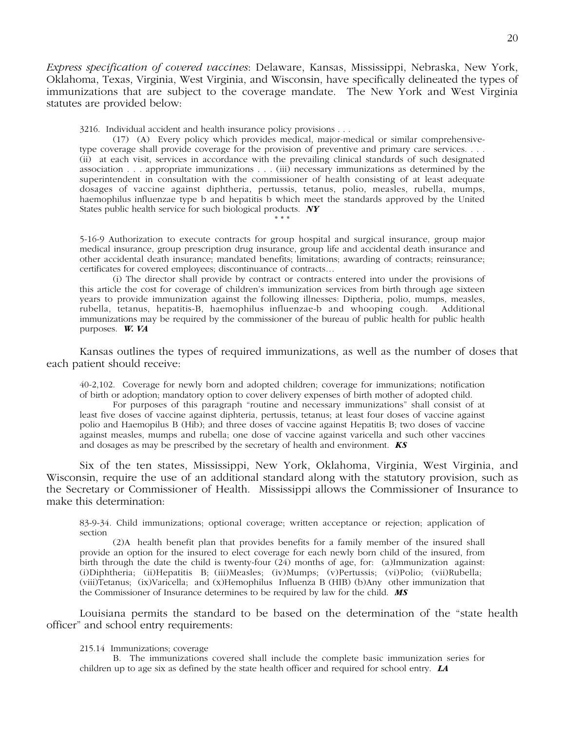*Express specification of covered vaccines*: Delaware, Kansas, Mississippi, Nebraska, New York, Oklahoma, Texas, Virginia, West Virginia, and Wisconsin, have specifically delineated the types of immunizations that are subject to the coverage mandate. The New York and West Virginia statutes are provided below:

3216. Individual accident and health insurance policy provisions . . .

(17) (A) Every policy which provides medical, major-medical or similar comprehensivetype coverage shall provide coverage for the provision of preventive and primary care services. . . . (ii) at each visit, services in accordance with the prevailing clinical standards of such designated association . . . appropriate immunizations . . . (iii) necessary immunizations as determined by the superintendent in consultation with the commissioner of health consisting of at least adequate dosages of vaccine against diphtheria, pertussis, tetanus, polio, measles, rubella, mumps, haemophilus influenzae type b and hepatitis b which meet the standards approved by the United States public health service for such biological products. *NY*

5-16-9 Authorization to execute contracts for group hospital and surgical insurance, group major medical insurance, group prescription drug insurance, group life and accidental death insurance and other accidental death insurance; mandated benefits; limitations; awarding of contracts; reinsurance; certificates for covered employees; discontinuance of contracts…

\* \* \*

(i) The director shall provide by contract or contracts entered into under the provisions of this article the cost for coverage of children's immunization services from birth through age sixteen years to provide immunization against the following illnesses: Diptheria, polio, mumps, measles, rubella, tetanus, hepatitis-B, haemophilus influenzae-b and whooping cough. Additional immunizations may be required by the commissioner of the bureau of public health for public health purposes. *W. VA*

Kansas outlines the types of required immunizations, as well as the number of doses that each patient should receive:

40-2,102. Coverage for newly born and adopted children; coverage for immunizations; notification of birth or adoption; mandatory option to cover delivery expenses of birth mother of adopted child.

For purposes of this paragraph "routine and necessary immunizations" shall consist of at least five doses of vaccine against diphteria, pertussis, tetanus; at least four doses of vaccine against polio and Haemopilus B (Hib); and three doses of vaccine against Hepatitis B; two doses of vaccine against measles, mumps and rubella; one dose of vaccine against varicella and such other vaccines and dosages as may be prescribed by the secretary of health and environment. *KS*

Six of the ten states, Mississippi, New York, Oklahoma, Virginia, West Virginia, and Wisconsin, require the use of an additional standard along with the statutory provision, such as the Secretary or Commissioner of Health. Mississippi allows the Commissioner of Insurance to make this determination:

83-9-34. Child immunizations; optional coverage; written acceptance or rejection; application of section

(2) A health benefit plan that provides benefits for a family member of the insured shall provide an option for the insured to elect coverage for each newly born child of the insured, from birth through the date the child is twenty-four  $(24)$  months of age, for: (a) Immunization against: (i) Diphtheria; (ii) Hepatitis B; (iii) Measles; (iv) Mumps; (v) Pertussis; (vi) Polio; (vii) Rubella; (viii) Tetanus; (ix) Varicella; and (x) Hemophilus Influenza B (HIB) (b) Any other immunization that the Commissioner of Insurance determines to be required by law for the child. *MS*

Louisiana permits the standard to be based on the determination of the "state health officer" and school entry requirements:

215.14 Immunizations; coverage

B. The immunizations covered shall include the complete basic immunization series for children up to age six as defined by the state health officer and required for school entry. *LA*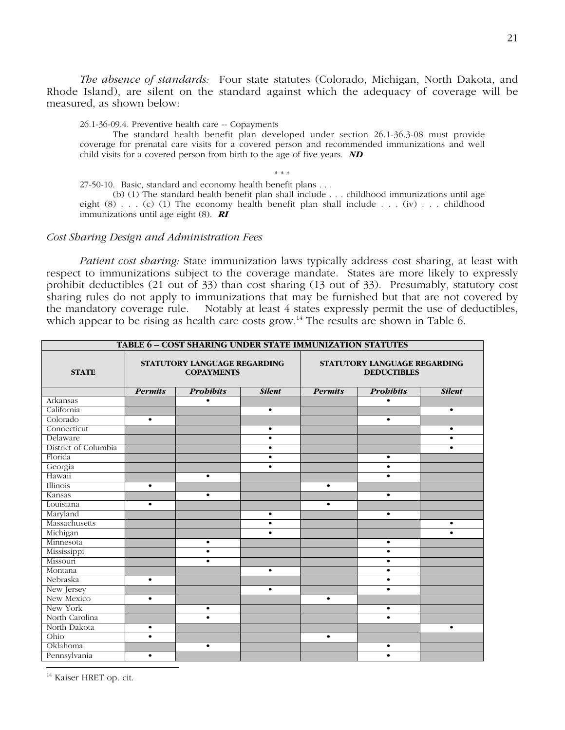*The absence of standards:* Four state statutes (Colorado, Michigan, North Dakota, and Rhode Island), are silent on the standard against which the adequacy of coverage will be measured, as shown below:

26.1-36-09.4. Preventive health care -- Copayments

The standard health benefit plan developed under section 26.1-36.3-08 must provide coverage for prenatal care visits for a covered person and recommended immunizations and well child visits for a covered person from birth to the age of five years. *ND*

\* \* \* 27-50-10. Basic, standard and economy health benefit plans . . .

(b) (1) The standard health benefit plan shall include . . . childhood immunizations until age eight  $(8)$ ... (c) (1) The economy health benefit plan shall include ... (iv) ... childhood immunizations until age eight (8). *RI*

# *Cost Sharing Design and Administration Fees*

*Patient cost sharing:* State immunization laws typically address cost sharing, at least with respect to immunizations subject to the coverage mandate. States are more likely to expressly prohibit deductibles (21 out of 33) than cost sharing (13 out of 33). Presumably, statutory cost sharing rules do not apply to immunizations that may be furnished but that are not covered by the mandatory coverage rule. Notably at least 4 states expressly permit the use of deductibles, which appear to be rising as health care costs grow.<sup>14</sup> The results are shown in Table 6.

| <b>TABLE 6-COST SHARING UNDER STATE IMMUNIZATION STATUTES</b> |                                                   |                  |                                                    |                |                  |               |
|---------------------------------------------------------------|---------------------------------------------------|------------------|----------------------------------------------------|----------------|------------------|---------------|
| <b>STATE</b>                                                  | STATUTORY LANGUAGE REGARDING<br><b>COPAYMENTS</b> |                  | STATUTORY LANGUAGE REGARDING<br><b>DEDUCTIBLES</b> |                |                  |               |
|                                                               | <b>Permits</b>                                    | <b>Probibits</b> | <b>Silent</b>                                      | <b>Permits</b> | <b>Probibits</b> | <b>Silent</b> |
| Arkansas                                                      |                                                   | $\bullet$        |                                                    |                | $\bullet$        |               |
| California                                                    |                                                   |                  | $\bullet$                                          |                |                  | $\bullet$     |
| Colorado                                                      | $\bullet$                                         |                  |                                                    |                | $\bullet$        |               |
| Connecticut                                                   |                                                   |                  | $\bullet$                                          |                |                  | $\bullet$     |
| Delaware                                                      |                                                   |                  | $\bullet$                                          |                |                  | $\bullet$     |
| District of Columbia                                          |                                                   |                  | $\bullet$                                          |                |                  | $\bullet$     |
| Florida                                                       |                                                   |                  | $\bullet$                                          |                | $\bullet$        |               |
| Georgia                                                       |                                                   |                  | ٠                                                  |                | $\bullet$        |               |
| Hawaii                                                        |                                                   | $\bullet$        |                                                    |                | $\bullet$        |               |
| Illinois                                                      | $\bullet$                                         |                  |                                                    | $\bullet$      |                  |               |
| Kansas                                                        |                                                   | $\bullet$        |                                                    |                | $\bullet$        |               |
| Louisiana                                                     | $\bullet$                                         |                  |                                                    | $\bullet$      |                  |               |
| Maryland                                                      |                                                   |                  | $\bullet$                                          |                | $\bullet$        |               |
| Massachusetts                                                 |                                                   |                  | $\bullet$                                          |                |                  | $\bullet$     |
| Michigan                                                      |                                                   |                  | $\bullet$                                          |                |                  | $\bullet$     |
| Minnesota                                                     |                                                   | $\bullet$        |                                                    |                | $\bullet$        |               |
| Mississippi                                                   |                                                   | $\bullet$        |                                                    |                | $\bullet$        |               |
| Missouri                                                      |                                                   | $\bullet$        |                                                    |                | $\bullet$        |               |
| Montana                                                       |                                                   |                  | $\bullet$                                          |                | $\bullet$        |               |
| Nebraska                                                      | $\bullet$                                         |                  |                                                    |                | $\bullet$        |               |
| New Jersey                                                    |                                                   |                  | $\bullet$                                          |                | $\bullet$        |               |
| New Mexico                                                    | $\bullet$                                         |                  |                                                    | $\bullet$      |                  |               |
| New York                                                      |                                                   | $\bullet$        |                                                    |                | $\bullet$        |               |
| North Carolina                                                |                                                   | $\bullet$        |                                                    |                | $\bullet$        |               |
| North Dakota                                                  | $\bullet$                                         |                  |                                                    |                |                  | $\bullet$     |
| Ohio                                                          | $\bullet$                                         |                  |                                                    | $\bullet$      |                  |               |
| Oklahoma                                                      |                                                   | $\bullet$        |                                                    |                | $\bullet$        |               |
| Pennsylvania                                                  | $\bullet$                                         |                  |                                                    |                | $\bullet$        |               |

<sup>14</sup> Kaiser HRET op. cit.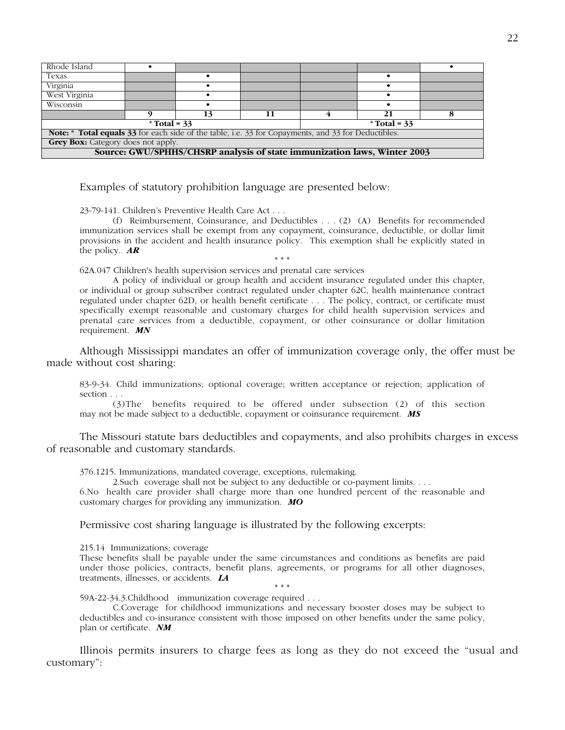| Rhode Island                                                                                                      |  |    |  |  |    |  |
|-------------------------------------------------------------------------------------------------------------------|--|----|--|--|----|--|
| Texas                                                                                                             |  |    |  |  |    |  |
| Virginia                                                                                                          |  |    |  |  |    |  |
| West Virginia                                                                                                     |  |    |  |  |    |  |
| Wisconsin                                                                                                         |  |    |  |  |    |  |
|                                                                                                                   |  | 13 |  |  | 21 |  |
| $*Total = 33$<br>$*Total = 33$                                                                                    |  |    |  |  |    |  |
| <b>Note:</b> * <b>Total equals 33</b> for each side of the table, i.e. 33 for Copayments, and 33 for Deductibles. |  |    |  |  |    |  |
| <b>Grey Box:</b> Category does not apply.                                                                         |  |    |  |  |    |  |
| Source: GWU/SPHHS/CHSRP analysis of state immunization laws, Winter 2003                                          |  |    |  |  |    |  |

Examples of statutory prohibition language are presented below:

23-79-141. Children's Preventive Health Care Act . . .

(f) Reimbursement, Coinsurance, and Deductibles . . . (2) (A) Benefits for recommended immunization services shall be exempt from any copayment, coinsurance, deductible, or dollar limit provisions in the accident and health insurance policy. This exemption shall be explicitly stated in the policy. *AR* \* \* \*

62A.047 Children's health supervision services and prenatal care services

A policy of individual or group health and accident insurance regulated under this chapter, or individual or group subscriber contract regulated under chapter 62C, health maintenance contract regulated under chapter 62D, or health benefit certificate . . . The policy, contract, or certificate must specifically exempt reasonable and customary charges for child health supervision services and prenatal care services from a deductible, copayment, or other coinsurance or dollar limitation requirement. *MN*

Although Mississippi mandates an offer of immunization coverage only, the offer must be made without cost sharing:

83-9-34. Child immunizations; optional coverage; written acceptance or rejection; application of section . . .

(3) The benefits required to be offered under subsection (2) of this section may not be made subject to a deductible, copayment or coinsurance requirement. *MS*

The Missouri statute bars deductibles and copayments, and also prohibits charges in excess of reasonable and customary standards.

376.1215. Immunizations, mandated coverage, exceptions, rulemaking.

2. Such coverage shall not be subject to any deductible or co-payment limits. . . .

6. No health care provider shall charge more than one hundred percent of the reasonable and customary charges for providing any immunization. *MO*

Permissive cost sharing language is illustrated by the following excerpts:

215.14 Immunizations; coverage

These benefits shall be payable under the same circumstances and conditions as benefits are paid under those policies, contracts, benefit plans, agreements, or programs for all other diagnoses, treatments, illnesses, or accidents. *LA*

\* \* \* 59A-22-34.3. Childhood immunization coverage required . . .

C. Coverage for childhood immunizations and necessary booster doses may be subject to deductibles and co-insurance consistent with those imposed on other benefits under the same policy, plan or certificate. *NM*

Illinois permits insurers to charge fees as long as they do not exceed the "usual and customary":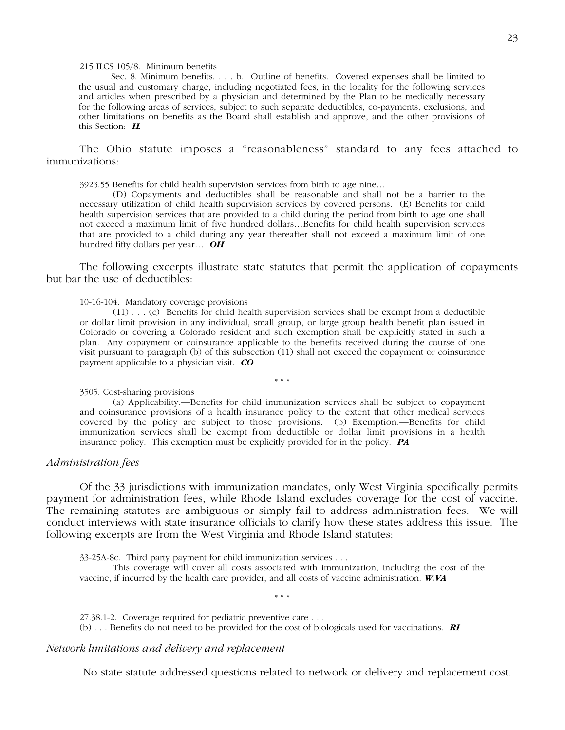# 215 ILCS 105/8. Minimum benefits

Sec. 8. Minimum benefits. . . . b. Outline of benefits. Covered expenses shall be limited to the usual and customary charge, including negotiated fees, in the locality for the following services and articles when prescribed by a physician and determined by the Plan to be medically necessary for the following areas of services, subject to such separate deductibles, co-payments, exclusions, and other limitations on benefits as the Board shall establish and approve, and the other provisions of this Section: *IL*

The Ohio statute imposes a "reasonableness" standard to any fees attached to immunizations:

3923.55 Benefits for child health supervision services from birth to age nine…

(D) Copayments and deductibles shall be reasonable and shall not be a barrier to the necessary utilization of child health supervision services by covered persons. (E) Benefits for child health supervision services that are provided to a child during the period from birth to age one shall not exceed a maximum limit of five hundred dollars…Benefits for child health supervision services that are provided to a child during any year thereafter shall not exceed a maximum limit of one hundred fifty dollars per year… *OH*

The following excerpts illustrate state statutes that permit the application of copayments but bar the use of deductibles:

# 10-16-104. Mandatory coverage provisions

(11) . . . (c) Benefits for child health supervision services shall be exempt from a deductible or dollar limit provision in any individual, small group, or large group health benefit plan issued in Colorado or covering a Colorado resident and such exemption shall be explicitly stated in such a plan. Any copayment or coinsurance applicable to the benefits received during the course of one visit pursuant to paragraph (b) of this subsection (11) shall not exceed the copayment or coinsurance payment applicable to a physician visit. *CO*

\* \* \*

#### 3505. Cost-sharing provisions

(a) Applicability.—Benefits for child immunization services shall be subject to copayment and coinsurance provisions of a health insurance policy to the extent that other medical services covered by the policy are subject to those provisions. (b) Exemption.—Benefits for child immunization services shall be exempt from deductible or dollar limit provisions in a health insurance policy. This exemption must be explicitly provided for in the policy. *PA*

# *Administration fees*

Of the 33 jurisdictions with immunization mandates, only West Virginia specifically permits payment for administration fees, while Rhode Island excludes coverage for the cost of vaccine. The remaining statutes are ambiguous or simply fail to address administration fees. We will conduct interviews with state insurance officials to clarify how these states address this issue. The following excerpts are from the West Virginia and Rhode Island statutes:

33-25A-8c. Third party payment for child immunization services . . .

This coverage will cover all costs associated with immunization, including the cost of the vaccine, if incurred by the health care provider, and all costs of vaccine administration. *W.VA*

\* \* \*

27.38.1-2. Coverage required for pediatric preventive care . . . (b) . . . Benefits do not need to be provided for the cost of biologicals used for vaccinations. *RI*

# *Network limitations and delivery and replacement*

No state statute addressed questions related to network or delivery and replacement cost.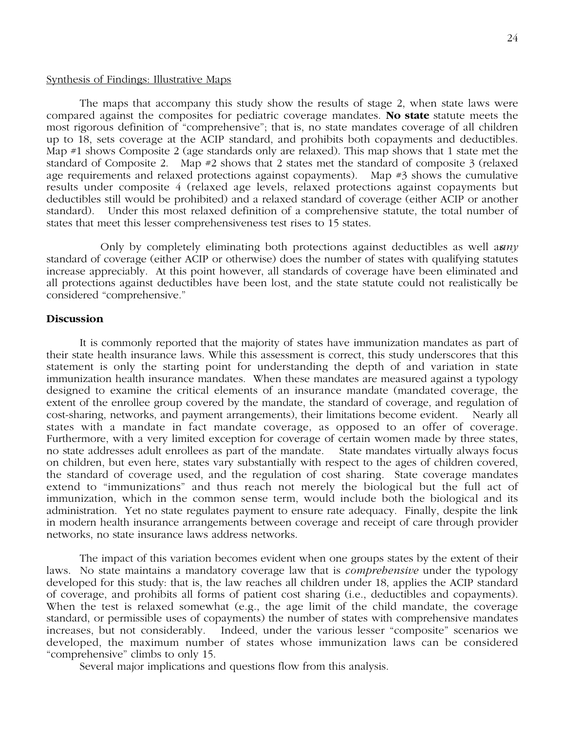# Synthesis of Findings: Illustrative Maps

The maps that accompany this study show the results of stage 2, when state laws were compared against the composites for pediatric coverage mandates. **No state** statute meets the most rigorous definition of "comprehensive"; that is, no state mandates coverage of all children up to 18, sets coverage at the ACIP standard, and prohibits both copayments and deductibles. Map #1 shows Composite 2 (age standards only are relaxed). This map shows that 1 state met the standard of Composite 2. Map #2 shows that 2 states met the standard of composite 3 (relaxed age requirements and relaxed protections against copayments). Map #3 shows the cumulative results under composite 4 (relaxed age levels, relaxed protections against copayments but deductibles still would be prohibited) and a relaxed standard of coverage (either ACIP or another standard). Under this most relaxed definition of a comprehensive statute, the total number of states that meet this lesser comprehensiveness test rises to 15 states.

Only by completely eliminating both protections against deductibles as well as *any* standard of coverage (either ACIP or otherwise) does the number of states with qualifying statutes increase appreciably. At this point however, all standards of coverage have been eliminated and all protections against deductibles have been lost, and the state statute could not realistically be considered "comprehensive."

# **Discussion**

It is commonly reported that the majority of states have immunization mandates as part of their state health insurance laws. While this assessment is correct, this study underscores that this statement is only the starting point for understanding the depth of and variation in state immunization health insurance mandates. When these mandates are measured against a typology designed to examine the critical elements of an insurance mandate (mandated coverage, the extent of the enrollee group covered by the mandate, the standard of coverage, and regulation of cost-sharing, networks, and payment arrangements), their limitations become evident. Nearly all states with a mandate in fact mandate coverage, as opposed to an offer of coverage. Furthermore, with a very limited exception for coverage of certain women made by three states, no state addresses adult enrollees as part of the mandate. State mandates virtually always focus on children, but even here, states vary substantially with respect to the ages of children covered, the standard of coverage used, and the regulation of cost sharing. State coverage mandates extend to "immunizations" and thus reach not merely the biological but the full act of immunization, which in the common sense term, would include both the biological and its administration. Yet no state regulates payment to ensure rate adequacy. Finally, despite the link in modern health insurance arrangements between coverage and receipt of care through provider networks, no state insurance laws address networks.

The impact of this variation becomes evident when one groups states by the extent of their laws. No state maintains a mandatory coverage law that is *comprehensive* under the typology developed for this study: that is, the law reaches all children under 18, applies the ACIP standard of coverage, and prohibits all forms of patient cost sharing (i.e., deductibles and copayments). When the test is relaxed somewhat (e.g., the age limit of the child mandate, the coverage standard, or permissible uses of copayments) the number of states with comprehensive mandates increases, but not considerably. Indeed, under the various lesser "composite" scenarios we developed, the maximum number of states whose immunization laws can be considered "comprehensive" climbs to only 15.

Several major implications and questions flow from this analysis.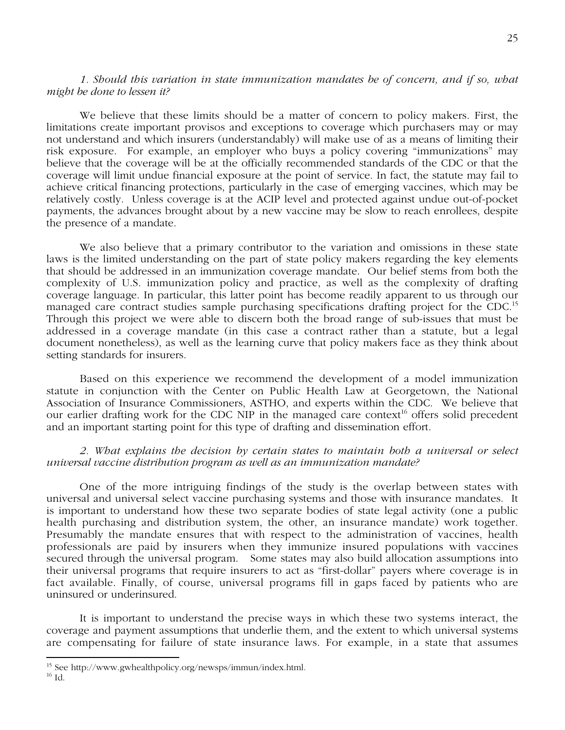# *1. Should this variation in state immunization mandates be of concern, and if so, what might be done to lessen it?*

We believe that these limits should be a matter of concern to policy makers. First, the limitations create important provisos and exceptions to coverage which purchasers may or may not understand and which insurers (understandably) will make use of as a means of limiting their risk exposure. For example, an employer who buys a policy covering "immunizations" may believe that the coverage will be at the officially recommended standards of the CDC or that the coverage will limit undue financial exposure at the point of service. In fact, the statute may fail to achieve critical financing protections, particularly in the case of emerging vaccines, which may be relatively costly. Unless coverage is at the ACIP level and protected against undue out-of-pocket payments, the advances brought about by a new vaccine may be slow to reach enrollees, despite the presence of a mandate.

We also believe that a primary contributor to the variation and omissions in these state laws is the limited understanding on the part of state policy makers regarding the key elements that should be addressed in an immunization coverage mandate. Our belief stems from both the complexity of U.S. immunization policy and practice, as well as the complexity of drafting coverage language. In particular, this latter point has become readily apparent to us through our managed care contract studies sample purchasing specifications drafting project for the CDC.<sup>15</sup> Through this project we were able to discern both the broad range of sub-issues that must be addressed in a coverage mandate (in this case a contract rather than a statute, but a legal document nonetheless), as well as the learning curve that policy makers face as they think about setting standards for insurers.

Based on this experience we recommend the development of a model immunization statute in conjunction with the Center on Public Health Law at Georgetown, the National Association of Insurance Commissioners, ASTHO, and experts within the CDC. We believe that our earlier drafting work for the CDC NIP in the managed care context<sup>16</sup> offers solid precedent and an important starting point for this type of drafting and dissemination effort.

# *2. What explains the decision by certain states to maintain both a universal or select universal vaccine distribution program as well as an immunization mandate?*

One of the more intriguing findings of the study is the overlap between states with universal and universal select vaccine purchasing systems and those with insurance mandates. It is important to understand how these two separate bodies of state legal activity (one a public health purchasing and distribution system, the other, an insurance mandate) work together. Presumably the mandate ensures that with respect to the administration of vaccines, health professionals are paid by insurers when they immunize insured populations with vaccines secured through the universal program. Some states may also build allocation assumptions into their universal programs that require insurers to act as "first-dollar" payers where coverage is in fact available. Finally, of course, universal programs fill in gaps faced by patients who are uninsured or underinsured.

It is important to understand the precise ways in which these two systems interact, the coverage and payment assumptions that underlie them, and the extent to which universal systems are compensating for failure of state insurance laws. For example, in a state that assumes

 <sup>15</sup> See http://www.gwhealthpolicy.org/newsps/immun/index.html.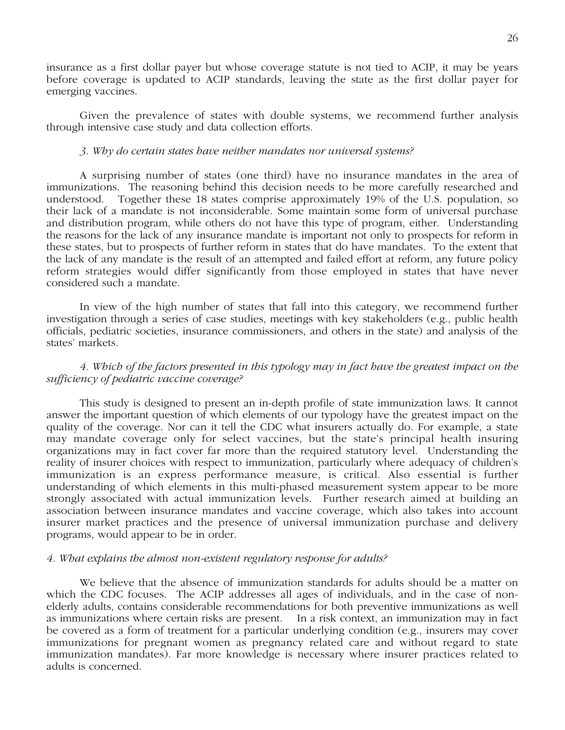insurance as a first dollar payer but whose coverage statute is not tied to ACIP, it may be years before coverage is updated to ACIP standards, leaving the state as the first dollar payer for emerging vaccines.

Given the prevalence of states with double systems, we recommend further analysis through intensive case study and data collection efforts.

# *3. Why do certain states have neither mandates nor universal systems?*

A surprising number of states (one third) have no insurance mandates in the area of immunizations. The reasoning behind this decision needs to be more carefully researched and understood. Together these 18 states comprise approximately 19% of the U.S. population, so their lack of a mandate is not inconsiderable. Some maintain some form of universal purchase and distribution program, while others do not have this type of program, either. Understanding the reasons for the lack of any insurance mandate is important not only to prospects for reform in these states, but to prospects of further reform in states that do have mandates. To the extent that the lack of any mandate is the result of an attempted and failed effort at reform, any future policy reform strategies would differ significantly from those employed in states that have never considered such a mandate.

In view of the high number of states that fall into this category, we recommend further investigation through a series of case studies, meetings with key stakeholders (e.g., public health officials, pediatric societies, insurance commissioners, and others in the state) and analysis of the states' markets.

*4. Which of the factors presented in this typology may in fact have the greatest impact on the sufficiency of pediatric vaccine coverage?*

This study is designed to present an in-depth profile of state immunization laws. It cannot answer the important question of which elements of our typology have the greatest impact on the quality of the coverage. Nor can it tell the CDC what insurers actually do. For example, a state may mandate coverage only for select vaccines, but the state's principal health insuring organizations may in fact cover far more than the required statutory level. Understanding the reality of insurer choices with respect to immunization, particularly where adequacy of children's immunization is an express performance measure, is critical. Also essential is further understanding of which elements in this multi-phased measurement system appear to be more strongly associated with actual immunization levels. Further research aimed at building an association between insurance mandates and vaccine coverage, which also takes into account insurer market practices and the presence of universal immunization purchase and delivery programs, would appear to be in order.

# *4. What explains the almost non-existent regulatory response for adults?*

We believe that the absence of immunization standards for adults should be a matter on which the CDC focuses. The ACIP addresses all ages of individuals, and in the case of nonelderly adults, contains considerable recommendations for both preventive immunizations as well as immunizations where certain risks are present. In a risk context, an immunization may in fact be covered as a form of treatment for a particular underlying condition (e.g., insurers may cover immunizations for pregnant women as pregnancy related care and without regard to state immunization mandates). Far more knowledge is necessary where insurer practices related to adults is concerned.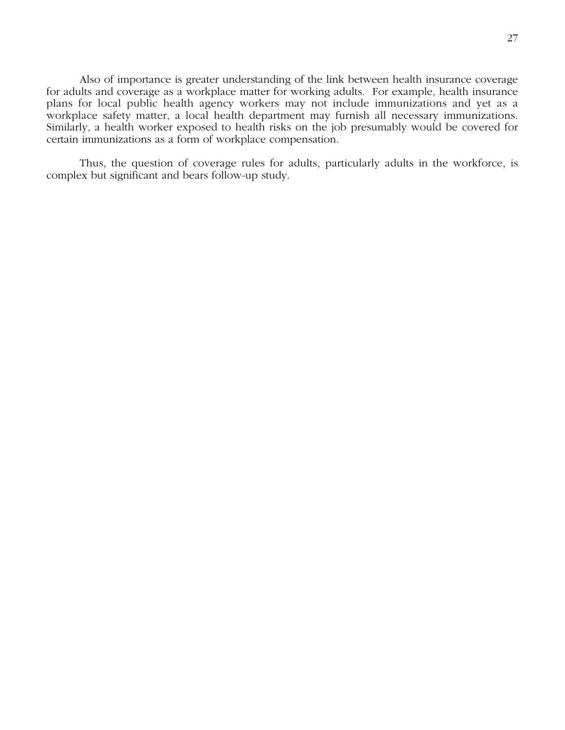Also of importance is greater understanding of the link between health insurance coverage for adults and coverage as a workplace matter for working adults. For example, health insurance plans for local public health agency workers may not include immunizations and yet as a workplace safety matter, a local health department may furnish all necessary immunizations. Similarly, a health worker exposed to health risks on the job presumably would be covered for certain immunizations as a form of workplace compensation.

Thus, the question of coverage rules for adults, particularly adults in the workforce, is complex but significant and bears follow-up study.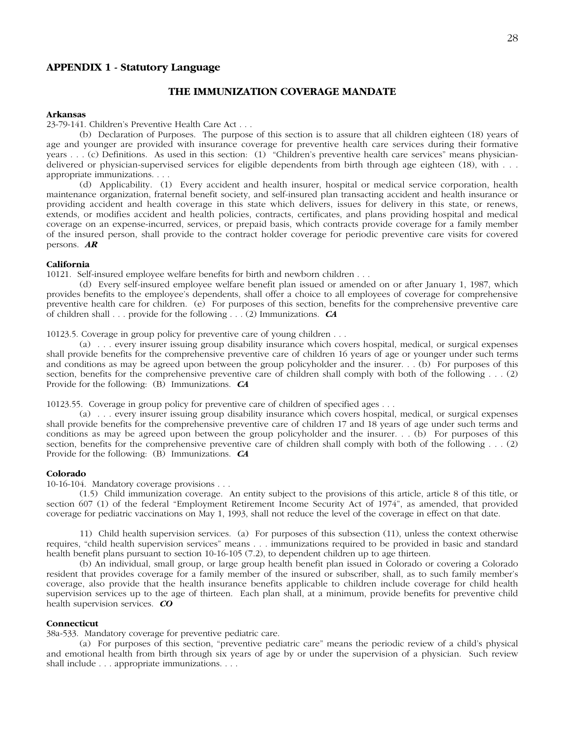# **APPENDIX 1 - Statutory Language**

# **THE IMMUNIZATION COVERAGE MANDATE**

#### **Arkansas**

23-79-141. Children's Preventive Health Care Act . . .

(b) Declaration of Purposes. The purpose of this section is to assure that all children eighteen (18) years of age and younger are provided with insurance coverage for preventive health care services during their formative years . . . (c) Definitions. As used in this section: (1) "Children's preventive health care services" means physiciandelivered or physician-supervised services for eligible dependents from birth through age eighteen (18), with . . . appropriate immunizations. . . .

(d) Applicability. (1) Every accident and health insurer, hospital or medical service corporation, health maintenance organization, fraternal benefit society, and self-insured plan transacting accident and health insurance or providing accident and health coverage in this state which delivers, issues for delivery in this state, or renews, extends, or modifies accident and health policies, contracts, certificates, and plans providing hospital and medical coverage on an expense-incurred, services, or prepaid basis, which contracts provide coverage for a family member of the insured person, shall provide to the contract holder coverage for periodic preventive care visits for covered persons. *AR*

# **California**

10121. Self-insured employee welfare benefits for birth and newborn children . . .

(d) Every self-insured employee welfare benefit plan issued or amended on or after January 1, 1987, which provides benefits to the employee's dependents, shall offer a choice to all employees of coverage for comprehensive preventive health care for children. (e) For purposes of this section, benefits for the comprehensive preventive care of children shall . . . provide for the following . . . (2) Immunizations. *CA*

10123.5. Coverage in group policy for preventive care of young children . . .

(a) . . . every insurer issuing group disability insurance which covers hospital, medical, or surgical expenses shall provide benefits for the comprehensive preventive care of children 16 years of age or younger under such terms and conditions as may be agreed upon between the group policyholder and the insurer. . . (b) For purposes of this section, benefits for the comprehensive preventive care of children shall comply with both of the following . . . (2) Provide for the following: (B) Immunizations. *CA*

10123.55. Coverage in group policy for preventive care of children of specified ages . . .

(a) . . . every insurer issuing group disability insurance which covers hospital, medical, or surgical expenses shall provide benefits for the comprehensive preventive care of children 17 and 18 years of age under such terms and conditions as may be agreed upon between the group policyholder and the insurer. . . (b) For purposes of this section, benefits for the comprehensive preventive care of children shall comply with both of the following . . . (2) Provide for the following: (B) Immunizations. *CA*

#### **Colorado**

10-16-104. Mandatory coverage provisions . . .

(1.5) Child immunization coverage. An entity subject to the provisions of this article, article 8 of this title, or section 607 (1) of the federal "Employment Retirement Income Security Act of 1974", as amended, that provided coverage for pediatric vaccinations on May 1, 1993, shall not reduce the level of the coverage in effect on that date.

11) Child health supervision services. (a) For purposes of this subsection (11), unless the context otherwise requires, "child health supervision services" means . . . immunizations required to be provided in basic and standard health benefit plans pursuant to section 10-16-105 (7.2), to dependent children up to age thirteen.

(b) An individual, small group, or large group health benefit plan issued in Colorado or covering a Colorado resident that provides coverage for a family member of the insured or subscriber, shall, as to such family member's coverage, also provide that the health insurance benefits applicable to children include coverage for child health supervision services up to the age of thirteen. Each plan shall, at a minimum, provide benefits for preventive child health supervision services. *CO*

# **Connecticut**

38a-533. Mandatory coverage for preventive pediatric care.

(a) For purposes of this section, "preventive pediatric care" means the periodic review of a child's physical and emotional health from birth through six years of age by or under the supervision of a physician. Such review shall include . . . appropriate immunizations. . . .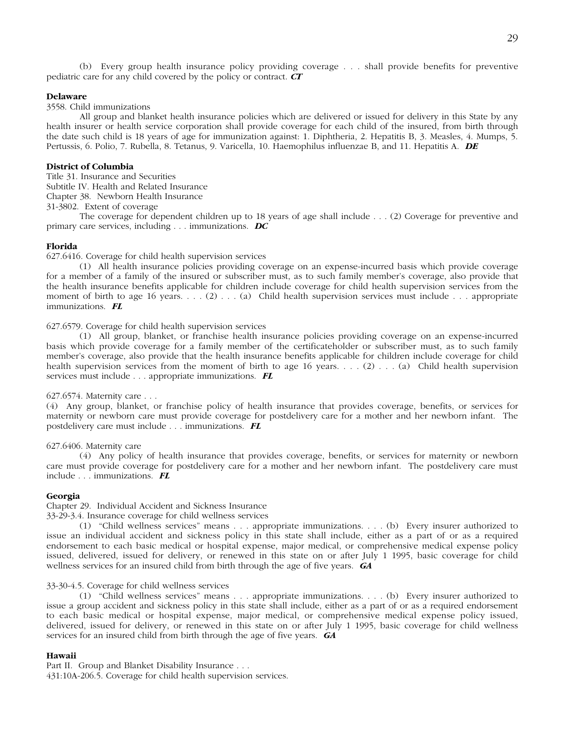(b) Every group health insurance policy providing coverage . . . shall provide benefits for preventive pediatric care for any child covered by the policy or contract. *CT*

# **Delaware**

# 3558. Child immunizations

All group and blanket health insurance policies which are delivered or issued for delivery in this State by any health insurer or health service corporation shall provide coverage for each child of the insured, from birth through the date such child is 18 years of age for immunization against: 1. Diphtheria, 2. Hepatitis B, 3. Measles, 4. Mumps, 5. Pertussis, 6. Polio, 7. Rubella, 8. Tetanus, 9. Varicella, 10. Haemophilus influenzae B, and 11. Hepatitis A. *DE*

# **District of Columbia**

Title 31. Insurance and Securities

Subtitle IV. Health and Related Insurance

Chapter 38. Newborn Health Insurance

31-3802. Extent of coverage

The coverage for dependent children up to 18 years of age shall include . . . (2) Coverage for preventive and primary care services, including . . . immunizations. *DC*

#### **Florida**

627.6416. Coverage for child health supervision services

(1) All health insurance policies providing coverage on an expense-incurred basis which provide coverage for a member of a family of the insured or subscriber must, as to such family member's coverage, also provide that the health insurance benefits applicable for children include coverage for child health supervision services from the moment of birth to age 16 years.  $\ldots$  (2)  $\ldots$  (a) Child health supervision services must include  $\ldots$  appropriate immunizations. *FL*

# 627.6579. Coverage for child health supervision services

(1) All group, blanket, or franchise health insurance policies providing coverage on an expense-incurred basis which provide coverage for a family member of the certificateholder or subscriber must, as to such family member's coverage, also provide that the health insurance benefits applicable for children include coverage for child health supervision services from the moment of birth to age 16 years. . . . (2) . . . (a) Child health supervision services must include . . . appropriate immunizations. *FL*

# 627.6574. Maternity care . . .

(4) Any group, blanket, or franchise policy of health insurance that provides coverage, benefits, or services for maternity or newborn care must provide coverage for postdelivery care for a mother and her newborn infant. The postdelivery care must include . . . immunizations. *FL*

# 627.6406. Maternity care

(4) Any policy of health insurance that provides coverage, benefits, or services for maternity or newborn care must provide coverage for postdelivery care for a mother and her newborn infant. The postdelivery care must include . . . immunizations. *FL*

# **Georgia**

Chapter 29. Individual Accident and Sickness Insurance

33-29-3.4. Insurance coverage for child wellness services

(1) "Child wellness services" means . . . appropriate immunizations. . . . (b) Every insurer authorized to issue an individual accident and sickness policy in this state shall include, either as a part of or as a required endorsement to each basic medical or hospital expense, major medical, or comprehensive medical expense policy issued, delivered, issued for delivery, or renewed in this state on or after July 1 1995, basic coverage for child wellness services for an insured child from birth through the age of five years. *GA*

#### 33-30-4.5. Coverage for child wellness services

(1) "Child wellness services" means . . . appropriate immunizations. . . . (b) Every insurer authorized to issue a group accident and sickness policy in this state shall include, either as a part of or as a required endorsement to each basic medical or hospital expense, major medical, or comprehensive medical expense policy issued, delivered, issued for delivery, or renewed in this state on or after July 1 1995, basic coverage for child wellness services for an insured child from birth through the age of five years. *GA*

# **Hawaii**

Part II. Group and Blanket Disability Insurance . . . 431:10A-206.5. Coverage for child health supervision services.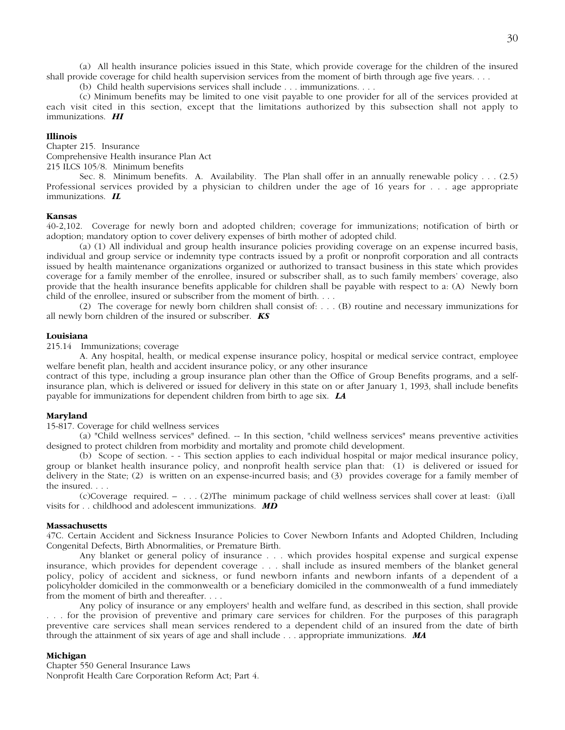(a) All health insurance policies issued in this State, which provide coverage for the children of the insured shall provide coverage for child health supervision services from the moment of birth through age five years. . . .

(b) Child health supervisions services shall include . . . immunizations. . . .

(c) Minimum benefits may be limited to one visit payable to one provider for all of the services provided at each visit cited in this section, except that the limitations authorized by this subsection shall not apply to immunizations. *HI*

# **Illinois**

Chapter 215. Insurance

Comprehensive Health insurance Plan Act

215 ILCS 105/8. Minimum benefits

Sec. 8. Minimum benefits. A. Availability. The Plan shall offer in an annually renewable policy . . . (2.5) Professional services provided by a physician to children under the age of 16 years for . . . age appropriate immunizations. *IL*

# **Kansas**

40-2,102. Coverage for newly born and adopted children; coverage for immunizations; notification of birth or adoption; mandatory option to cover delivery expenses of birth mother of adopted child.

(a) (1) All individual and group health insurance policies providing coverage on an expense incurred basis, individual and group service or indemnity type contracts issued by a profit or nonprofit corporation and all contracts issued by health maintenance organizations organized or authorized to transact business in this state which provides coverage for a family member of the enrollee, insured or subscriber shall, as to such family members' coverage, also provide that the health insurance benefits applicable for children shall be payable with respect to a: (A) Newly born child of the enrollee, insured or subscriber from the moment of birth. . . .

(2) The coverage for newly born children shall consist of: . . . (B) routine and necessary immunizations for all newly born children of the insured or subscriber. *KS*

# **Louisiana**

215.14 Immunizations; coverage

A. Any hospital, health, or medical expense insurance policy, hospital or medical service contract, employee welfare benefit plan, health and accident insurance policy, or any other insurance

contract of this type, including a group insurance plan other than the Office of Group Benefits programs, and a selfinsurance plan, which is delivered or issued for delivery in this state on or after January 1, 1993, shall include benefits payable for immunizations for dependent children from birth to age six. *LA*

# **Maryland**

15-817. Coverage for child wellness services

(a) "Child wellness services" defined. -- In this section, "child wellness services" means preventive activities designed to protect children from morbidity and mortality and promote child development.

(b) Scope of section. - - This section applies to each individual hospital or major medical insurance policy, group or blanket health insurance policy, and nonprofit health service plan that: (1) is delivered or issued for delivery in the State; (2) is written on an expense-incurred basis; and (3) provides coverage for a family member of the insured. . . .

(c) Coverage required. – . . . (2) The minimum package of child wellness services shall cover at least: (i) all visits for . . childhood and adolescent immunizations. *MD*

# **Massachusetts**

47C. Certain Accident and Sickness Insurance Policies to Cover Newborn Infants and Adopted Children, Including Congenital Defects, Birth Abnormalities, or Premature Birth.

Any blanket or general policy of insurance . . . which provides hospital expense and surgical expense insurance, which provides for dependent coverage . . . shall include as insured members of the blanket general policy, policy of accident and sickness, or fund newborn infants and newborn infants of a dependent of a policyholder domiciled in the commonwealth or a beneficiary domiciled in the commonwealth of a fund immediately from the moment of birth and thereafter. . . .

Any policy of insurance or any employers' health and welfare fund, as described in this section, shall provide . . . for the provision of preventive and primary care services for children. For the purposes of this paragraph preventive care services shall mean services rendered to a dependent child of an insured from the date of birth through the attainment of six years of age and shall include . . . appropriate immunizations. *MA*

# **Michigan**

Chapter 550 General Insurance Laws Nonprofit Health Care Corporation Reform Act; Part 4.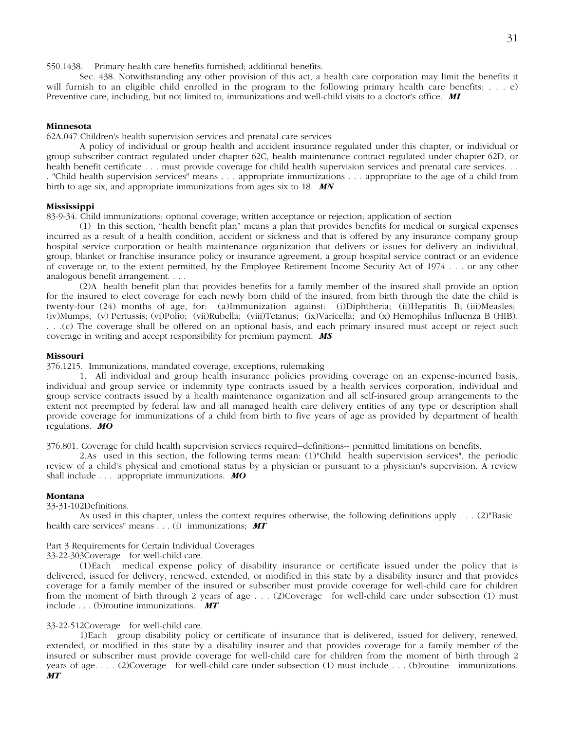550.1438. Primary health care benefits furnished; additional benefits.

Sec. 438. Notwithstanding any other provision of this act, a health care corporation may limit the benefits it will furnish to an eligible child enrolled in the program to the following primary health care benefits: . . . e) Preventive care, including, but not limited to, immunizations and well-child visits to a doctor's office. *MI*

# **Minnesota**

62A.047 Children's health supervision services and prenatal care services

A policy of individual or group health and accident insurance regulated under this chapter, or individual or group subscriber contract regulated under chapter 62C, health maintenance contract regulated under chapter 62D, or health benefit certificate . . . must provide coverage for child health supervision services and prenatal care services. . . . "Child health supervision services" means . . . appropriate immunizations . . . appropriate to the age of a child from birth to age six, and appropriate immunizations from ages six to 18. *MN*

# **Mississippi**

83-9-34. Child immunizations; optional coverage; written acceptance or rejection; application of section

(1) In this section, "health benefit plan" means a plan that provides benefits for medical or surgical expenses incurred as a result of a health condition, accident or sickness and that is offered by any insurance company group hospital service corporation or health maintenance organization that delivers or issues for delivery an individual, group, blanket or franchise insurance policy or insurance agreement, a group hospital service contract or an evidence of coverage or, to the extent permitted, by the Employee Retirement Income Security Act of 1974 . . . or any other analogous benefit arrangement. . . .

(2) A health benefit plan that provides benefits for a family member of the insured shall provide an option for the insured to elect coverage for each newly born child of the insured, from birth through the date the child is twenty-four (24) months of age, for: (a) Immunization against: (i) Diphtheria; (ii) Hepatitis B; (iii) Measles; (iv) Mumps; (v) Pertussis; (vi) Polio; (vii) Rubella; (viii) Tetanus; (ix) Varicella; and (x) Hemophilus Influenza B (HIB). . . .(c) The coverage shall be offered on an optional basis, and each primary insured must accept or reject such coverage in writing and accept responsibility for premium payment. *MS*

# **Missouri**

376.1215. Immunizations, mandated coverage, exceptions, rulemaking

1. All individual and group health insurance policies providing coverage on an expense-incurred basis, individual and group service or indemnity type contracts issued by a health services corporation, individual and group service contracts issued by a health maintenance organization and all self-insured group arrangements to the extent not preempted by federal law and all managed health care delivery entities of any type or description shall provide coverage for immunizations of a child from birth to five years of age as provided by department of health regulations. *MO*

376.801. Coverage for child health supervision services required--definitions-- permitted limitations on benefits.

2. As used in this section, the following terms mean: (1) "Child health supervision services", the periodic review of a child's physical and emotional status by a physician or pursuant to a physician's supervision. A review shall include . . . appropriate immunizations. *MO*

# **Montana**

33-31-102 Definitions.

As used in this chapter, unless the context requires otherwise, the following definitions apply . . . (2) "Basic health care services" means . . . (i) immunizations; *MT*

# Part 3 Requirements for Certain Individual Coverages

33-22-303 Coverage for well-child care.

(1) Each medical expense policy of disability insurance or certificate issued under the policy that is delivered, issued for delivery, renewed, extended, or modified in this state by a disability insurer and that provides coverage for a family member of the insured or subscriber must provide coverage for well-child care for children from the moment of birth through 2 years of age . . . (2) Coverage for well-child care under subsection (1) must include . . . (b) routine immunizations. *MT*

# 33-22-512 Coverage for well-child care.

1) Each group disability policy or certificate of insurance that is delivered, issued for delivery, renewed, extended, or modified in this state by a disability insurer and that provides coverage for a family member of the insured or subscriber must provide coverage for well-child care for children from the moment of birth through 2 years of age.  $\ldots$  (2) Coverage for well-child care under subsection (1) must include  $\ldots$  (b) routine immunizations. *MT*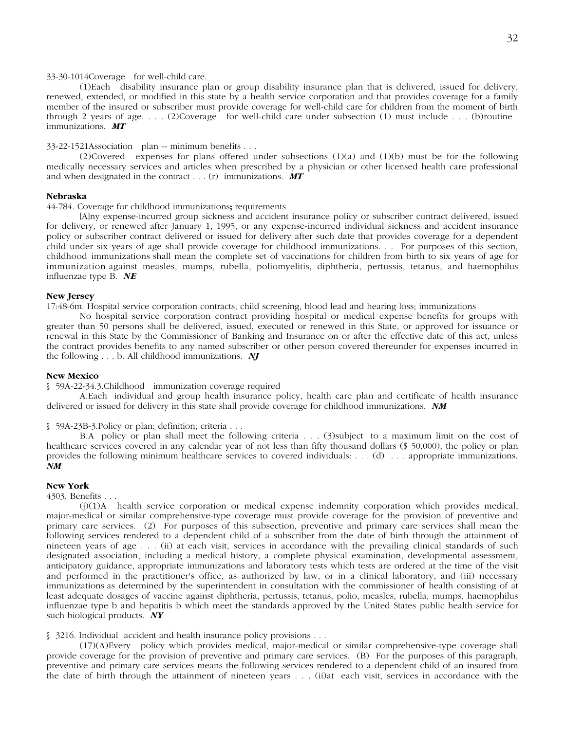# 33-30-1014 Coverage for well-child care.

(1) Each disability insurance plan or group disability insurance plan that is delivered, issued for delivery, renewed, extended, or modified in this state by a health service corporation and that provides coverage for a family member of the insured or subscriber must provide coverage for well-child care for children from the moment of birth through 2 years of age.  $\ldots$  (2) Coverage for well-child care under subsection (1) must include  $\ldots$  (b) routine immunizations. *MT*

# 33-22-1521 Association plan -- minimum benefits . . .

(2) Covered expenses for plans offered under subsections (1)(a) and (1)(b) must be for the following medically necessary services and articles when prescribed by a physician or other licensed health care professional and when designated in the contract . . . (r) immunizations. *MT*

# **Nebraska**

44-784. Coverage for childhood immunizations**;** requirements

[A]ny expense-incurred group sickness and accident insurance policy or subscriber contract delivered, issued for delivery, or renewed after January 1, 1995, or any expense-incurred individual sickness and accident insurance policy or subscriber contract delivered or issued for delivery after such date that provides coverage for a dependent child under six years of age shall provide coverage for childhood immunizations. . . For purposes of this section, childhood immunizations shall mean the complete set of vaccinations for children from birth to six years of age for immunization against measles, mumps, rubella, poliomyelitis, diphtheria, pertussis, tetanus, and haemophilus influenzae type B. *NE*

#### **New Jersey**

17:48-6m. Hospital service corporation contracts, child screening, blood lead and hearing loss; immunizations

No hospital service corporation contract providing hospital or medical expense benefits for groups with greater than 50 persons shall be delivered, issued, executed or renewed in this State, or approved for issuance or renewal in this State by the Commissioner of Banking and Insurance on or after the effective date of this act, unless the contract provides benefits to any named subscriber or other person covered thereunder for expenses incurred in the following . . . b. All childhood immunizations. *NJ*

# **New Mexico**

§ 59A-22-34.3. Childhood immunization coverage required

A. Each individual and group health insurance policy, health care plan and certificate of health insurance delivered or issued for delivery in this state shall provide coverage for childhood immunizations. *NM*

§ 59A-23B-3. Policy or plan; definition; criteria . . .

B.A policy or plan shall meet the following criteria . . . (3) subject to a maximum limit on the cost of healthcare services covered in any calendar year of not less than fifty thousand dollars (\$ 50,000), the policy or plan provides the following minimum healthcare services to covered individuals: . . . (d) . . . appropriate immunizations. *NM*

### **New York**

### 4303. Benefits . . .

(j) (1) A health service corporation or medical expense indemnity corporation which provides medical, major-medical or similar comprehensive-type coverage must provide coverage for the provision of preventive and primary care services. (2) For purposes of this subsection, preventive and primary care services shall mean the following services rendered to a dependent child of a subscriber from the date of birth through the attainment of nineteen years of age . . . (ii) at each visit, services in accordance with the prevailing clinical standards of such designated association, including a medical history, a complete physical examination, developmental assessment, anticipatory guidance, appropriate immunizations and laboratory tests which tests are ordered at the time of the visit and performed in the practitioner's office, as authorized by law, or in a clinical laboratory, and (iii) necessary immunizations as determined by the superintendent in consultation with the commissioner of health consisting of at least adequate dosages of vaccine against diphtheria, pertussis, tetanus, polio, measles, rubella, mumps, haemophilus influenzae type b and hepatitis b which meet the standards approved by the United States public health service for such biological products. *NY*

§ 3216. Individual accident and health insurance policy provisions . . .

(17) (A) Every policy which provides medical, major-medical or similar comprehensive-type coverage shall provide coverage for the provision of preventive and primary care services. (B) For the purposes of this paragraph, preventive and primary care services means the following services rendered to a dependent child of an insured from the date of birth through the attainment of nineteen years . . . (ii) at each visit, services in accordance with the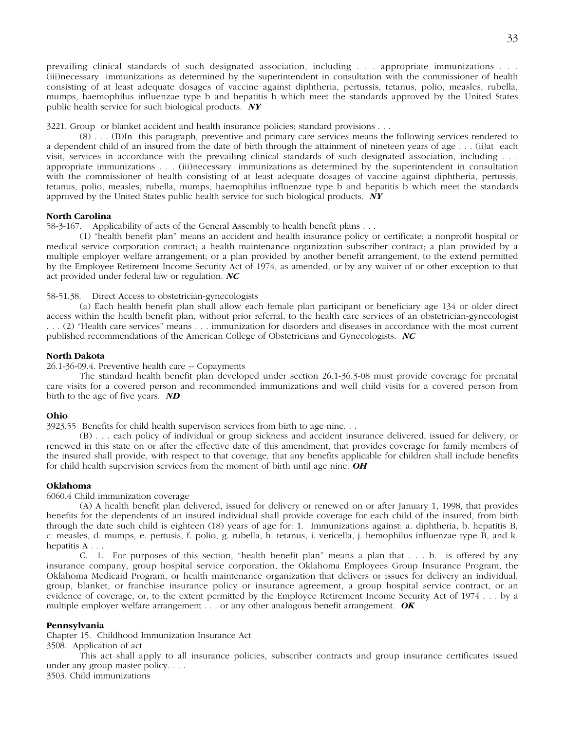prevailing clinical standards of such designated association, including . . . appropriate immunizations . . . (iii) necessary immunizations as determined by the superintendent in consultation with the commissioner of health consisting of at least adequate dosages of vaccine against diphtheria, pertussis, tetanus, polio, measles, rubella, mumps, haemophilus influenzae type b and hepatitis b which meet the standards approved by the United States public health service for such biological products. *NY*

3221. Group or blanket accident and health insurance policies; standard provisions . . .

(8) . . . (B) In this paragraph, preventive and primary care services means the following services rendered to a dependent child of an insured from the date of birth through the attainment of nineteen years of age  $\dots$  (ii) at each visit, services in accordance with the prevailing clinical standards of such designated association, including . . . appropriate immunizations . . . (iii) necessary immunizations as determined by the superintendent in consultation with the commissioner of health consisting of at least adequate dosages of vaccine against diphtheria, pertussis, tetanus, polio, measles, rubella, mumps, haemophilus influenzae type b and hepatitis b which meet the standards approved by the United States public health service for such biological products. *NY*

# **North Carolina**

58-3-167. Applicability of acts of the General Assembly to health benefit plans . . .

(1) "health benefit plan" means an accident and health insurance policy or certificate; a nonprofit hospital or medical service corporation contract; a health maintenance organization subscriber contract; a plan provided by a multiple employer welfare arrangement; or a plan provided by another benefit arrangement, to the extend permitted by the Employee Retirement Income Security Act of 1974, as amended, or by any waiver of or other exception to that act provided under federal law or regulation. *NC*

# 58-51.38. Direct Access to obstetrician-gynecologists

(a) Each health benefit plan shall allow each female plan participant or beneficiary age 134 or older direct access within the health benefit plan, without prior referral, to the health care services of an obstetrician-gynecologist . . . (2) "Health care services" means . . . immunization for disorders and diseases in accordance with the most current published recommendations of the American College of Obstetricians and Gynecologists. *NC*

# **North Dakota**

26.1-36-09.4. Preventive health care -- Copayments

The standard health benefit plan developed under section 26.1-36.3-08 must provide coverage for prenatal care visits for a covered person and recommended immunizations and well child visits for a covered person from birth to the age of five years. *ND*

# **Ohio**

3923.55 Benefits for child health supervison services from birth to age nine. . .

(B) . . . each policy of individual or group sickness and accident insurance delivered, issued for delivery, or renewed in this state on or after the effective date of this amendment, that provides coverage for family members of the insured shall provide, with respect to that coverage, that any benefits applicable for children shall include benefits for child health supervision services from the moment of birth until age nine. *OH*

# **Oklahoma**

6060.4 Child immunization coverage

(A) A health benefit plan delivered, issued for delivery or renewed on or after January 1, 1998, that provides benefits for the dependents of an insured individual shall provide coverage for each child of the insured, from birth through the date such child is eighteen (18) years of age for: 1. Immunizations against: a. diphtheria, b. hepatitis B, c. measles, d. mumps, e. pertusis, f. polio, g. rubella, h. tetanus, i. vericella, j. hemophilus influenzae type B, and k. hepatitis A . . .

C. 1. For purposes of this section, "health benefit plan" means a plan that . . . b. is offered by any insurance company, group hospital service corporation, the Oklahoma Employees Group Insurance Program, the Oklahoma Medicaid Program, or health maintenance organization that delivers or issues for delivery an individual, group, blanket, or franchise insurance policy or insurance agreement, a group hospital service contract, or an evidence of coverage, or, to the extent permitted by the Employee Retirement Income Security Act of 1974 . . . by a multiple employer welfare arrangement . . . or any other analogous benefit arrangement. *OK*

# **Pennsylvania**

Chapter 15. Childhood Immunization Insurance Act

3508. Application of act

This act shall apply to all insurance policies, subscriber contracts and group insurance certificates issued under any group master policy. . . .

3503. Child immunizations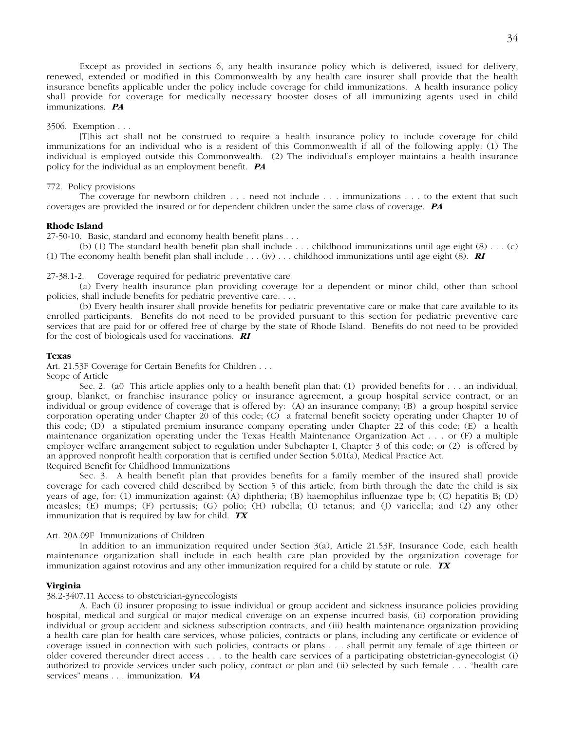Except as provided in sections 6, any health insurance policy which is delivered, issued for delivery, renewed, extended or modified in this Commonwealth by any health care insurer shall provide that the health insurance benefits applicable under the policy include coverage for child immunizations. A health insurance policy shall provide for coverage for medically necessary booster doses of all immunizing agents used in child immunizations. *PA*

# 3506. Exemption . . .

[T]his act shall not be construed to require a health insurance policy to include coverage for child immunizations for an individual who is a resident of this Commonwealth if all of the following apply: (1) The individual is employed outside this Commonwealth. (2) The individual's employer maintains a health insurance policy for the individual as an employment benefit. *PA*

# 772. Policy provisions

The coverage for newborn children . . . need not include . . . immunizations . . . to the extent that such coverages are provided the insured or for dependent children under the same class of coverage. *PA*

# **Rhode Island**

27-50-10. Basic, standard and economy health benefit plans . . .

(b) (1) The standard health benefit plan shall include . . . childhood immunizations until age eight (8) . . . (c) (1) The economy health benefit plan shall include . . . (iv) . . . childhood immunizations until age eight (8). *RI*

27-38.1-2. Coverage required for pediatric preventative care

(a) Every health insurance plan providing coverage for a dependent or minor child, other than school policies, shall include benefits for pediatric preventive care. . . .

(b) Every health insurer shall provide benefits for pediatric preventative care or make that care available to its enrolled participants. Benefits do not need to be provided pursuant to this section for pediatric preventive care services that are paid for or offered free of charge by the state of Rhode Island. Benefits do not need to be provided for the cost of biologicals used for vaccinations. *RI*

# **Texas**

Art. 21.53F Coverage for Certain Benefits for Children . . .

Scope of Article

Sec. 2. (a0 This article applies only to a health benefit plan that: (1) provided benefits for . . . an individual, group, blanket, or franchise insurance policy or insurance agreement, a group hospital service contract, or an individual or group evidence of coverage that is offered by: (A) an insurance company; (B) a group hospital service corporation operating under Chapter 20 of this code; (C) a fraternal benefit society operating under Chapter 10 of this code; (D) a stipulated premium insurance company operating under Chapter 22 of this code; (E) a health maintenance organization operating under the Texas Health Maintenance Organization Act . . . or (F) a multiple employer welfare arrangement subject to regulation under Subchapter I, Chapter 3 of this code; or (2) is offered by an approved nonprofit health corporation that is certified under Section 5.01(a), Medical Practice Act. Required Benefit for Childhood Immunizations

Sec. 3. A health benefit plan that provides benefits for a family member of the insured shall provide coverage for each covered child described by Section 5 of this article, from birth through the date the child is six years of age, for: (1) immunization against: (A) diphtheria; (B) haemophilus influenzae type b; (C) hepatitis B; (D) measles; (E) mumps; (F) pertussis; (G) polio; (H) rubella; (I) tetanus; and (J) varicella; and (2) any other immunization that is required by law for child. *TX*

# Art. 20A.09F Immunizations of Children

In addition to an immunization required under Section 3(a), Article 21.53F, Insurance Code, each health maintenance organization shall include in each health care plan provided by the organization coverage for immunization against rotovirus and any other immunization required for a child by statute or rule. *TX*

#### **Virginia**

38.2-3407.11 Access to obstetrician-gynecologists

A. Each (i) insurer proposing to issue individual or group accident and sickness insurance policies providing hospital, medical and surgical or major medical coverage on an expense incurred basis, (ii) corporation providing individual or group accident and sickness subscription contracts, and (iii) health maintenance organization providing a health care plan for health care services, whose policies, contracts or plans, including any certificate or evidence of coverage issued in connection with such policies, contracts or plans . . . shall permit any female of age thirteen or older covered thereunder direct access . . . to the health care services of a participating obstetrician-gynecologist (i) authorized to provide services under such policy, contract or plan and (ii) selected by such female . . . "health care services" means . . . immunization. *VA*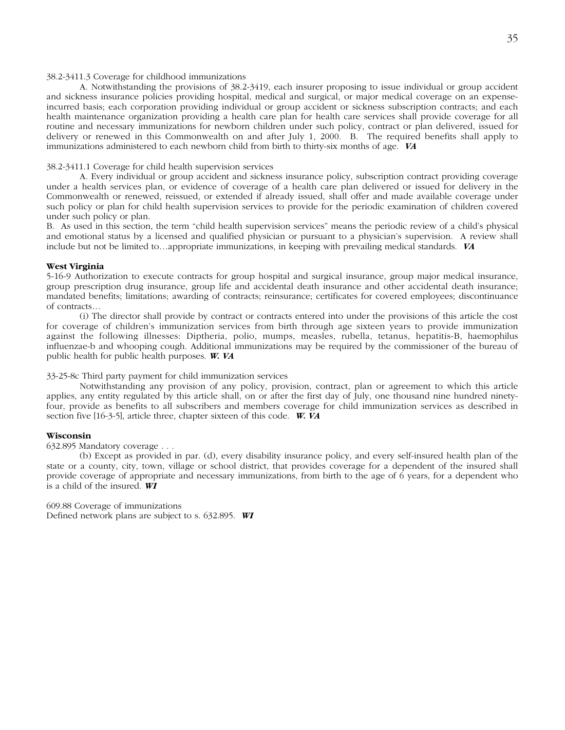# 38.2-3411.3 Coverage for childhood immunizations

A. Notwithstanding the provisions of 38.2-3419, each insurer proposing to issue individual or group accident and sickness insurance policies providing hospital, medical and surgical, or major medical coverage on an expenseincurred basis; each corporation providing individual or group accident or sickness subscription contracts; and each health maintenance organization providing a health care plan for health care services shall provide coverage for all routine and necessary immunizations for newborn children under such policy, contract or plan delivered, issued for delivery or renewed in this Commonwealth on and after July 1, 2000. B. The required benefits shall apply to immunizations administered to each newborn child from birth to thirty-six months of age. *VA*

# 38.2-3411.1 Coverage for child health supervision services

A. Every individual or group accident and sickness insurance policy, subscription contract providing coverage under a health services plan, or evidence of coverage of a health care plan delivered or issued for delivery in the Commonwealth or renewed, reissued, or extended if already issued, shall offer and made available coverage under such policy or plan for child health supervision services to provide for the periodic examination of children covered under such policy or plan.

B. As used in this section, the term "child health supervision services" means the periodic review of a child's physical and emotional status by a licensed and qualified physician or pursuant to a physician's supervision. A review shall include but not be limited to…appropriate immunizations, in keeping with prevailing medical standards. *VA*

# **West Virginia**

5-16-9 Authorization to execute contracts for group hospital and surgical insurance, group major medical insurance, group prescription drug insurance, group life and accidental death insurance and other accidental death insurance; mandated benefits; limitations; awarding of contracts; reinsurance; certificates for covered employees; discontinuance of contracts…

(i) The director shall provide by contract or contracts entered into under the provisions of this article the cost for coverage of children's immunization services from birth through age sixteen years to provide immunization against the following illnesses: Diptheria, polio, mumps, measles, rubella, tetanus, hepatitis-B, haemophilus influenzae-b and whooping cough. Additional immunizations may be required by the commissioner of the bureau of public health for public health purposes. *W. VA*

# 33-25-8c Third party payment for child immunization services

Notwithstanding any provision of any policy, provision, contract, plan or agreement to which this article applies, any entity regulated by this article shall, on or after the first day of July, one thousand nine hundred ninetyfour, provide as benefits to all subscribers and members coverage for child immunization services as described in section five [16-3-5], article three, chapter sixteen of this code. *W. VA*

# **Wisconsin**

632.895 Mandatory coverage . . .

(b) Except as provided in par. (d), every disability insurance policy, and every self-insured health plan of the state or a county, city, town, village or school district, that provides coverage for a dependent of the insured shall provide coverage of appropriate and necessary immunizations, from birth to the age of 6 years, for a dependent who is a child of the insured. *WI*

609.88 Coverage of immunizations Defined network plans are subject to s. 632.895. *WI*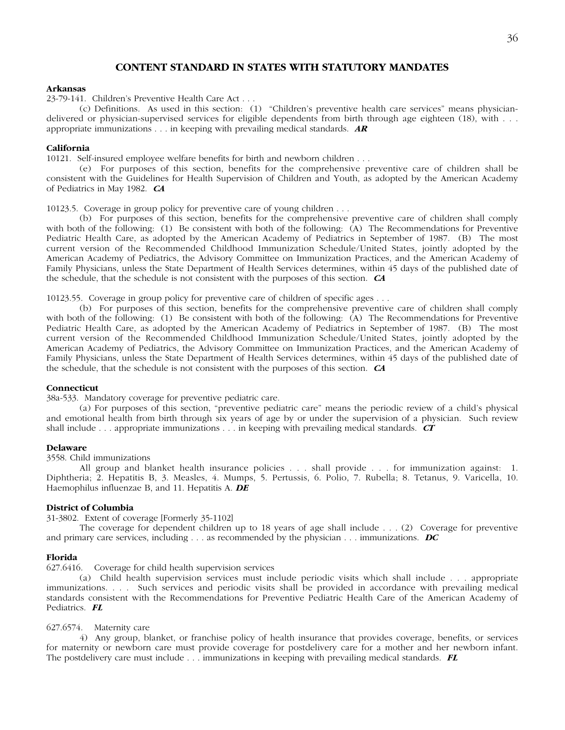# **CONTENT STANDARD IN STATES WITH STATUTORY MANDATES**

# **Arkansas**

23-79-141. Children's Preventive Health Care Act . . .

(c) Definitions. As used in this section: (1) "Children's preventive health care services" means physiciandelivered or physician-supervised services for eligible dependents from birth through age eighteen (18), with . . . appropriate immunizations . . . in keeping with prevailing medical standards. *AR*

# **California**

10121. Self-insured employee welfare benefits for birth and newborn children . . .

(e) For purposes of this section, benefits for the comprehensive preventive care of children shall be consistent with the Guidelines for Health Supervision of Children and Youth, as adopted by the American Academy of Pediatrics in May 1982. *CA*

10123.5. Coverage in group policy for preventive care of young children . . .

(b) For purposes of this section, benefits for the comprehensive preventive care of children shall comply with both of the following: (1) Be consistent with both of the following: (A) The Recommendations for Preventive Pediatric Health Care, as adopted by the American Academy of Pediatrics in September of 1987. (B) The most current version of the Recommended Childhood Immunization Schedule/United States, jointly adopted by the American Academy of Pediatrics, the Advisory Committee on Immunization Practices, and the American Academy of Family Physicians, unless the State Department of Health Services determines, within 45 days of the published date of the schedule, that the schedule is not consistent with the purposes of this section. *CA*

10123.55. Coverage in group policy for preventive care of children of specific ages . . .

(b) For purposes of this section, benefits for the comprehensive preventive care of children shall comply with both of the following: (1) Be consistent with both of the following: (A) The Recommendations for Preventive Pediatric Health Care, as adopted by the American Academy of Pediatrics in September of 1987. (B) The most current version of the Recommended Childhood Immunization Schedule/United States, jointly adopted by the American Academy of Pediatrics, the Advisory Committee on Immunization Practices, and the American Academy of Family Physicians, unless the State Department of Health Services determines, within 45 days of the published date of the schedule, that the schedule is not consistent with the purposes of this section. *CA*

# **Connecticut**

38a-533. Mandatory coverage for preventive pediatric care.

(a) For purposes of this section, "preventive pediatric care" means the periodic review of a child's physical and emotional health from birth through six years of age by or under the supervision of a physician. Such review shall include . . . appropriate immunizations . . . in keeping with prevailing medical standards. *CT*

# **Delaware**

3558. Child immunizations

All group and blanket health insurance policies . . . shall provide . . . for immunization against: 1. Diphtheria; 2. Hepatitis B, 3. Measles, 4. Mumps, 5. Pertussis, 6. Polio, 7. Rubella; 8. Tetanus, 9. Varicella, 10. Haemophilus influenzae B, and 11. Hepatitis A. *DE*

# **District of Columbia**

31-3802. Extent of coverage [Formerly 35-1102]

The coverage for dependent children up to 18 years of age shall include . . . (2) Coverage for preventive and primary care services, including . . . as recommended by the physician . . . immunizations. *DC*

#### **Florida**

627.6416. Coverage for child health supervision services

(a) Child health supervision services must include periodic visits which shall include . . . appropriate immunizations. . . . Such services and periodic visits shall be provided in accordance with prevailing medical standards consistent with the Recommendations for Preventive Pediatric Health Care of the American Academy of Pediatrics. *FL*

# 627.6574. Maternity care

4) Any group, blanket, or franchise policy of health insurance that provides coverage, benefits, or services for maternity or newborn care must provide coverage for postdelivery care for a mother and her newborn infant. The postdelivery care must include . . . immunizations in keeping with prevailing medical standards. *FL*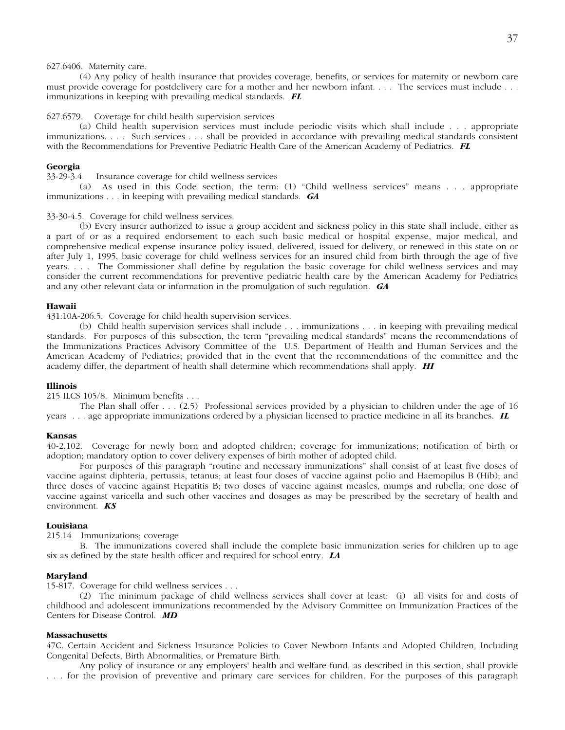# 627.6406. Maternity care.

(4) Any policy of health insurance that provides coverage, benefits, or services for maternity or newborn care must provide coverage for postdelivery care for a mother and her newborn infant. . . . The services must include . . . immunizations in keeping with prevailing medical standards. *FL*

# 627.6579. Coverage for child health supervision services

(a) Child health supervision services must include periodic visits which shall include . . . appropriate immunizations. . . . Such services . . . shall be provided in accordance with prevailing medical standards consistent with the Recommendations for Preventive Pediatric Health Care of the American Academy of Pediatrics. *FL*

# **Georgia**

33-29-3.4. Insurance coverage for child wellness services

(a) As used in this Code section, the term: (1) "Child wellness services" means . . . appropriate immunizations . . . in keeping with prevailing medical standards. *GA*

#### 33-30-4.5. Coverage for child wellness services.

(b) Every insurer authorized to issue a group accident and sickness policy in this state shall include, either as a part of or as a required endorsement to each such basic medical or hospital expense, major medical, and comprehensive medical expense insurance policy issued, delivered, issued for delivery, or renewed in this state on or after July 1, 1995, basic coverage for child wellness services for an insured child from birth through the age of five years. . . . The Commissioner shall define by regulation the basic coverage for child wellness services and may consider the current recommendations for preventive pediatric health care by the American Academy for Pediatrics and any other relevant data or information in the promulgation of such regulation. *GA*

#### **Hawaii**

431:10A-206.5. Coverage for child health supervision services.

(b) Child health supervision services shall include . . . immunizations . . . in keeping with prevailing medical standards. For purposes of this subsection, the term "prevailing medical standards" means the recommendations of the Immunizations Practices Advisory Committee of the U.S. Department of Health and Human Services and the American Academy of Pediatrics; provided that in the event that the recommendations of the committee and the academy differ, the department of health shall determine which recommendations shall apply. *HI*

# **Illinois**

215 ILCS 105/8. Minimum benefits . . .

The Plan shall offer . . . (2.5) Professional services provided by a physician to children under the age of 16 years . . . age appropriate immunizations ordered by a physician licensed to practice medicine in all its branches. *IL*

#### **Kansas**

40-2,102. Coverage for newly born and adopted children; coverage for immunizations; notification of birth or adoption; mandatory option to cover delivery expenses of birth mother of adopted child.

For purposes of this paragraph "routine and necessary immunizations" shall consist of at least five doses of vaccine against diphteria, pertussis, tetanus; at least four doses of vaccine against polio and Haemopilus B (Hib); and three doses of vaccine against Hepatitis B; two doses of vaccine against measles, mumps and rubella; one dose of vaccine against varicella and such other vaccines and dosages as may be prescribed by the secretary of health and environment. *KS*

# **Louisiana**

215.14 Immunizations; coverage

B. The immunizations covered shall include the complete basic immunization series for children up to age six as defined by the state health officer and required for school entry. *LA*

#### **Maryland**

15-817. Coverage for child wellness services . . .

(2) The minimum package of child wellness services shall cover at least: (i) all visits for and costs of childhood and adolescent immunizations recommended by the Advisory Committee on Immunization Practices of the Centers for Disease Control. *MD*

# **Massachusetts**

47C. Certain Accident and Sickness Insurance Policies to Cover Newborn Infants and Adopted Children, Including Congenital Defects, Birth Abnormalities, or Premature Birth.

Any policy of insurance or any employers' health and welfare fund, as described in this section, shall provide . . . for the provision of preventive and primary care services for children. For the purposes of this paragraph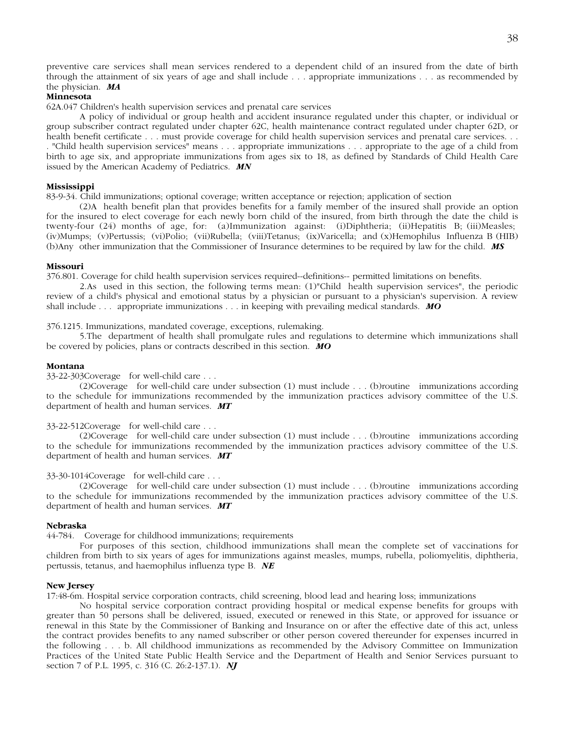preventive care services shall mean services rendered to a dependent child of an insured from the date of birth through the attainment of six years of age and shall include . . . appropriate immunizations . . . as recommended by the physician. *MA*

# **Minnesota**

62A.047 Children's health supervision services and prenatal care services

A policy of individual or group health and accident insurance regulated under this chapter, or individual or group subscriber contract regulated under chapter 62C, health maintenance contract regulated under chapter 62D, or health benefit certificate . . . must provide coverage for child health supervision services and prenatal care services. . . . "Child health supervision services" means . . . appropriate immunizations . . . appropriate to the age of a child from birth to age six, and appropriate immunizations from ages six to 18, as defined by Standards of Child Health Care issued by the American Academy of Pediatrics. *MN*

# **Mississippi**

83-9-34. Child immunizations; optional coverage; written acceptance or rejection; application of section

(2) A health benefit plan that provides benefits for a family member of the insured shall provide an option for the insured to elect coverage for each newly born child of the insured, from birth through the date the child is twenty-four (24) months of age, for: (a) Immunization against: (i) Diphtheria; (ii) Hepatitis B; (iii) Measles; (iv) Mumps; (v) Pertussis; (vi) Polio; (vii) Rubella; (viii) Tetanus; (ix) Varicella; and (x) Hemophilus Influenza B (HIB) (b) Any other immunization that the Commissioner of Insurance determines to be required by law for the child. *MS*

# **Missouri**

376.801. Coverage for child health supervision services required--definitions-- permitted limitations on benefits.

2. As used in this section, the following terms mean: (1)"Child health supervision services", the periodic review of a child's physical and emotional status by a physician or pursuant to a physician's supervision. A review shall include . . . appropriate immunizations . . . in keeping with prevailing medical standards. *MO*

# 376.1215. Immunizations, mandated coverage, exceptions, rulemaking.

5. The department of health shall promulgate rules and regulations to determine which immunizations shall be covered by policies, plans or contracts described in this section. *MO*

# **Montana**

33-22-303 Coverage for well-child care . . .

(2) Coverage for well-child care under subsection (1) must include . . . (b) routine immunizations according to the schedule for immunizations recommended by the immunization practices advisory committee of the U.S. department of health and human services. *MT*

# 33-22-512 Coverage for well-child care . . .

(2) Coverage for well-child care under subsection (1) must include . . . (b) routine immunizations according to the schedule for immunizations recommended by the immunization practices advisory committee of the U.S. department of health and human services. *MT*

# 33-30-1014 Coverage for well-child care . . .

(2) Coverage for well-child care under subsection (1) must include . . . (b) routine immunizations according to the schedule for immunizations recommended by the immunization practices advisory committee of the U.S. department of health and human services. *MT*

# **Nebraska**

44-784. Coverage for childhood immunizations; requirements

For purposes of this section, childhood immunizations shall mean the complete set of vaccinations for children from birth to six years of ages for immunizations against measles, mumps, rubella, poliomyelitis, diphtheria, pertussis, tetanus, and haemophilus influenza type B. *NE*

# **New Jersey**

17:48-6m. Hospital service corporation contracts, child screening, blood lead and hearing loss; immunizations

No hospital service corporation contract providing hospital or medical expense benefits for groups with greater than 50 persons shall be delivered, issued, executed or renewed in this State, or approved for issuance or renewal in this State by the Commissioner of Banking and Insurance on or after the effective date of this act, unless the contract provides benefits to any named subscriber or other person covered thereunder for expenses incurred in the following . . . b. All childhood immunizations as recommended by the Advisory Committee on Immunization Practices of the United State Public Health Service and the Department of Health and Senior Services pursuant to section 7 of P.L. 1995, c. 316 (C. 26:2-137.1). *NJ*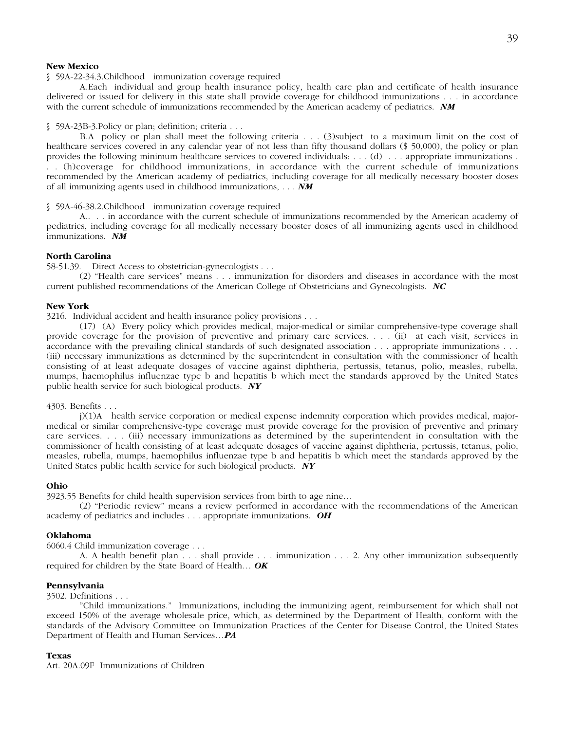# **New Mexico**

# § 59A-22-34.3. Childhood immunization coverage required

A. Each individual and group health insurance policy, health care plan and certificate of health insurance delivered or issued for delivery in this state shall provide coverage for childhood immunizations . . . in accordance with the current schedule of immunizations recommended by the American academy of pediatrics. *NM*

# § 59A-23B-3. Policy or plan; definition; criteria . . .

B.A policy or plan shall meet the following criteria . . . (3) subject to a maximum limit on the cost of healthcare services covered in any calendar year of not less than fifty thousand dollars (\$ 50,000), the policy or plan provides the following minimum healthcare services to covered individuals: . . . (d) . . . appropriate immunizations . . . (h) coverage for childhood immunizations, in accordance with the current schedule of immunizations recommended by the American academy of pediatrics, including coverage for all medically necessary booster doses of all immunizing agents used in childhood immunizations, . . . *NM*

# § 59A-46-38.2. Childhood immunization coverage required

A. . . . in accordance with the current schedule of immunizations recommended by the American academy of pediatrics, including coverage for all medically necessary booster doses of all immunizing agents used in childhood immunizations. *NM*

# **North Carolina**

58-51.39. Direct Access to obstetrician-gynecologists . . .

(2) "Health care services" means . . . immunization for disorders and diseases in accordance with the most current published recommendations of the American College of Obstetricians and Gynecologists. *NC*

#### **New York**

3216. Individual accident and health insurance policy provisions . . .

(17) (A) Every policy which provides medical, major-medical or similar comprehensive-type coverage shall provide coverage for the provision of preventive and primary care services. . . . (ii) at each visit, services in accordance with the prevailing clinical standards of such designated association . . . appropriate immunizations . . . (iii) necessary immunizations as determined by the superintendent in consultation with the commissioner of health consisting of at least adequate dosages of vaccine against diphtheria, pertussis, tetanus, polio, measles, rubella, mumps, haemophilus influenzae type b and hepatitis b which meet the standards approved by the United States public health service for such biological products. *NY*

# 4303. Benefits . . .

j)(1) A health service corporation or medical expense indemnity corporation which provides medical, majormedical or similar comprehensive-type coverage must provide coverage for the provision of preventive and primary care services. . . . (iii) necessary immunizations as determined by the superintendent in consultation with the commissioner of health consisting of at least adequate dosages of vaccine against diphtheria, pertussis, tetanus, polio, measles, rubella, mumps, haemophilus influenzae type b and hepatitis b which meet the standards approved by the United States public health service for such biological products. *NY*

# **Ohio**

3923.55 Benefits for child health supervision services from birth to age nine…

(2) "Periodic review" means a review performed in accordance with the recommendations of the American academy of pediatrics and includes . . . appropriate immunizations. *OH*

# **Oklahoma**

6060.4 Child immunization coverage . . .

A. A health benefit plan . . . shall provide . . . immunization . . . 2. Any other immunization subsequently required for children by the State Board of Health… *OK*

# **Pennsylvania**

3502. Definitions . . .

"Child immunizations." Immunizations, including the immunizing agent, reimbursement for which shall not exceed 150% of the average wholesale price, which, as determined by the Department of Health, conform with the standards of the Advisory Committee on Immunization Practices of the Center for Disease Control, the United States Department of Health and Human Services…*PA*

#### **Texas**

Art. 20A.09F Immunizations of Children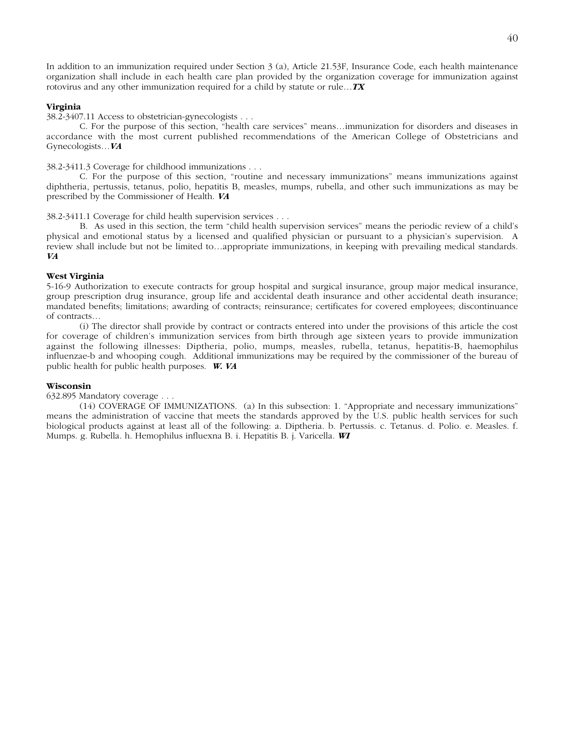In addition to an immunization required under Section 3 (a), Article 21.53F, Insurance Code, each health maintenance organization shall include in each health care plan provided by the organization coverage for immunization against rotovirus and any other immunization required for a child by statute or rule…*TX*

# **Virginia**

38.2-3407.11 Access to obstetrician-gynecologists . . .

C. For the purpose of this section, "health care services" means…immunization for disorders and diseases in accordance with the most current published recommendations of the American College of Obstetricians and Gynecologists…*VA*

38.2-3411.3 Coverage for childhood immunizations . . .

C. For the purpose of this section, "routine and necessary immunizations" means immunizations against diphtheria, pertussis, tetanus, polio, hepatitis B, measles, mumps, rubella, and other such immunizations as may be prescribed by the Commissioner of Health. *VA*

38.2-3411.1 Coverage for child health supervision services . . .

B. As used in this section, the term "child health supervision services" means the periodic review of a child's physical and emotional status by a licensed and qualified physician or pursuant to a physician's supervision. A review shall include but not be limited to…appropriate immunizations, in keeping with prevailing medical standards. *VA*

# **West Virginia**

5-16-9 Authorization to execute contracts for group hospital and surgical insurance, group major medical insurance, group prescription drug insurance, group life and accidental death insurance and other accidental death insurance; mandated benefits; limitations; awarding of contracts; reinsurance; certificates for covered employees; discontinuance of contracts…

(i) The director shall provide by contract or contracts entered into under the provisions of this article the cost for coverage of children's immunization services from birth through age sixteen years to provide immunization against the following illnesses: Diptheria, polio, mumps, measles, rubella, tetanus, hepatitis-B, haemophilus influenzae-b and whooping cough. Additional immunizations may be required by the commissioner of the bureau of public health for public health purposes. *W. VA*

# **Wisconsin**

632.895 Mandatory coverage . . .

(14) COVERAGE OF IMMUNIZATIONS. (a) In this subsection: 1. "Appropriate and necessary immunizations" means the administration of vaccine that meets the standards approved by the U.S. public health services for such biological products against at least all of the following: a. Diptheria. b. Pertussis. c. Tetanus. d. Polio. e. Measles. f. Mumps. g. Rubella. h. Hemophilus influexna B. i. Hepatitis B. j. Varicella. *WI*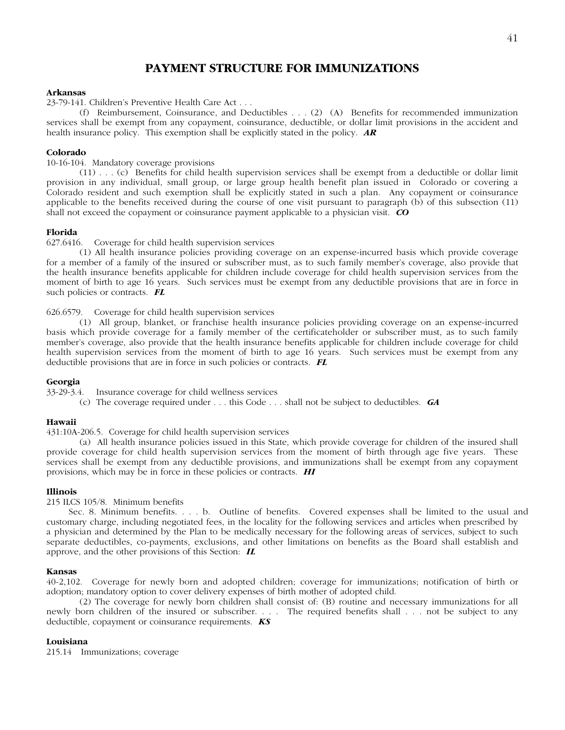# **PAYMENT STRUCTURE FOR IMMUNIZATIONS**

# **Arkansas**

23-79-141. Children's Preventive Health Care Act . . .

(f) Reimbursement, Coinsurance, and Deductibles . . . (2) (A) Benefits for recommended immunization services shall be exempt from any copayment, coinsurance, deductible, or dollar limit provisions in the accident and health insurance policy. This exemption shall be explicitly stated in the policy. *AR*

# **Colorado**

10-16-104. Mandatory coverage provisions

(11) . . . (c) Benefits for child health supervision services shall be exempt from a deductible or dollar limit provision in any individual, small group, or large group health benefit plan issued in Colorado or covering a Colorado resident and such exemption shall be explicitly stated in such a plan. Any copayment or coinsurance applicable to the benefits received during the course of one visit pursuant to paragraph (b) of this subsection (11) shall not exceed the copayment or coinsurance payment applicable to a physician visit. *CO*

**Florida**<br>627.6416. Coverage for child health supervision services

(1) All health insurance policies providing coverage on an expense-incurred basis which provide coverage for a member of a family of the insured or subscriber must, as to such family member's coverage, also provide that the health insurance benefits applicable for children include coverage for child health supervision services from the moment of birth to age 16 years. Such services must be exempt from any deductible provisions that are in force in such policies or contracts. *FL*

# 626.6579. Coverage for child health supervision services

(1) All group, blanket, or franchise health insurance policies providing coverage on an expense-incurred basis which provide coverage for a family member of the certificateholder or subscriber must, as to such family member's coverage, also provide that the health insurance benefits applicable for children include coverage for child health supervision services from the moment of birth to age 16 years. Such services must be exempt from any deductible provisions that are in force in such policies or contracts. *FL*

# **Georgia**

33-29-3.4. Insurance coverage for child wellness services

(c) The coverage required under . . . this Code . . . shall not be subject to deductibles. *GA*

# **Hawaii**

431:10A-206.5. Coverage for child health supervision services

(a) All health insurance policies issued in this State, which provide coverage for children of the insured shall provide coverage for child health supervision services from the moment of birth through age five years. These services shall be exempt from any deductible provisions, and immunizations shall be exempt from any copayment provisions, which may be in force in these policies or contracts. *HI*

# **Illinois**

215 ILCS 105/8. Minimum benefits

 Sec. 8. Minimum benefits. . . . b. Outline of benefits. Covered expenses shall be limited to the usual and customary charge, including negotiated fees, in the locality for the following services and articles when prescribed by a physician and determined by the Plan to be medically necessary for the following areas of services, subject to such separate deductibles, co-payments, exclusions, and other limitations on benefits as the Board shall establish and approve, and the other provisions of this Section: *IL*

# **Kansas**

40-2,102. Coverage for newly born and adopted children; coverage for immunizations; notification of birth or adoption; mandatory option to cover delivery expenses of birth mother of adopted child.

(2) The coverage for newly born children shall consist of: (B) routine and necessary immunizations for all newly born children of the insured or subscriber. . . . The required benefits shall . . . not be subject to any deductible, copayment or coinsurance requirements. *KS*

# **Louisiana**

215.14 Immunizations; coverage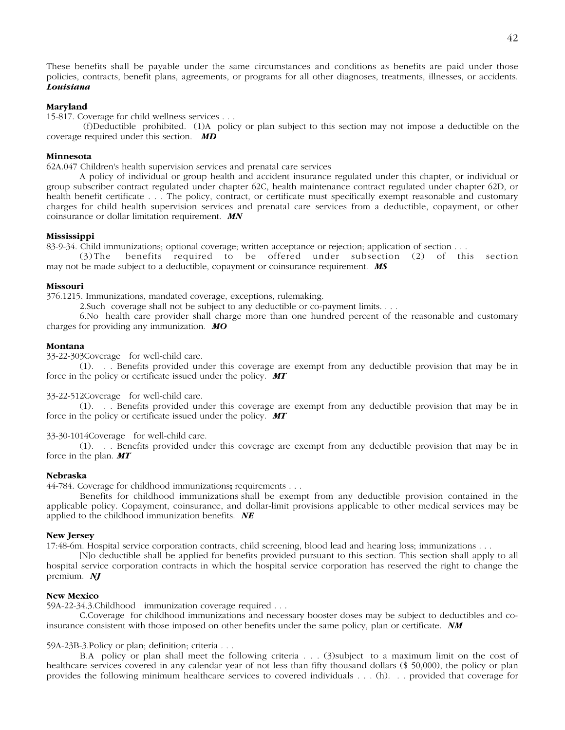These benefits shall be payable under the same circumstances and conditions as benefits are paid under those policies, contracts, benefit plans, agreements, or programs for all other diagnoses, treatments, illnesses, or accidents. *Louisiana*

# **Maryland**

15-817. Coverage for child wellness services . . .

 (f) Deductible prohibited. (1) A policy or plan subject to this section may not impose a deductible on the coverage required under this section. *MD*

# **Minnesota**

62A.047 Children's health supervision services and prenatal care services

A policy of individual or group health and accident insurance regulated under this chapter, or individual or group subscriber contract regulated under chapter 62C, health maintenance contract regulated under chapter 62D, or health benefit certificate . . . The policy, contract, or certificate must specifically exempt reasonable and customary charges for child health supervision services and prenatal care services from a deductible, copayment, or other coinsurance or dollar limitation requirement. *MN*

# **Mississippi**

83-9-34. Child immunizations; optional coverage; written acceptance or rejection; application of section . . .

(3) The benefits required to be offered under subsection (2) of this section may not be made subject to a deductible, copayment or coinsurance requirement. *MS*

#### **Missouri**

376.1215. Immunizations, mandated coverage, exceptions, rulemaking.

2. Such coverage shall not be subject to any deductible or co-payment limits. . . .

6. No health care provider shall charge more than one hundred percent of the reasonable and customary charges for providing any immunization. *MO*

#### **Montana**

33-22-303 Coverage for well-child care.

(1) . . . Benefits provided under this coverage are exempt from any deductible provision that may be in force in the policy or certificate issued under the policy. *MT*

33-22-512 Coverage for well-child care.

(1) . . . Benefits provided under this coverage are exempt from any deductible provision that may be in force in the policy or certificate issued under the policy. *MT*

33-30-1014 Coverage for well-child care.

(1) . . . Benefits provided under this coverage are exempt from any deductible provision that may be in force in the plan. *MT*

# **Nebraska**

44-784. Coverage for childhood immunizations**;** requirements . . .

Benefits for childhood immunizations shall be exempt from any deductible provision contained in the applicable policy. Copayment, coinsurance, and dollar-limit provisions applicable to other medical services may be applied to the childhood immunization benefits. *NE*

# **New Jersey**

17:48-6m. Hospital service corporation contracts, child screening, blood lead and hearing loss; immunizations . . .

[N]o deductible shall be applied for benefits provided pursuant to this section. This section shall apply to all hospital service corporation contracts in which the hospital service corporation has reserved the right to change the premium. *NJ*

# **New Mexico**

59A-22-34.3. Childhood immunization coverage required . . .

C. Coverage for childhood immunizations and necessary booster doses may be subject to deductibles and coinsurance consistent with those imposed on other benefits under the same policy, plan or certificate. *NM*

# 59A-23B-3. Policy or plan; definition; criteria . . .

B.A policy or plan shall meet the following criteria . . . (3) subject to a maximum limit on the cost of healthcare services covered in any calendar year of not less than fifty thousand dollars (\$ 50,000), the policy or plan provides the following minimum healthcare services to covered individuals . . . (h) . . . provided that coverage for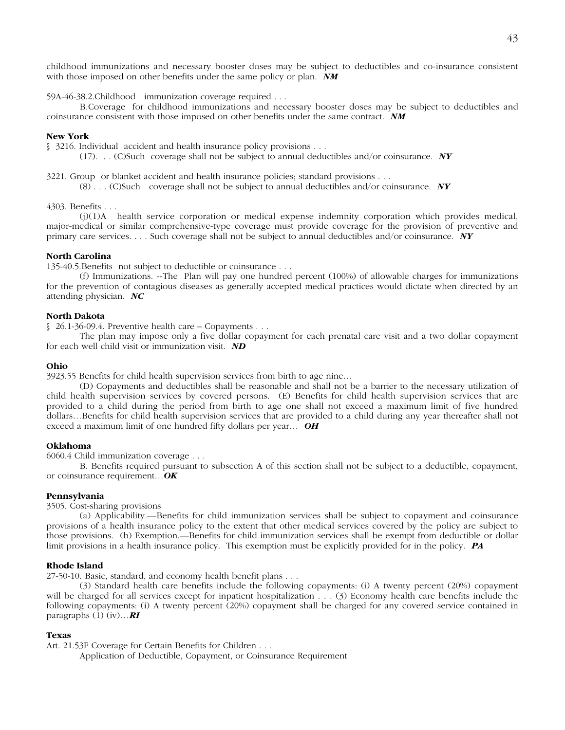childhood immunizations and necessary booster doses may be subject to deductibles and co-insurance consistent with those imposed on other benefits under the same policy or plan. *NM*

59A-46-38.2. Childhood immunization coverage required . . .

B. Coverage for childhood immunizations and necessary booster doses may be subject to deductibles and coinsurance consistent with those imposed on other benefits under the same contract. *NM*

# **New York**

§ 3216. Individual accident and health insurance policy provisions . . .

(17) . . . (C) Such coverage shall not be subject to annual deductibles and/or coinsurance. *NY*

3221. Group or blanket accident and health insurance policies; standard provisions . . .

(8) . . . (C) Such coverage shall not be subject to annual deductibles and/or coinsurance. *NY*

# 4303. Benefits . . .

(j) (1) A health service corporation or medical expense indemnity corporation which provides medical, major-medical or similar comprehensive-type coverage must provide coverage for the provision of preventive and primary care services. . . . Such coverage shall not be subject to annual deductibles and/or coinsurance. *NY*

# **North Carolina**

135-40.5. Benefits not subject to deductible or coinsurance . . .

(f) Immunizations. -- The Plan will pay one hundred percent (100%) of allowable charges for immunizations for the prevention of contagious diseases as generally accepted medical practices would dictate when directed by an attending physician. *NC*

# **North Dakota**

 $$26.1-36-09.4$ . Preventive health care – Copayments . . .

The plan may impose only a five dollar copayment for each prenatal care visit and a two dollar copayment for each well child visit or immunization visit. *ND*

# **Ohio**

3923.55 Benefits for child health supervision services from birth to age nine…

(D) Copayments and deductibles shall be reasonable and shall not be a barrier to the necessary utilization of child health supervision services by covered persons. (E) Benefits for child health supervision services that are provided to a child during the period from birth to age one shall not exceed a maximum limit of five hundred dollars…Benefits for child health supervision services that are provided to a child during any year thereafter shall not exceed a maximum limit of one hundred fifty dollars per year… *OH*

# **Oklahoma**

6060.4 Child immunization coverage . . .

B. Benefits required pursuant to subsection A of this section shall not be subject to a deductible, copayment, or coinsurance requirement…*OK*

### **Pennsylvania**

3505. Cost-sharing provisions

(a) Applicability.—Benefits for child immunization services shall be subject to copayment and coinsurance provisions of a health insurance policy to the extent that other medical services covered by the policy are subject to those provisions. (b) Exemption.—Benefits for child immunization services shall be exempt from deductible or dollar limit provisions in a health insurance policy. This exemption must be explicitly provided for in the policy. *PA*

#### **Rhode Island**

27-50-10. Basic, standard, and economy health benefit plans . . .

(3) Standard health care benefits include the following copayments: (i) A twenty percent (20%) copayment will be charged for all services except for inpatient hospitalization . . . (3) Economy health care benefits include the following copayments: (i) A twenty percent (20%) copayment shall be charged for any covered service contained in paragraphs (1) (iv)…*RI*

#### **Texas**

Art. 21.53F Coverage for Certain Benefits for Children . . .

Application of Deductible, Copayment, or Coinsurance Requirement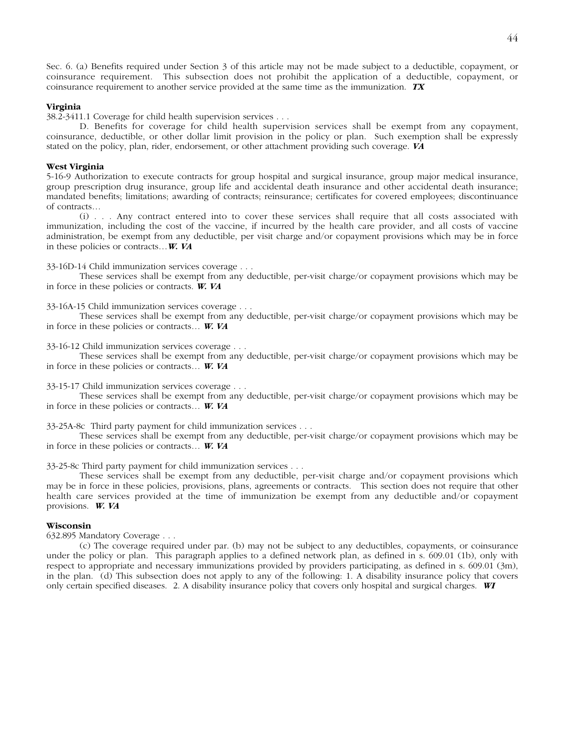Sec. 6. (a) Benefits required under Section 3 of this article may not be made subject to a deductible, copayment, or coinsurance requirement. This subsection does not prohibit the application of a deductible, copayment, or coinsurance requirement to another service provided at the same time as the immunization. *TX*

# **Virginia**

38.2-3411.1 Coverage for child health supervision services . . .

D. Benefits for coverage for child health supervision services shall be exempt from any copayment, coinsurance, deductible, or other dollar limit provision in the policy or plan. Such exemption shall be expressly stated on the policy, plan, rider, endorsement, or other attachment providing such coverage. *VA*

# **West Virginia**

5-16-9 Authorization to execute contracts for group hospital and surgical insurance, group major medical insurance, group prescription drug insurance, group life and accidental death insurance and other accidental death insurance; mandated benefits; limitations; awarding of contracts; reinsurance; certificates for covered employees; discontinuance of contracts…

(i) . . . Any contract entered into to cover these services shall require that all costs associated with immunization, including the cost of the vaccine, if incurred by the health care provider, and all costs of vaccine administration, be exempt from any deductible, per visit charge and/or copayment provisions which may be in force in these policies or contracts…*W. VA*

33-16D-14 Child immunization services coverage . . .

These services shall be exempt from any deductible, per-visit charge/or copayment provisions which may be in force in these policies or contracts. *W. VA*

33-16A-15 Child immunization services coverage . . .

These services shall be exempt from any deductible, per-visit charge/or copayment provisions which may be in force in these policies or contracts… *W. VA*

33-16-12 Child immunization services coverage . . .

These services shall be exempt from any deductible, per-visit charge/or copayment provisions which may be in force in these policies or contracts… *W. VA*

33-15-17 Child immunization services coverage . . .

These services shall be exempt from any deductible, per-visit charge/or copayment provisions which may be in force in these policies or contracts… *W. VA*

33-25A-8c Third party payment for child immunization services . . .

These services shall be exempt from any deductible, per-visit charge/or copayment provisions which may be in force in these policies or contracts… *W. VA*

33-25-8c Third party payment for child immunization services . . .

These services shall be exempt from any deductible, per-visit charge and/or copayment provisions which may be in force in these policies, provisions, plans, agreements or contracts. This section does not require that other health care services provided at the time of immunization be exempt from any deductible and/or copayment provisions. *W. VA*

# **Wisconsin**

632.895 Mandatory Coverage . . .

(c) The coverage required under par. (b) may not be subject to any deductibles, copayments, or coinsurance under the policy or plan. This paragraph applies to a defined network plan, as defined in s. 609.01 (1b), only with respect to appropriate and necessary immunizations provided by providers participating, as defined in s. 609.01 (3m), in the plan. (d) This subsection does not apply to any of the following: 1. A disability insurance policy that covers only certain specified diseases. 2. A disability insurance policy that covers only hospital and surgical charges. *WI*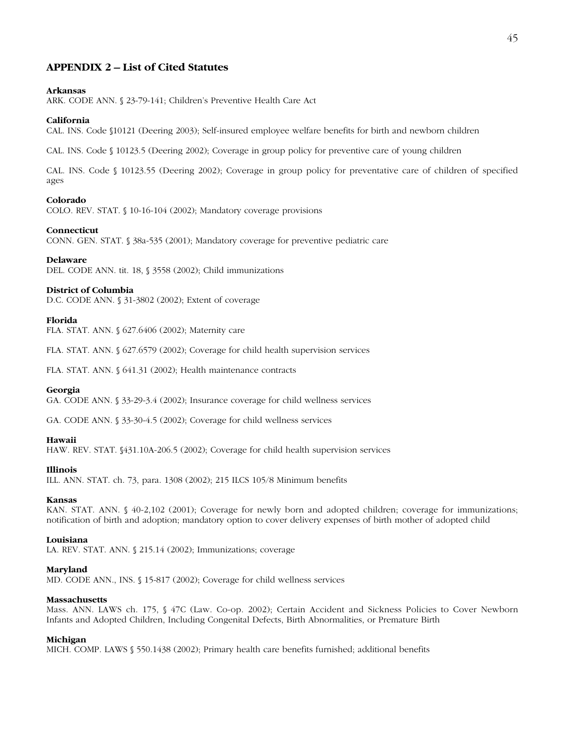# **APPENDIX 2 – List of Cited Statutes**

# **Arkansas**

ARK. CODE ANN. § 23-79-141; Children's Preventive Health Care Act

#### **California**

CAL. INS. Code §10121 (Deering 2003); Self-insured employee welfare benefits for birth and newborn children

CAL. INS. Code § 10123.5 (Deering 2002); Coverage in group policy for preventive care of young children

CAL. INS. Code § 10123.55 (Deering 2002); Coverage in group policy for preventative care of children of specified ages

# **Colorado**

COLO. REV. STAT. § 10-16-104 (2002); Mandatory coverage provisions

#### **Connecticut**

CONN. GEN. STAT. § 38a-535 (2001); Mandatory coverage for preventive pediatric care

#### **Delaware**

DEL. CODE ANN. tit. 18, § 3558 (2002); Child immunizations

# **District of Columbia**

D.C. CODE ANN. § 31-3802 (2002); Extent of coverage

# **Florida**

FLA. STAT. ANN. § 627.6406 (2002); Maternity care

FLA. STAT. ANN. § 627.6579 (2002); Coverage for child health supervision services

FLA. STAT. ANN. § 641.31 (2002); Health maintenance contracts

# **Georgia**

GA. CODE ANN. § 33-29-3.4 (2002); Insurance coverage for child wellness services

GA. CODE ANN. § 33-30-4.5 (2002); Coverage for child wellness services

### **Hawaii**

HAW. REV. STAT. §431.10A-206.5 (2002); Coverage for child health supervision services

# **Illinois**

ILL. ANN. STAT. ch. 73, para. 1308 (2002); 215 ILCS 105/8 Minimum benefits

#### **Kansas**

KAN. STAT. ANN. § 40-2,102 (2001); Coverage for newly born and adopted children; coverage for immunizations; notification of birth and adoption; mandatory option to cover delivery expenses of birth mother of adopted child

#### **Louisiana**

LA. REV. STAT. ANN. § 215.14 (2002); Immunizations; coverage

# **Maryland**

MD. CODE ANN., INS. § 15-817 (2002); Coverage for child wellness services

#### **Massachusetts**

Mass. ANN. LAWS ch. 175, § 47C (Law. Co-op. 2002); Certain Accident and Sickness Policies to Cover Newborn Infants and Adopted Children, Including Congenital Defects, Birth Abnormalities, or Premature Birth

#### **Michigan**

MICH. COMP. LAWS § 550.1438 (2002); Primary health care benefits furnished; additional benefits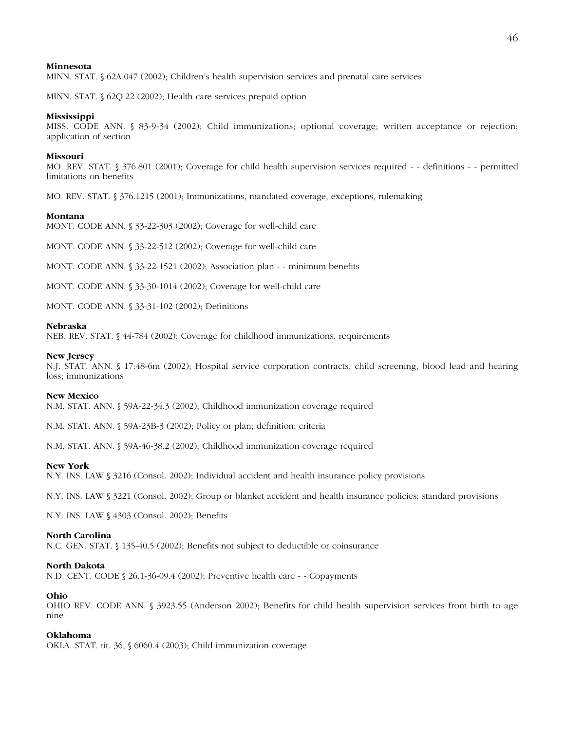# **Minnesota**

MINN. STAT. § 62A.047 (2002); Children's health supervision services and prenatal care services

MINN. STAT. § 62Q.22 (2002); Health care services prepaid option

# **Mississippi**

MISS. CODE ANN. § 83-9-34 (2002); Child immunizations; optional coverage; written acceptance or rejection; application of section

# **Missouri**

MO. REV. STAT. § 376.801 (2001); Coverage for child health supervision services required - - definitions - - permitted limitations on benefits

MO. REV. STAT. § 376.1215 (2001); Immunizations, mandated coverage, exceptions, rulemaking

# **Montana**

MONT. CODE ANN. § 33-22-303 (2002); Coverage for well-child care

MONT. CODE ANN. § 33-22-512 (2002); Coverage for well-child care

MONT. CODE ANN. § 33-22-1521 (2002); Association plan - - minimum benefits

MONT. CODE ANN. § 33-30-1014 (2002); Coverage for well-child care

MONT. CODE ANN. § 33-31-102 (2002); Definitions

# **Nebraska**

NEB. REV. STAT. § 44-784 (2002); Coverage for childhood immunizations, requirements

# **New Jersey**

N.J. STAT. ANN. § 17:48-6m (2002); Hospital service corporation contracts, child screening, blood lead and hearing loss; immunizations

# **New Mexico**

N.M. STAT. ANN. § 59A-22-34.3 (2002); Childhood immunization coverage required

N.M. STAT. ANN. § 59A-23B-3 (2002); Policy or plan; definition; criteria

N.M. STAT. ANN. § 59A-46-38.2 (2002); Childhood immunization coverage required

# **New York**

N.Y. INS. LAW § 3216 (Consol. 2002); Individual accident and health insurance policy provisions

N.Y. INS. LAW § 3221 (Consol. 2002); Group or blanket accident and health insurance policies; standard provisions

N.Y. INS. LAW § 4303 (Consol. 2002); Benefits

# **North Carolina**

N.C. GEN. STAT. § 135-40.5 (2002); Benefits not subject to deductible or coinsurance

#### **North Dakota**

N.D. CENT. CODE § 26.1-36-09.4 (2002); Preventive health care - - Copayments

# **Ohio**

OHIO REV. CODE ANN. § 3923.55 (Anderson 2002); Benefits for child health supervision services from birth to age nine

# **Oklahoma**

OKLA. STAT. tit. 36, § 6060.4 (2003); Child immunization coverage